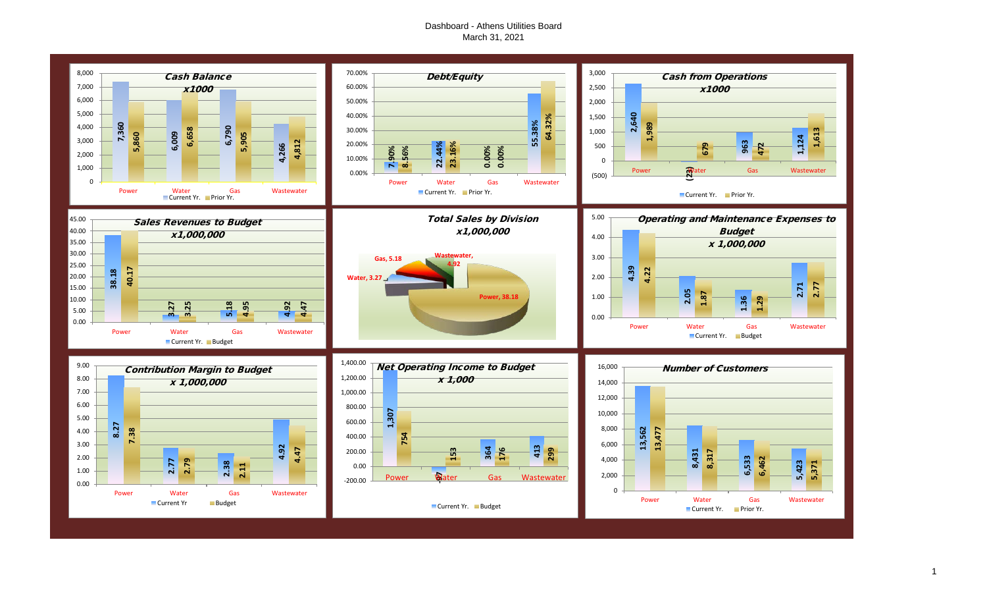## Dashboard - Athens Utilities Board March 31, 2021

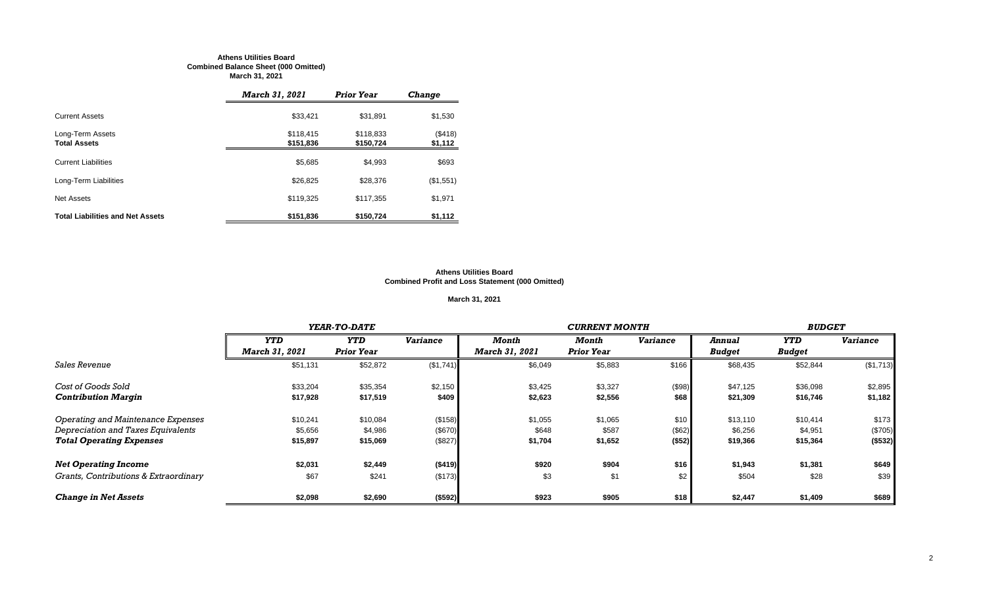#### **Athens Utilities Board Combined Balance Sheet (000 Omitted) March 31, 2021**

|                                         | <b>March 31, 2021</b>  | <b>Prior Year</b>      | <b>Change</b>      |
|-----------------------------------------|------------------------|------------------------|--------------------|
| <b>Current Assets</b>                   | \$33,421               | \$31,891               | \$1,530            |
| Long-Term Assets<br><b>Total Assets</b> | \$118,415<br>\$151,836 | \$118,833<br>\$150,724 | (\$418)<br>\$1,112 |
| <b>Current Liabilities</b>              | \$5,685                | \$4,993                | \$693              |
| Long-Term Liabilities                   | \$26,825               | \$28,376               | (\$1,551)          |
| Net Assets                              | \$119,325              | \$117,355              | \$1,971            |
| <b>Total Liabilities and Net Assets</b> | \$151,836              | \$150,724              | \$1,112            |

#### **Athens Utilities Board Combined Profit and Loss Statement (000 Omitted)**

## **March 31, 2021**

|                                       |                | YEAR-TO-DATE      |                 |                       | <b>CURRENT MONTH</b> |                 |               |               |                 |  |
|---------------------------------------|----------------|-------------------|-----------------|-----------------------|----------------------|-----------------|---------------|---------------|-----------------|--|
|                                       | <b>YTD</b>     | <b>YTD</b>        | <b>Variance</b> | Month                 | Month                | <b>Variance</b> | <b>Annual</b> | <b>YTD</b>    | <b>Variance</b> |  |
|                                       | March 31, 2021 | <b>Prior Year</b> |                 | <b>March 31, 2021</b> | <b>Prior Year</b>    |                 | <b>Budget</b> | <b>Budget</b> |                 |  |
| <i><b>Sales Revenue</b></i>           | \$51,131       | \$52,872          | (\$1,741)       | \$6,049               | \$5,883              | \$166           | \$68,435      | \$52,844      | (\$1,713)       |  |
| Cost of Goods Sold                    | \$33,204       | \$35,354          | \$2,150         | \$3,425               | \$3,327              | (\$98)          | \$47,125      | \$36,098      | \$2,895         |  |
| <b>Contribution Margin</b>            | \$17,928       | \$17,519          | \$409           | \$2,623               | \$2,556              | \$68            | \$21,309      | \$16,746      | \$1,182         |  |
| Operating and Maintenance Expenses    | \$10,241       | \$10,084          | (\$158)         | \$1,055               | \$1,065              | \$10            | \$13,110      | \$10,414      | \$173           |  |
| Depreciation and Taxes Equivalents    | \$5,656        | \$4,986           | (\$670)         | \$648                 | \$587                | (\$62)          | \$6,256       | \$4,951       | (\$705)         |  |
| <b>Total Operating Expenses</b>       | \$15,897       | \$15,069          | (\$827)         | \$1,704               | \$1,652              | ( \$52)         | \$19,366      | \$15,364      | ( \$532)        |  |
| <b>Net Operating Income</b>           | \$2,031        | \$2,449           | (\$419)         | \$920                 | \$904                | \$16            | \$1,943       | \$1,381       | \$649           |  |
| Grants, Contributions & Extraordinary | \$67           | \$241             | (\$173)         | \$3                   | \$1                  | \$2             | \$504         | \$28          | \$39            |  |
| <b>Change in Net Assets</b>           | \$2,098        | \$2,690           | (\$592)         | \$923                 | \$905                | \$18            | \$2,447       | \$1,409       | \$689           |  |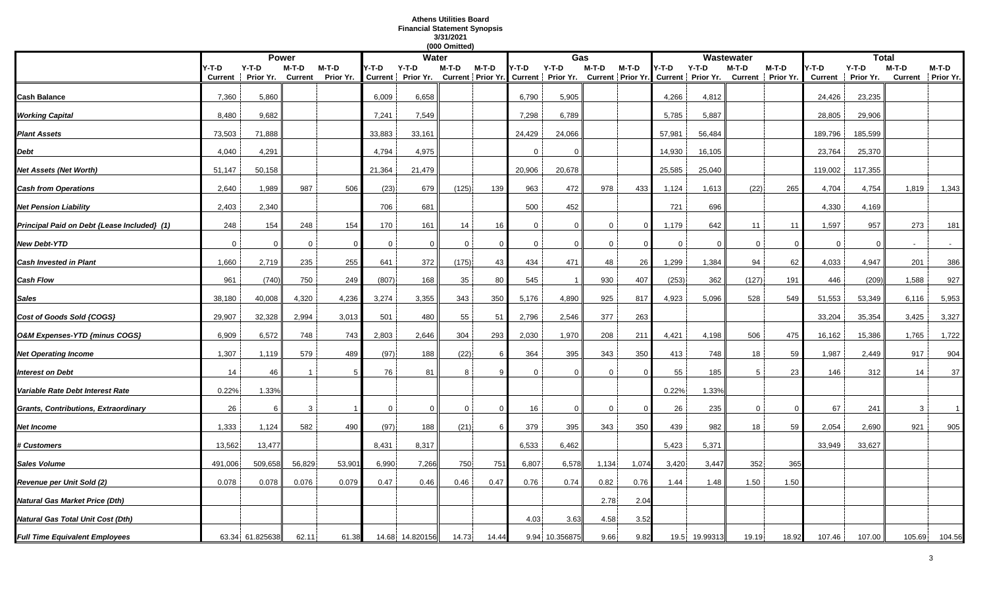## **Athens Utilities Board Financial Statement Synopsis 3/31/2021**

|                                             |                  |                      |                           |                      |                |                                                                                                              | (000 Omitted) |          |          |                |                |          |              |          |              |                              |                         |                      |                |                            |
|---------------------------------------------|------------------|----------------------|---------------------------|----------------------|----------------|--------------------------------------------------------------------------------------------------------------|---------------|----------|----------|----------------|----------------|----------|--------------|----------|--------------|------------------------------|-------------------------|----------------------|----------------|----------------------------|
|                                             |                  |                      | <b>Power</b>              |                      |                | <b>Water</b>                                                                                                 |               |          |          | Gas            |                |          |              |          | Wastewater   |                              |                         | <b>Total</b>         |                |                            |
|                                             | Y-T-D<br>Current | $Y-T-D$<br>Prior Yr. | $M-T-D$<br><b>Current</b> | $M-T-D$<br>Prior Yr. | Y-T-D          | Y-T-D<br>Current   Prior Yr. Current   Prior Yr. Current   Prior Yr. Current   Prior Yr. Current   Prior Yr. | M-T-D         | M-T-D    | Y-T-D    | $Y-T-D$        | M-T-D          | $M-T-D$  | 4-T-D        | Y-T-D    | M-T-D        | $M-T-D$<br>Current Prior Yr. | Y-T-D<br><b>Current</b> | $Y-T-D$<br>Prior Yr. | $M-T-D$        | M-T-D<br>Current Prior Yr. |
| Cash Balance                                | 7,360            | 5,860                |                           |                      | 6,009          | 6,658                                                                                                        |               |          | 6,790    | 5,905          |                |          | 4,266        | 4,812    |              |                              | 24,426                  | 23,235               |                |                            |
| <b>Working Capital</b>                      | 8,480            | 9,682                |                           |                      | 7,241          | 7,549                                                                                                        |               |          | 7,298    | 6,789          |                |          | 5,785        | 5,887    |              |                              | 28,805                  | 29,906               |                |                            |
| <b>Plant Assets</b>                         | 73,503           | 71,888               |                           |                      | 33,883         | 33,161                                                                                                       |               |          | 24,429   | 24,066         |                |          | 57,981       | 56,484   |              |                              | 189,796                 | 185,599              |                |                            |
| Debt                                        | 4,040            | 4,291                |                           |                      | 4,794          | 4,975                                                                                                        |               |          | $\Omega$ | $\Omega$       |                |          | 14,930       | 16,105   |              |                              | 23,764                  | 25,370               |                |                            |
| Net Assets (Net Worth)                      | 51,147           | 50,158               |                           |                      | 21,364         | 21,479                                                                                                       |               |          | 20,906   | 20,678         |                |          | 25,585       | 25,040   |              |                              | 119,002                 | 117,355              |                |                            |
| <b>Cash from Operations</b>                 | 2,640            | 1,989                | 987                       | 506                  | (23)           | 679                                                                                                          | (125)         | 139      | 963      | 472            | 978            | 433      | 1,124        | 1,613    | (22)         | 265                          | 4,704                   | 4,754                | 1,819          | 1,343                      |
| <b>Net Pension Liability</b>                | 2,403            | 2,340                |                           |                      | 706            | 681                                                                                                          |               |          | 500      | 452            |                |          | 721          | 696      |              |                              | 4,330                   | 4,169                |                |                            |
| Principal Paid on Debt {Lease Included} (1) | 248              | 154                  | 248                       | 154                  | 170            | 161                                                                                                          | 14            | 16       | 0        | $\Omega$       | $\mathbf 0$    | $\Omega$ | 1,179        | 642      | 11           | 11                           | 1,597                   | 957                  | 273            | 181                        |
| New Debt-YTD                                | $\overline{0}$   | $\Omega$             | $\mathbf{0}$              | $\Omega$             | 0              | $\Omega$                                                                                                     | $\mathbf 0$   | $\Omega$ | $\Omega$ | $\Omega$       | $\overline{0}$ |          | $\mathbf{0}$ | 0        | $\mathbf{0}$ | - 0                          | $\mathbf 0$             | $\Omega$             | $\overline{a}$ | $\sim$                     |
| <b>Cash Invested in Plant</b>               | 1,660            | 2,719                | 235                       | 255                  | 641            | 372                                                                                                          | (175)         | 43       | 434      | 471            | 48             | 26       | 1,299        | 1,384    | 94           | 62                           | 4,033                   | 4,947                | 201            | 386                        |
| Cash Flow                                   | 961              | (740)                | 750                       | 249                  | (807)          | 168                                                                                                          | 35            | 80       | 545      |                | 930            | 407      | (253)        | 362      | (127)        | 191                          | 446                     | (209)                | 1,588          | 927                        |
| Sales                                       | 38,180           | 40,008               | 4,320                     | 4,236                | 3,274          | 3,355                                                                                                        | 343           | 350      | 5,176    | 4,890          | 925            | 817      | 4,923        | 5,096    | 528          | 549                          | 51,553                  | 53,349               | 6,116          | 5,953                      |
| Cost of Goods Sold {COGS}                   | 29,907           | 32,328               | 2,994                     | 3,013                | 501            | 480                                                                                                          | 55            | 51       | 2,796    | 2,546          | 377            | 263      |              |          |              |                              | 33,204                  | 35,354               | 3,425          | 3,327                      |
| O&M Expenses-YTD {minus COGS}               | 6,909            | 6,572                | 748                       | 743                  | 2,803          | 2,646                                                                                                        | 304           | 293      | 2,030    | 1,970          | 208            | 211      | 4,421        | 4,198    | 506          | 475                          | 16,162                  | 15,386               | 1,765          | 1,722                      |
| <b>Net Operating Income</b>                 | 1,307            | 1,119                | 579                       | 489                  | (97)           | 188                                                                                                          | (22)          |          | 364      | 395            | 343            | 350      | 413          | 748      | 18           | 59                           | 1,987                   | 2,449                | 917            | 904                        |
| <b>Interest on Debt</b>                     | 14               | 46                   |                           |                      | 76             | 81                                                                                                           | 8             |          | $\Omega$ | $\Omega$       | 0              |          | 55           | 185      | 5            | 23                           | 146                     | 312                  | 14             | 37                         |
| Variable Rate Debt Interest Rate            | 0.22%            | 1.33%                |                           |                      |                |                                                                                                              |               |          |          |                |                |          | 0.22%        | 1.33%    |              |                              |                         |                      |                |                            |
| Grants, Contributions, Extraordinary        | 26               | 6                    | 3                         |                      | $\overline{0}$ | $\Omega$                                                                                                     | $\mathbf 0$   | $\Omega$ | 16       | $\Omega$       | $\Omega$       | $\Omega$ | 26           | 235      | $\mathbf 0$  |                              | 67                      | 241                  | 3              | $\overline{1}$             |
| Net Income                                  | 1,333            | 1,124                | 582                       | 490                  | (97)           | 188                                                                                                          | (21)          |          | 379      | 395            | 343            | 350      | 439          | 982      | 18           | 59                           | 2,054                   | 2,690                | 921            | 905                        |
| <b>‡ Customers</b>                          | 13,562           | 13,477               |                           |                      | 8,431          | 8,317                                                                                                        |               |          | 6,533    | 6,462          |                |          | 5,423        | 5,371    |              |                              | 33,949                  | 33,627               |                |                            |
| Sales Volume                                | 491,006          | 509,658              | 56,829                    | 53,90'               | 6,990          | 7,266                                                                                                        | 750           | 751      | 6,807    | 6,578          | 1,134          | 1,074    | 3,420        | 3,447    | 352          | 365                          |                         |                      |                |                            |
| Revenue per Unit Sold (2)                   | 0.078            | 0.078                | 0.076                     | 0.079                | 0.47           | 0.46                                                                                                         | 0.46          | 0.47     | 0.76     | 0.74           | 0.82           | 0.76     | 1.44         | 1.48     | 1.50         | 1.50                         |                         |                      |                |                            |
| Natural Gas Market Price (Dth)              |                  |                      |                           |                      |                |                                                                                                              |               |          |          |                | 2.78           | 2.04     |              |          |              |                              |                         |                      |                |                            |
| Natural Gas Total Unit Cost (Dth)           |                  |                      |                           |                      |                |                                                                                                              |               |          | 4.03     | 3.63           | 4.58           | 3.52     |              |          |              |                              |                         |                      |                |                            |
| <b>Full Time Equivalent Employees</b>       |                  | 63.34 61.825638      | 62.11                     | 61.38                |                | 14.68 14.820156                                                                                              | 14.73         | 14.44    |          | 9.94 10.356875 | 9.66           | 9.82     | 19.5         | 19.99313 | 19.19        | 18.92                        | 107.46                  | 107.00               | 105.69         | 104.56                     |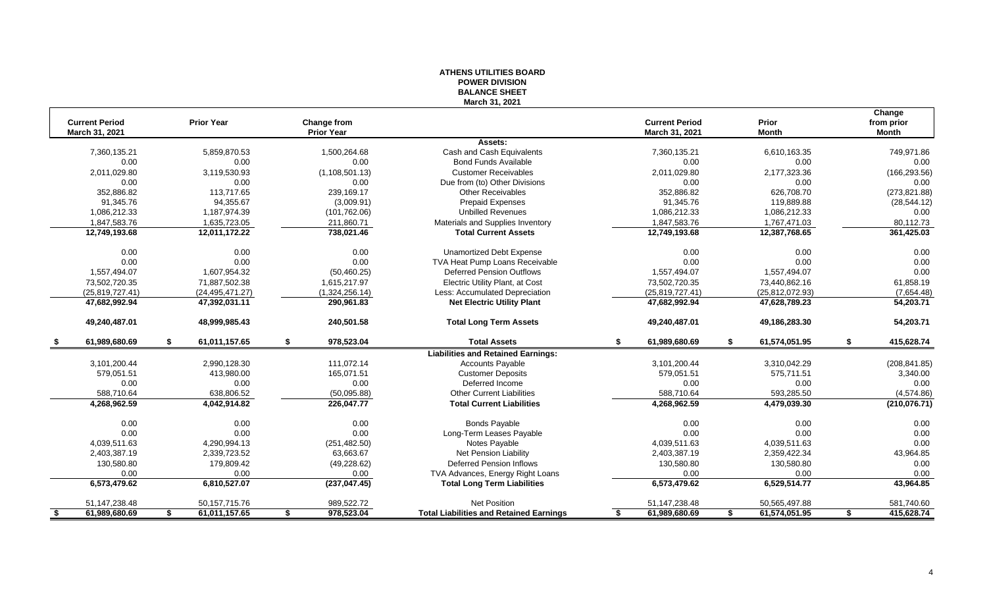| March 31, 2021<br>Change<br><b>Current Period</b><br><b>Prior Year</b><br>Change from<br><b>Current Period</b><br>Prior<br>from prior<br>March 31, 2021<br><b>Prior Year</b><br>March 31, 2021<br><b>Month</b><br><b>Month</b><br>Assets:<br>5,859,870.53<br>1,500,264.68<br>Cash and Cash Equivalents<br>6,610,163.35<br>749,971.86<br>7,360,135.21<br>7,360,135.21<br>0.00<br>0.00<br>0.00<br>0.00<br>0.00<br><b>Bond Funds Available</b><br>0.00<br>2,011,029.80<br>3,119,530.93<br>2,011,029.80<br>2,177,323.36<br>(166, 293.56)<br>(1, 108, 501.13)<br><b>Customer Receivables</b><br>0.00<br>0.00<br>0.00<br>Due from (to) Other Divisions<br>0.00<br>0.00<br>0.00<br>626,708.70<br>352,886.82<br>113,717.65<br>239,169.17<br><b>Other Receivables</b><br>352,886.82<br>(273, 821.88)<br>91,345.76<br>91,345.76<br>94,355.67<br>(3,009.91)<br><b>Prepaid Expenses</b><br>119,889.88<br>(28, 544.12)<br><b>Unbilled Revenues</b><br>1,086,212.33<br>1,187,974.39<br>(101, 762.06)<br>1,086,212.33<br>1,086,212.33<br>0.00<br>1,847,583.76<br>Materials and Supplies Inventory<br>1,847,583.76<br>80,112.73<br>1,635,723.05<br>211,860.71<br>1,767,471.03<br>361,425.03<br>12,749,193.68<br>12,011,172.22<br>738,021.46<br><b>Total Current Assets</b><br>12,749,193.68<br>12,387,768.65<br>0.00<br>0.00<br>0.00<br>0.00<br>0.00<br>Unamortized Debt Expense<br>0.00<br>0.00<br>0.00<br>0.00<br>0.00<br>0.00<br>TVA Heat Pump Loans Receivable<br>0.00<br>0.00<br><b>Deferred Pension Outflows</b><br>1,557,494.07<br>1,607,954.32<br>(50, 460.25)<br>1,557,494.07<br>1,557,494.07<br>73,502,720.35<br>73,440,862.16<br>61,858.19<br>71,887,502.38<br>1,615,217.97<br>Electric Utility Plant, at Cost<br>73,502,720.35<br>(25,819,727.41)<br>(1,324,256.14)<br>Less: Accumulated Depreciation<br>(25,819,727.41)<br>(25, 812, 072.93)<br>(7,654.48)<br>(24, 495, 471.27)<br>47,682,992.94<br>47,392,031.11<br>290,961.83<br><b>Net Electric Utility Plant</b><br>47,682,992.94<br>47,628,789.23<br>54,203.71<br>48,999,985.43<br>240,501.58<br>54,203.71<br>49,240,487.01<br><b>Total Long Term Assets</b><br>49,240,487.01<br>49,186,283.30<br>61,989,680.69<br>61,011,157.65<br>978,523.04<br><b>Total Assets</b><br>61,989,680.69<br>61,574,051.95<br>415,628.74<br>\$<br>S.<br>S.<br><b>Liabilities and Retained Earnings:</b><br>2,990,128.30<br>111,072.14<br>3,101,200.44<br>3,310,042.29<br>(208, 841.85)<br>3,101,200.44<br><b>Accounts Payable</b><br>579,051.51<br>413,980.00<br>165,071.51<br><b>Customer Deposits</b><br>579,051.51<br>575,711.51<br>3,340.00<br>0.00<br>0.00<br>Deferred Income<br>0.00<br>0.00<br>0.00<br>0.00<br>638,806.52<br><b>Other Current Liabilities</b><br>588,710.64<br>593,285.50<br>588,710.64<br>(50,095.88)<br>(4,574.86)<br>(210, 076.71)<br>4,268,962.59<br>4,042,914.82<br>226,047.77<br><b>Total Current Liabilities</b><br>4,268,962.59<br>4,479,039.30<br>0.00<br><b>Bonds Payable</b><br>0.00<br>0.00<br>0.00<br>0.00<br>0.00<br>0.00<br>0.00<br>0.00<br>Long-Term Leases Payable<br>0.00<br>0.00<br>0.00<br>0.00<br>4,039,511.63<br>4,290,994.13<br>(251, 482.50)<br>Notes Payable<br>4,039,511.63<br>4,039,511.63<br>Net Pension Liability<br>43,964.85<br>2,403,387.19<br>2,339,723.52<br>63,663.67<br>2,403,387.19<br>2,359,422.34<br>130,580.80<br>179,809.42<br>(49, 228.62)<br><b>Deferred Pension Inflows</b><br>130,580.80<br>130,580.80<br>0.00<br>0.00<br>0.00<br>0.00<br>0.00<br>0.00<br>0.00<br>TVA Advances, Energy Right Loans<br>(237, 047.45)<br>43,964.85<br>6,573,479.62<br>6,810,527.07<br><b>Total Long Term Liabilities</b><br>6,573,479.62<br>6,529,514.77<br><b>Net Position</b><br>51,147,238.48<br>51, 147, 238. 48<br>50, 157, 715. 76<br>989,522.72<br>50,565,497.88<br>581,740.60 |                     |                     |                  | <b>FUWER DIVISIUN</b><br><b>BALANCE SHEET</b>  |                     |                     |                  |
|------------------------------------------------------------------------------------------------------------------------------------------------------------------------------------------------------------------------------------------------------------------------------------------------------------------------------------------------------------------------------------------------------------------------------------------------------------------------------------------------------------------------------------------------------------------------------------------------------------------------------------------------------------------------------------------------------------------------------------------------------------------------------------------------------------------------------------------------------------------------------------------------------------------------------------------------------------------------------------------------------------------------------------------------------------------------------------------------------------------------------------------------------------------------------------------------------------------------------------------------------------------------------------------------------------------------------------------------------------------------------------------------------------------------------------------------------------------------------------------------------------------------------------------------------------------------------------------------------------------------------------------------------------------------------------------------------------------------------------------------------------------------------------------------------------------------------------------------------------------------------------------------------------------------------------------------------------------------------------------------------------------------------------------------------------------------------------------------------------------------------------------------------------------------------------------------------------------------------------------------------------------------------------------------------------------------------------------------------------------------------------------------------------------------------------------------------------------------------------------------------------------------------------------------------------------------------------------------------------------------------------------------------------------------------------------------------------------------------------------------------------------------------------------------------------------------------------------------------------------------------------------------------------------------------------------------------------------------------------------------------------------------------------------------------------------------------------------------------------------------------------------------------------------------------------------------------------------------------------------------------------------------------------------------------------------------------------------------------------------------------------------------------------------------------------------------------------------------------------------------------------------------------------------------------------------------------------------------------------------------------------------------------------------------------------------------------------------------------------------------------------------------|---------------------|---------------------|------------------|------------------------------------------------|---------------------|---------------------|------------------|
|                                                                                                                                                                                                                                                                                                                                                                                                                                                                                                                                                                                                                                                                                                                                                                                                                                                                                                                                                                                                                                                                                                                                                                                                                                                                                                                                                                                                                                                                                                                                                                                                                                                                                                                                                                                                                                                                                                                                                                                                                                                                                                                                                                                                                                                                                                                                                                                                                                                                                                                                                                                                                                                                                                                                                                                                                                                                                                                                                                                                                                                                                                                                                                                                                                                                                                                                                                                                                                                                                                                                                                                                                                                                                                                                                                        |                     |                     |                  |                                                |                     |                     |                  |
|                                                                                                                                                                                                                                                                                                                                                                                                                                                                                                                                                                                                                                                                                                                                                                                                                                                                                                                                                                                                                                                                                                                                                                                                                                                                                                                                                                                                                                                                                                                                                                                                                                                                                                                                                                                                                                                                                                                                                                                                                                                                                                                                                                                                                                                                                                                                                                                                                                                                                                                                                                                                                                                                                                                                                                                                                                                                                                                                                                                                                                                                                                                                                                                                                                                                                                                                                                                                                                                                                                                                                                                                                                                                                                                                                                        |                     |                     |                  |                                                |                     |                     |                  |
|                                                                                                                                                                                                                                                                                                                                                                                                                                                                                                                                                                                                                                                                                                                                                                                                                                                                                                                                                                                                                                                                                                                                                                                                                                                                                                                                                                                                                                                                                                                                                                                                                                                                                                                                                                                                                                                                                                                                                                                                                                                                                                                                                                                                                                                                                                                                                                                                                                                                                                                                                                                                                                                                                                                                                                                                                                                                                                                                                                                                                                                                                                                                                                                                                                                                                                                                                                                                                                                                                                                                                                                                                                                                                                                                                                        |                     |                     |                  |                                                |                     |                     |                  |
|                                                                                                                                                                                                                                                                                                                                                                                                                                                                                                                                                                                                                                                                                                                                                                                                                                                                                                                                                                                                                                                                                                                                                                                                                                                                                                                                                                                                                                                                                                                                                                                                                                                                                                                                                                                                                                                                                                                                                                                                                                                                                                                                                                                                                                                                                                                                                                                                                                                                                                                                                                                                                                                                                                                                                                                                                                                                                                                                                                                                                                                                                                                                                                                                                                                                                                                                                                                                                                                                                                                                                                                                                                                                                                                                                                        |                     |                     |                  |                                                |                     |                     |                  |
|                                                                                                                                                                                                                                                                                                                                                                                                                                                                                                                                                                                                                                                                                                                                                                                                                                                                                                                                                                                                                                                                                                                                                                                                                                                                                                                                                                                                                                                                                                                                                                                                                                                                                                                                                                                                                                                                                                                                                                                                                                                                                                                                                                                                                                                                                                                                                                                                                                                                                                                                                                                                                                                                                                                                                                                                                                                                                                                                                                                                                                                                                                                                                                                                                                                                                                                                                                                                                                                                                                                                                                                                                                                                                                                                                                        |                     |                     |                  |                                                |                     |                     |                  |
|                                                                                                                                                                                                                                                                                                                                                                                                                                                                                                                                                                                                                                                                                                                                                                                                                                                                                                                                                                                                                                                                                                                                                                                                                                                                                                                                                                                                                                                                                                                                                                                                                                                                                                                                                                                                                                                                                                                                                                                                                                                                                                                                                                                                                                                                                                                                                                                                                                                                                                                                                                                                                                                                                                                                                                                                                                                                                                                                                                                                                                                                                                                                                                                                                                                                                                                                                                                                                                                                                                                                                                                                                                                                                                                                                                        |                     |                     |                  |                                                |                     |                     |                  |
|                                                                                                                                                                                                                                                                                                                                                                                                                                                                                                                                                                                                                                                                                                                                                                                                                                                                                                                                                                                                                                                                                                                                                                                                                                                                                                                                                                                                                                                                                                                                                                                                                                                                                                                                                                                                                                                                                                                                                                                                                                                                                                                                                                                                                                                                                                                                                                                                                                                                                                                                                                                                                                                                                                                                                                                                                                                                                                                                                                                                                                                                                                                                                                                                                                                                                                                                                                                                                                                                                                                                                                                                                                                                                                                                                                        |                     |                     |                  |                                                |                     |                     |                  |
|                                                                                                                                                                                                                                                                                                                                                                                                                                                                                                                                                                                                                                                                                                                                                                                                                                                                                                                                                                                                                                                                                                                                                                                                                                                                                                                                                                                                                                                                                                                                                                                                                                                                                                                                                                                                                                                                                                                                                                                                                                                                                                                                                                                                                                                                                                                                                                                                                                                                                                                                                                                                                                                                                                                                                                                                                                                                                                                                                                                                                                                                                                                                                                                                                                                                                                                                                                                                                                                                                                                                                                                                                                                                                                                                                                        |                     |                     |                  |                                                |                     |                     |                  |
|                                                                                                                                                                                                                                                                                                                                                                                                                                                                                                                                                                                                                                                                                                                                                                                                                                                                                                                                                                                                                                                                                                                                                                                                                                                                                                                                                                                                                                                                                                                                                                                                                                                                                                                                                                                                                                                                                                                                                                                                                                                                                                                                                                                                                                                                                                                                                                                                                                                                                                                                                                                                                                                                                                                                                                                                                                                                                                                                                                                                                                                                                                                                                                                                                                                                                                                                                                                                                                                                                                                                                                                                                                                                                                                                                                        |                     |                     |                  |                                                |                     |                     |                  |
|                                                                                                                                                                                                                                                                                                                                                                                                                                                                                                                                                                                                                                                                                                                                                                                                                                                                                                                                                                                                                                                                                                                                                                                                                                                                                                                                                                                                                                                                                                                                                                                                                                                                                                                                                                                                                                                                                                                                                                                                                                                                                                                                                                                                                                                                                                                                                                                                                                                                                                                                                                                                                                                                                                                                                                                                                                                                                                                                                                                                                                                                                                                                                                                                                                                                                                                                                                                                                                                                                                                                                                                                                                                                                                                                                                        |                     |                     |                  |                                                |                     |                     |                  |
|                                                                                                                                                                                                                                                                                                                                                                                                                                                                                                                                                                                                                                                                                                                                                                                                                                                                                                                                                                                                                                                                                                                                                                                                                                                                                                                                                                                                                                                                                                                                                                                                                                                                                                                                                                                                                                                                                                                                                                                                                                                                                                                                                                                                                                                                                                                                                                                                                                                                                                                                                                                                                                                                                                                                                                                                                                                                                                                                                                                                                                                                                                                                                                                                                                                                                                                                                                                                                                                                                                                                                                                                                                                                                                                                                                        |                     |                     |                  |                                                |                     |                     |                  |
|                                                                                                                                                                                                                                                                                                                                                                                                                                                                                                                                                                                                                                                                                                                                                                                                                                                                                                                                                                                                                                                                                                                                                                                                                                                                                                                                                                                                                                                                                                                                                                                                                                                                                                                                                                                                                                                                                                                                                                                                                                                                                                                                                                                                                                                                                                                                                                                                                                                                                                                                                                                                                                                                                                                                                                                                                                                                                                                                                                                                                                                                                                                                                                                                                                                                                                                                                                                                                                                                                                                                                                                                                                                                                                                                                                        |                     |                     |                  |                                                |                     |                     |                  |
|                                                                                                                                                                                                                                                                                                                                                                                                                                                                                                                                                                                                                                                                                                                                                                                                                                                                                                                                                                                                                                                                                                                                                                                                                                                                                                                                                                                                                                                                                                                                                                                                                                                                                                                                                                                                                                                                                                                                                                                                                                                                                                                                                                                                                                                                                                                                                                                                                                                                                                                                                                                                                                                                                                                                                                                                                                                                                                                                                                                                                                                                                                                                                                                                                                                                                                                                                                                                                                                                                                                                                                                                                                                                                                                                                                        |                     |                     |                  |                                                |                     |                     |                  |
|                                                                                                                                                                                                                                                                                                                                                                                                                                                                                                                                                                                                                                                                                                                                                                                                                                                                                                                                                                                                                                                                                                                                                                                                                                                                                                                                                                                                                                                                                                                                                                                                                                                                                                                                                                                                                                                                                                                                                                                                                                                                                                                                                                                                                                                                                                                                                                                                                                                                                                                                                                                                                                                                                                                                                                                                                                                                                                                                                                                                                                                                                                                                                                                                                                                                                                                                                                                                                                                                                                                                                                                                                                                                                                                                                                        |                     |                     |                  |                                                |                     |                     |                  |
|                                                                                                                                                                                                                                                                                                                                                                                                                                                                                                                                                                                                                                                                                                                                                                                                                                                                                                                                                                                                                                                                                                                                                                                                                                                                                                                                                                                                                                                                                                                                                                                                                                                                                                                                                                                                                                                                                                                                                                                                                                                                                                                                                                                                                                                                                                                                                                                                                                                                                                                                                                                                                                                                                                                                                                                                                                                                                                                                                                                                                                                                                                                                                                                                                                                                                                                                                                                                                                                                                                                                                                                                                                                                                                                                                                        |                     |                     |                  |                                                |                     |                     |                  |
|                                                                                                                                                                                                                                                                                                                                                                                                                                                                                                                                                                                                                                                                                                                                                                                                                                                                                                                                                                                                                                                                                                                                                                                                                                                                                                                                                                                                                                                                                                                                                                                                                                                                                                                                                                                                                                                                                                                                                                                                                                                                                                                                                                                                                                                                                                                                                                                                                                                                                                                                                                                                                                                                                                                                                                                                                                                                                                                                                                                                                                                                                                                                                                                                                                                                                                                                                                                                                                                                                                                                                                                                                                                                                                                                                                        |                     |                     |                  |                                                |                     |                     |                  |
|                                                                                                                                                                                                                                                                                                                                                                                                                                                                                                                                                                                                                                                                                                                                                                                                                                                                                                                                                                                                                                                                                                                                                                                                                                                                                                                                                                                                                                                                                                                                                                                                                                                                                                                                                                                                                                                                                                                                                                                                                                                                                                                                                                                                                                                                                                                                                                                                                                                                                                                                                                                                                                                                                                                                                                                                                                                                                                                                                                                                                                                                                                                                                                                                                                                                                                                                                                                                                                                                                                                                                                                                                                                                                                                                                                        |                     |                     |                  |                                                |                     |                     |                  |
|                                                                                                                                                                                                                                                                                                                                                                                                                                                                                                                                                                                                                                                                                                                                                                                                                                                                                                                                                                                                                                                                                                                                                                                                                                                                                                                                                                                                                                                                                                                                                                                                                                                                                                                                                                                                                                                                                                                                                                                                                                                                                                                                                                                                                                                                                                                                                                                                                                                                                                                                                                                                                                                                                                                                                                                                                                                                                                                                                                                                                                                                                                                                                                                                                                                                                                                                                                                                                                                                                                                                                                                                                                                                                                                                                                        |                     |                     |                  |                                                |                     |                     |                  |
|                                                                                                                                                                                                                                                                                                                                                                                                                                                                                                                                                                                                                                                                                                                                                                                                                                                                                                                                                                                                                                                                                                                                                                                                                                                                                                                                                                                                                                                                                                                                                                                                                                                                                                                                                                                                                                                                                                                                                                                                                                                                                                                                                                                                                                                                                                                                                                                                                                                                                                                                                                                                                                                                                                                                                                                                                                                                                                                                                                                                                                                                                                                                                                                                                                                                                                                                                                                                                                                                                                                                                                                                                                                                                                                                                                        |                     |                     |                  |                                                |                     |                     |                  |
|                                                                                                                                                                                                                                                                                                                                                                                                                                                                                                                                                                                                                                                                                                                                                                                                                                                                                                                                                                                                                                                                                                                                                                                                                                                                                                                                                                                                                                                                                                                                                                                                                                                                                                                                                                                                                                                                                                                                                                                                                                                                                                                                                                                                                                                                                                                                                                                                                                                                                                                                                                                                                                                                                                                                                                                                                                                                                                                                                                                                                                                                                                                                                                                                                                                                                                                                                                                                                                                                                                                                                                                                                                                                                                                                                                        |                     |                     |                  |                                                |                     |                     |                  |
|                                                                                                                                                                                                                                                                                                                                                                                                                                                                                                                                                                                                                                                                                                                                                                                                                                                                                                                                                                                                                                                                                                                                                                                                                                                                                                                                                                                                                                                                                                                                                                                                                                                                                                                                                                                                                                                                                                                                                                                                                                                                                                                                                                                                                                                                                                                                                                                                                                                                                                                                                                                                                                                                                                                                                                                                                                                                                                                                                                                                                                                                                                                                                                                                                                                                                                                                                                                                                                                                                                                                                                                                                                                                                                                                                                        |                     |                     |                  |                                                |                     |                     |                  |
|                                                                                                                                                                                                                                                                                                                                                                                                                                                                                                                                                                                                                                                                                                                                                                                                                                                                                                                                                                                                                                                                                                                                                                                                                                                                                                                                                                                                                                                                                                                                                                                                                                                                                                                                                                                                                                                                                                                                                                                                                                                                                                                                                                                                                                                                                                                                                                                                                                                                                                                                                                                                                                                                                                                                                                                                                                                                                                                                                                                                                                                                                                                                                                                                                                                                                                                                                                                                                                                                                                                                                                                                                                                                                                                                                                        |                     |                     |                  |                                                |                     |                     |                  |
|                                                                                                                                                                                                                                                                                                                                                                                                                                                                                                                                                                                                                                                                                                                                                                                                                                                                                                                                                                                                                                                                                                                                                                                                                                                                                                                                                                                                                                                                                                                                                                                                                                                                                                                                                                                                                                                                                                                                                                                                                                                                                                                                                                                                                                                                                                                                                                                                                                                                                                                                                                                                                                                                                                                                                                                                                                                                                                                                                                                                                                                                                                                                                                                                                                                                                                                                                                                                                                                                                                                                                                                                                                                                                                                                                                        |                     |                     |                  |                                                |                     |                     |                  |
|                                                                                                                                                                                                                                                                                                                                                                                                                                                                                                                                                                                                                                                                                                                                                                                                                                                                                                                                                                                                                                                                                                                                                                                                                                                                                                                                                                                                                                                                                                                                                                                                                                                                                                                                                                                                                                                                                                                                                                                                                                                                                                                                                                                                                                                                                                                                                                                                                                                                                                                                                                                                                                                                                                                                                                                                                                                                                                                                                                                                                                                                                                                                                                                                                                                                                                                                                                                                                                                                                                                                                                                                                                                                                                                                                                        |                     |                     |                  |                                                |                     |                     |                  |
|                                                                                                                                                                                                                                                                                                                                                                                                                                                                                                                                                                                                                                                                                                                                                                                                                                                                                                                                                                                                                                                                                                                                                                                                                                                                                                                                                                                                                                                                                                                                                                                                                                                                                                                                                                                                                                                                                                                                                                                                                                                                                                                                                                                                                                                                                                                                                                                                                                                                                                                                                                                                                                                                                                                                                                                                                                                                                                                                                                                                                                                                                                                                                                                                                                                                                                                                                                                                                                                                                                                                                                                                                                                                                                                                                                        |                     |                     |                  |                                                |                     |                     |                  |
|                                                                                                                                                                                                                                                                                                                                                                                                                                                                                                                                                                                                                                                                                                                                                                                                                                                                                                                                                                                                                                                                                                                                                                                                                                                                                                                                                                                                                                                                                                                                                                                                                                                                                                                                                                                                                                                                                                                                                                                                                                                                                                                                                                                                                                                                                                                                                                                                                                                                                                                                                                                                                                                                                                                                                                                                                                                                                                                                                                                                                                                                                                                                                                                                                                                                                                                                                                                                                                                                                                                                                                                                                                                                                                                                                                        |                     |                     |                  |                                                |                     |                     |                  |
|                                                                                                                                                                                                                                                                                                                                                                                                                                                                                                                                                                                                                                                                                                                                                                                                                                                                                                                                                                                                                                                                                                                                                                                                                                                                                                                                                                                                                                                                                                                                                                                                                                                                                                                                                                                                                                                                                                                                                                                                                                                                                                                                                                                                                                                                                                                                                                                                                                                                                                                                                                                                                                                                                                                                                                                                                                                                                                                                                                                                                                                                                                                                                                                                                                                                                                                                                                                                                                                                                                                                                                                                                                                                                                                                                                        |                     |                     |                  |                                                |                     |                     |                  |
|                                                                                                                                                                                                                                                                                                                                                                                                                                                                                                                                                                                                                                                                                                                                                                                                                                                                                                                                                                                                                                                                                                                                                                                                                                                                                                                                                                                                                                                                                                                                                                                                                                                                                                                                                                                                                                                                                                                                                                                                                                                                                                                                                                                                                                                                                                                                                                                                                                                                                                                                                                                                                                                                                                                                                                                                                                                                                                                                                                                                                                                                                                                                                                                                                                                                                                                                                                                                                                                                                                                                                                                                                                                                                                                                                                        |                     |                     |                  |                                                |                     |                     |                  |
|                                                                                                                                                                                                                                                                                                                                                                                                                                                                                                                                                                                                                                                                                                                                                                                                                                                                                                                                                                                                                                                                                                                                                                                                                                                                                                                                                                                                                                                                                                                                                                                                                                                                                                                                                                                                                                                                                                                                                                                                                                                                                                                                                                                                                                                                                                                                                                                                                                                                                                                                                                                                                                                                                                                                                                                                                                                                                                                                                                                                                                                                                                                                                                                                                                                                                                                                                                                                                                                                                                                                                                                                                                                                                                                                                                        |                     |                     |                  |                                                |                     |                     |                  |
|                                                                                                                                                                                                                                                                                                                                                                                                                                                                                                                                                                                                                                                                                                                                                                                                                                                                                                                                                                                                                                                                                                                                                                                                                                                                                                                                                                                                                                                                                                                                                                                                                                                                                                                                                                                                                                                                                                                                                                                                                                                                                                                                                                                                                                                                                                                                                                                                                                                                                                                                                                                                                                                                                                                                                                                                                                                                                                                                                                                                                                                                                                                                                                                                                                                                                                                                                                                                                                                                                                                                                                                                                                                                                                                                                                        |                     |                     |                  |                                                |                     |                     |                  |
|                                                                                                                                                                                                                                                                                                                                                                                                                                                                                                                                                                                                                                                                                                                                                                                                                                                                                                                                                                                                                                                                                                                                                                                                                                                                                                                                                                                                                                                                                                                                                                                                                                                                                                                                                                                                                                                                                                                                                                                                                                                                                                                                                                                                                                                                                                                                                                                                                                                                                                                                                                                                                                                                                                                                                                                                                                                                                                                                                                                                                                                                                                                                                                                                                                                                                                                                                                                                                                                                                                                                                                                                                                                                                                                                                                        |                     |                     |                  |                                                |                     |                     |                  |
|                                                                                                                                                                                                                                                                                                                                                                                                                                                                                                                                                                                                                                                                                                                                                                                                                                                                                                                                                                                                                                                                                                                                                                                                                                                                                                                                                                                                                                                                                                                                                                                                                                                                                                                                                                                                                                                                                                                                                                                                                                                                                                                                                                                                                                                                                                                                                                                                                                                                                                                                                                                                                                                                                                                                                                                                                                                                                                                                                                                                                                                                                                                                                                                                                                                                                                                                                                                                                                                                                                                                                                                                                                                                                                                                                                        |                     |                     |                  |                                                |                     |                     |                  |
|                                                                                                                                                                                                                                                                                                                                                                                                                                                                                                                                                                                                                                                                                                                                                                                                                                                                                                                                                                                                                                                                                                                                                                                                                                                                                                                                                                                                                                                                                                                                                                                                                                                                                                                                                                                                                                                                                                                                                                                                                                                                                                                                                                                                                                                                                                                                                                                                                                                                                                                                                                                                                                                                                                                                                                                                                                                                                                                                                                                                                                                                                                                                                                                                                                                                                                                                                                                                                                                                                                                                                                                                                                                                                                                                                                        |                     |                     |                  |                                                |                     |                     |                  |
|                                                                                                                                                                                                                                                                                                                                                                                                                                                                                                                                                                                                                                                                                                                                                                                                                                                                                                                                                                                                                                                                                                                                                                                                                                                                                                                                                                                                                                                                                                                                                                                                                                                                                                                                                                                                                                                                                                                                                                                                                                                                                                                                                                                                                                                                                                                                                                                                                                                                                                                                                                                                                                                                                                                                                                                                                                                                                                                                                                                                                                                                                                                                                                                                                                                                                                                                                                                                                                                                                                                                                                                                                                                                                                                                                                        |                     |                     |                  |                                                |                     |                     |                  |
|                                                                                                                                                                                                                                                                                                                                                                                                                                                                                                                                                                                                                                                                                                                                                                                                                                                                                                                                                                                                                                                                                                                                                                                                                                                                                                                                                                                                                                                                                                                                                                                                                                                                                                                                                                                                                                                                                                                                                                                                                                                                                                                                                                                                                                                                                                                                                                                                                                                                                                                                                                                                                                                                                                                                                                                                                                                                                                                                                                                                                                                                                                                                                                                                                                                                                                                                                                                                                                                                                                                                                                                                                                                                                                                                                                        | 61,989,680.69<br>\$ | 61,011,157.65<br>\$ | 978,523.04<br>\$ | <b>Total Liabilities and Retained Earnings</b> | 61,989,680.69<br>\$ | 61,574,051.95<br>\$ | 415,628.74<br>\$ |

# **ATHENS UTILITIES BOARD POWER DIVISION**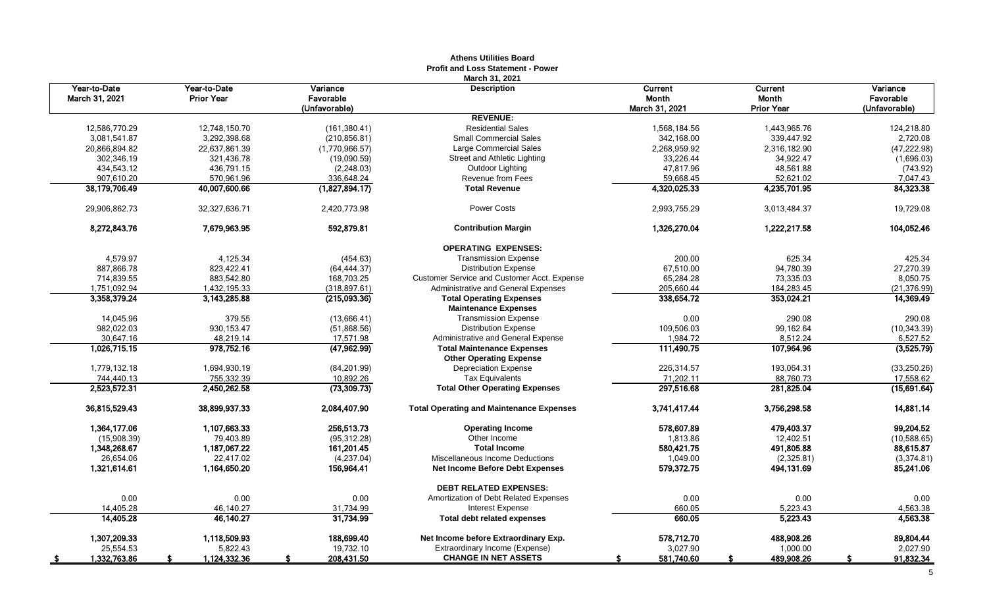|                                |                                   |                       | Aultiis Vulluts Duaru<br><b>Profit and Loss Statement - Power</b>   |                  |                   |                       |
|--------------------------------|-----------------------------------|-----------------------|---------------------------------------------------------------------|------------------|-------------------|-----------------------|
| Year-to-Date<br>March 31, 2021 | Year-to-Date<br><b>Prior Year</b> | Variance<br>Favorable | March 31, 2021<br><b>Description</b>                                | Current<br>Month | Current<br>Month  | Variance<br>Favorable |
|                                |                                   | (Unfavorable)         | <b>REVENUE:</b>                                                     | March 31, 2021   | <b>Prior Year</b> | (Unfavorable)         |
| 12,586,770.29                  | 12,748,150.70                     | (161, 380.41)         | <b>Residential Sales</b>                                            | 1,568,184.56     | 1,443,965.76      | 124,218.80            |
| 3,081,541.87                   | 3,292,398.68                      | (210, 856.81)         | <b>Small Commercial Sales</b>                                       | 342,168.00       | 339,447.92        | 2,720.08              |
| 20,866,894.82                  | 22,637,861.39                     | (1,770,966.57)        | Large Commercial Sales                                              | 2,268,959.92     | 2,316,182.90      | (47, 222.98)          |
| 302,346.19                     | 321,436.78                        | (19,090.59)           | Street and Athletic Lighting                                        | 33,226.44        | 34,922.47         | (1,696.03)            |
| 434,543.12                     | 436,791.15                        | (2, 248.03)           | Outdoor Lighting                                                    | 47,817.96        | 48,561.88         | (743.92)              |
| 907.610.20                     | 570,961.96                        | 336,648.24            | Revenue from Fees                                                   | 59,668.45        | 52,621.02         | 7,047.43              |
| 38,179,706.49                  | 40,007,600.66                     | (1,827,894.17)        | <b>Total Revenue</b>                                                | 4,320,025.33     | 4,235,701.95      | 84,323.38             |
| 29,906,862.73                  | 32,327,636.71                     | 2,420,773.98          | <b>Power Costs</b>                                                  | 2,993,755.29     | 3,013,484.37      | 19,729.08             |
| 8,272,843.76                   | 7.679.963.95                      | 592.879.81            | <b>Contribution Margin</b>                                          | 1,326,270.04     | 1,222,217.58      | 104,052.46            |
|                                |                                   |                       |                                                                     |                  |                   |                       |
|                                |                                   |                       | <b>OPERATING EXPENSES:</b>                                          |                  |                   |                       |
| 4,579.97                       | 4,125.34                          | (454.63)              | <b>Transmission Expense</b>                                         | 200.00           | 625.34            | 425.34                |
| 887,866.78                     | 823,422.41                        | (64, 444.37)          | <b>Distribution Expense</b>                                         | 67,510.00        | 94,780.39         | 27,270.39             |
| 714,839.55                     | 883,542.80                        | 168,703.25            | Customer Service and Customer Acct. Expense                         | 65,284.28        | 73,335.03         | 8,050.75              |
| 1,751,092.94                   | 1,432,195.33                      | (318.897.61)          | <b>Administrative and General Expenses</b>                          | 205,660.44       | 184,283.45        | (21, 376.99)          |
| 3,358,379.24                   | 3,143,285.88                      | (215,093.36)          | <b>Total Operating Expenses</b><br><b>Maintenance Expenses</b>      | 338,654.72       | 353,024.21        | 14,369.49             |
| 14,045.96                      | 379.55                            | (13,666.41)           | <b>Transmission Expense</b>                                         | 0.00             | 290.08            | 290.08                |
| 982,022.03                     | 930, 153.47                       | (51,868.56)           | <b>Distribution Expense</b>                                         | 109,506.03       | 99,162.64         | (10, 343.39)          |
| 30,647.16                      | 48,219.14                         | 17,571.98             | Administrative and General Expense                                  | 1,984.72         | 8,512.24          | 6,527.52              |
| 1,026,715.15                   | 978,752.16                        | (47,962.99)           | <b>Total Maintenance Expenses</b><br><b>Other Operating Expense</b> | 111,490.75       | 107,964.96        | (3,525.79)            |
| 1,779,132.18                   | 1,694,930.19                      | (84, 201.99)          | <b>Depreciation Expense</b>                                         | 226,314.57       | 193,064.31        | (33, 250.26)          |
| 744,440.13                     | 755,332.39                        | 10,892.26             | <b>Tax Equivalents</b>                                              | 71,202.11        | 88,760.73         | 17,558.62             |
| 2,523,572.31                   | 2,450,262.58                      | (73, 309.73)          | <b>Total Other Operating Expenses</b>                               | 297,516.68       | 281,825.04        | (15,691.64)           |
| 36,815,529.43                  | 38,899,937.33                     | 2,084,407.90          | <b>Total Operating and Maintenance Expenses</b>                     | 3,741,417.44     | 3,756,298.58      | 14,881.14             |
| 1.364.177.06                   | 1,107,663.33                      | 256,513.73            | <b>Operating Income</b>                                             | 578,607.89       | 479,403.37        | 99,204.52             |
| (15,908.39)                    | 79,403.89                         | (95, 312.28)          | Other Income                                                        | 1,813.86         | 12,402.51         | (10,588.65)           |
| 1,348,268.67                   | 1,187,067.22                      | 161,201.45            | <b>Total Income</b>                                                 | 580,421.75       | 491,805.88        | 88,615.87             |
| 26,654.06                      | 22,417.02                         | (4,237.04)            | Miscellaneous Income Deductions                                     | 1,049.00         | (2,325.81)        | (3,374.81)            |
| 1,321,614.61                   | 1,164,650.20                      | 156,964.41            | <b>Net Income Before Debt Expenses</b>                              | 579,372.75       | 494,131.69        | 85,241.06             |
|                                |                                   |                       | <b>DEBT RELATED EXPENSES:</b>                                       |                  |                   |                       |
| 0.00                           | 0.00                              | 0.00                  | Amortization of Debt Related Expenses                               | 0.00             | 0.00              | 0.00                  |
| 14,405.28                      | 46,140.27                         | 31,734.99             | <b>Interest Expense</b>                                             | 660.05           | 5,223.43          | 4,563.38              |
| 14,405.28                      | 46,140.27                         | 31,734.99             | <b>Total debt related expenses</b>                                  | 660.05           | 5,223.43          | 4,563.38              |
| 1,307,209.33                   | 1,118,509.93                      | 188,699.40            | Net Income before Extraordinary Exp.                                | 578,712.70       | 488,908.26        | 89,804.44             |
| 25,554.53                      | 5,822.43                          | 19,732.10             | Extraordinary Income (Expense)                                      | 3,027.90         | 1,000.00          | 2,027.90              |
| 1,332,763.86<br>- 56           | 1,124,332.36                      | 208,431.50            | <b>CHANGE IN NET ASSETS</b>                                         | 581,740.60       | 489,908.26        | 91,832.34<br>£.       |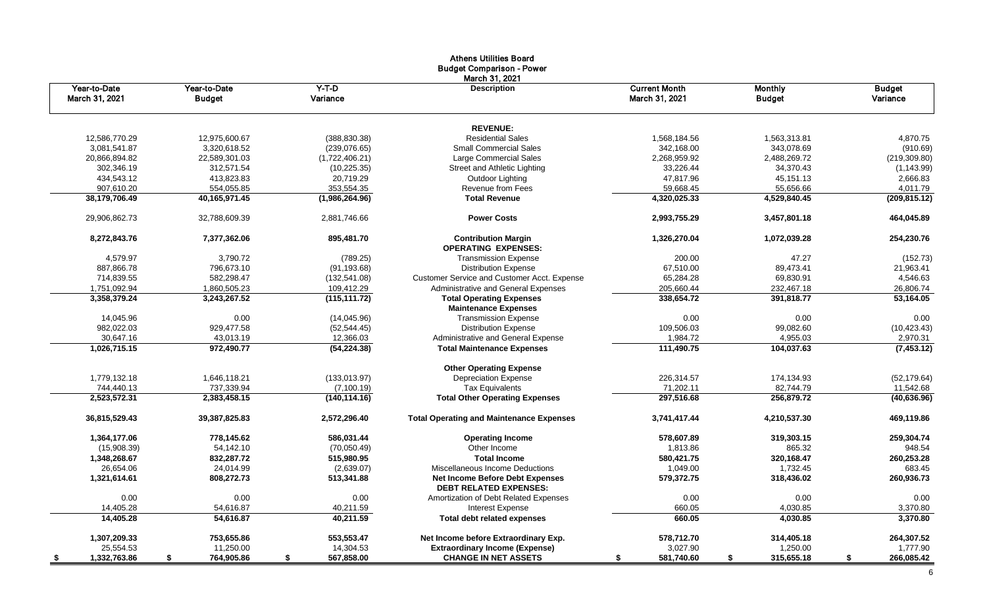|                                |                               |                     | שטט פסווווווסט ווארוווויס<br><b>Budget Comparison - Power</b>           |                                        |                                 |                           |
|--------------------------------|-------------------------------|---------------------|-------------------------------------------------------------------------|----------------------------------------|---------------------------------|---------------------------|
| Year-to-Date<br>March 31, 2021 | Year-to-Date<br><b>Budget</b> | $Y-T-D$<br>Variance | March 31, 2021<br><b>Description</b>                                    | <b>Current Month</b><br>March 31, 2021 | <b>Monthly</b><br><b>Budget</b> | <b>Budget</b><br>Variance |
|                                |                               |                     | <b>REVENUE:</b>                                                         |                                        |                                 |                           |
| 12,586,770.29                  | 12,975,600.67                 | (388, 830.38)       | <b>Residential Sales</b>                                                | 1,568,184.56                           | 1,563,313.81                    | 4,870.75                  |
| 3,081,541.87                   | 3,320,618.52                  | (239, 076.65)       | <b>Small Commercial Sales</b>                                           | 342,168.00                             | 343,078.69                      | (910.69)                  |
| 20,866,894.82                  | 22,589,301.03                 | (1,722,406.21)      | Large Commercial Sales                                                  | 2,268,959.92                           | 2,488,269.72                    | (219, 309.80)             |
| 302,346.19                     | 312,571.54                    | (10, 225.35)        | Street and Athletic Lighting                                            | 33,226.44                              | 34,370.43                       | (1, 143.99)               |
| 434,543.12                     | 413,823.83                    | 20,719.29           | Outdoor Lighting                                                        | 47,817.96                              | 45,151.13                       | 2,666.83                  |
| 907,610.20                     | 554,055.85                    | 353,554.35          | <b>Revenue from Fees</b>                                                | 59,668.45                              | 55,656.66                       | 4,011.79                  |
| 38,179,706.49                  | 40,165,971.45                 | (1,986,264.96)      | <b>Total Revenue</b>                                                    | 4,320,025.33                           | 4,529,840.45                    | (209, 815.12)             |
| 29,906,862.73                  | 32,788,609.39                 | 2,881,746.66        | <b>Power Costs</b>                                                      | 2,993,755.29                           | 3,457,801.18                    | 464,045.89                |
| 8,272,843.76                   | 7,377,362.06                  | 895,481.70          | <b>Contribution Margin</b><br><b>OPERATING EXPENSES:</b>                | 1,326,270.04                           | 1,072,039.28                    | 254,230.76                |
| 4,579.97                       | 3,790.72                      | (789.25)            | <b>Transmission Expense</b>                                             | 200.00                                 | 47.27                           | (152.73)                  |
| 887,866.78                     | 796,673.10                    | (91, 193.68)        | <b>Distribution Expense</b>                                             | 67,510.00                              | 89,473.41                       | 21,963.41                 |
| 714,839.55                     | 582,298.47                    | (132, 541.08)       | Customer Service and Customer Acct. Expense                             | 65,284.28                              | 69,830.91                       | 4,546.63                  |
| 1,751,092.94                   | 1,860,505.23                  | 109,412.29          | Administrative and General Expenses                                     | 205,660.44                             | 232.467.18                      | 26,806.74                 |
| 3,358,379.24                   | 3,243,267.52                  | (115, 111.72)       | <b>Total Operating Expenses</b><br><b>Maintenance Expenses</b>          | 338,654.72                             | 391,818.77                      | 53,164.05                 |
| 14,045.96                      | 0.00                          | (14, 045.96)        | <b>Transmission Expense</b>                                             | 0.00                                   | 0.00                            | 0.00                      |
| 982,022.03                     | 929,477.58                    | (52, 544.45)        | <b>Distribution Expense</b>                                             | 109,506.03                             | 99,082.60                       | (10, 423.43)              |
| 30,647.16                      | 43,013.19                     | 12,366.03           | Administrative and General Expense                                      | 1,984.72                               | 4,955.03                        | 2,970.31                  |
| 1,026,715.15                   | 972,490.77                    | (54,224.38)         | <b>Total Maintenance Expenses</b>                                       | 111,490.75                             | 104,037.63                      | (7, 453.12)               |
|                                |                               |                     | <b>Other Operating Expense</b>                                          |                                        |                                 |                           |
| 1,779,132.18                   | 1,646,118.21                  | (133,013.97)        | <b>Depreciation Expense</b>                                             | 226,314.57                             | 174,134.93                      | (52, 179.64)              |
| 744.440.13                     | 737,339.94                    | (7, 100.19)         | <b>Tax Equivalents</b>                                                  | 71,202.11                              | 82,744.79                       | 11,542.68                 |
| 2,523,572.31                   | 2,383,458.15                  | (140, 114.16)       | <b>Total Other Operating Expenses</b>                                   | 297,516.68                             | 256,879.72                      | (40, 636.96)              |
| 36,815,529.43                  | 39,387,825.83                 | 2,572,296.40        | <b>Total Operating and Maintenance Expenses</b>                         | 3,741,417.44                           | 4,210,537.30                    | 469,119.86                |
| 1,364,177.06                   | 778,145.62                    | 586,031.44          | <b>Operating Income</b>                                                 | 578,607.89                             | 319,303.15                      | 259,304.74                |
| (15,908.39)                    | 54.142.10                     | (70,050.49)         | Other Income                                                            | 1,813.86                               | 865.32                          | 948.54                    |
| 1,348,268.67                   | 832,287.72                    | 515,980.95          | <b>Total Income</b>                                                     | 580,421.75                             | 320,168.47                      | 260,253.28                |
| 26,654.06                      | 24,014.99                     | (2,639.07)          | Miscellaneous Income Deductions                                         | 1,049.00                               | 1,732.45                        | 683.45                    |
| 1,321,614.61                   | 808,272.73                    | 513,341.88          | <b>Net Income Before Debt Expenses</b><br><b>DEBT RELATED EXPENSES:</b> | 579,372.75                             | 318,436.02                      | 260,936.73                |
| 0.00                           | 0.00                          | 0.00                | Amortization of Debt Related Expenses                                   | 0.00                                   | 0.00                            | 0.00                      |
| 14,405.28                      | 54,616.87                     | 40,211.59           | <b>Interest Expense</b>                                                 | 660.05                                 | 4,030.85                        | 3,370.80                  |
| 14,405.28                      | 54,616.87                     | 40,211.59           | <b>Total debt related expenses</b>                                      | 660.05                                 | 4,030.85                        | 3,370.80                  |
| 1,307,209.33                   | 753,655.86                    | 553,553.47          | Net Income before Extraordinary Exp.                                    | 578,712.70                             | 314,405.18                      | 264,307.52                |
| 25,554.53                      | 11,250.00                     | 14,304.53           | <b>Extraordinary Income (Expense)</b>                                   | 3,027.90                               | 1,250.00                        | 1,777.90                  |
| 1,332,763.86<br>- \$           | 764,905.86<br>\$              | 567,858.00<br>\$    | <b>CHANGE IN NET ASSETS</b>                                             | 581,740.60<br>s.                       | 315,655.18<br>\$                | 266,085.42<br>\$          |

# Athens Utilities Board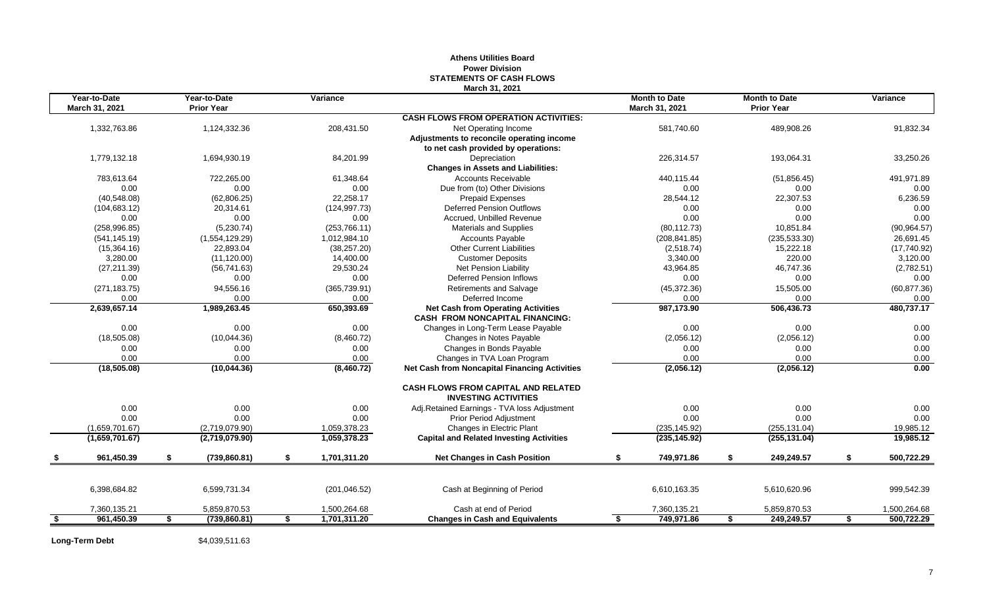|    |                                |    |                                   |                    | March 31, 2021                                                            |                                        |    |                                           |                  |
|----|--------------------------------|----|-----------------------------------|--------------------|---------------------------------------------------------------------------|----------------------------------------|----|-------------------------------------------|------------------|
|    | Year-to-Date<br>March 31, 2021 |    | Year-to-Date<br><b>Prior Year</b> | <b>Variance</b>    |                                                                           | <b>Month to Date</b><br>March 31, 2021 |    | <b>Month to Date</b><br><b>Prior Year</b> | Variance         |
|    |                                |    |                                   |                    | <b>CASH FLOWS FROM OPERATION ACTIVITIES:</b>                              |                                        |    |                                           |                  |
|    | 1,332,763.86                   |    | 1,124,332.36                      | 208,431.50         | Net Operating Income                                                      | 581,740.60                             |    | 489,908.26                                | 91,832.34        |
|    |                                |    |                                   |                    | Adjustments to reconcile operating income                                 |                                        |    |                                           |                  |
|    |                                |    |                                   |                    | to net cash provided by operations:                                       |                                        |    |                                           |                  |
|    | 1,779,132.18                   |    | 1,694,930.19                      | 84,201.99          | Depreciation                                                              | 226,314.57                             |    | 193,064.31                                | 33,250.26        |
|    |                                |    |                                   |                    | <b>Changes in Assets and Liabilities:</b>                                 |                                        |    |                                           |                  |
|    | 783,613.64                     |    | 722,265.00                        | 61,348.64          | <b>Accounts Receivable</b>                                                | 440,115.44                             |    | (51, 856.45)                              | 491,971.89       |
|    | 0.00                           |    | 0.00                              | 0.00               | Due from (to) Other Divisions                                             | 0.00                                   |    | 0.00                                      | 0.00             |
|    | (40, 548.08)                   |    | (62, 806.25)                      | 22,258.17          | <b>Prepaid Expenses</b>                                                   | 28,544.12                              |    | 22,307.53                                 | 6,236.59         |
|    | (104, 683.12)                  |    | 20,314.61                         | (124, 997.73)      | <b>Deferred Pension Outflows</b>                                          | 0.00                                   |    | 0.00                                      | 0.00             |
|    | 0.00                           |    | 0.00                              | 0.00               | Accrued, Unbilled Revenue                                                 | 0.00                                   |    | 0.00                                      | 0.00             |
|    | (258, 996.85)                  |    | (5,230.74)                        | (253, 766.11)      | Materials and Supplies                                                    | (80, 112.73)                           |    | 10,851.84                                 | (90, 964.57)     |
|    | (541, 145.19)                  |    | (1,554,129.29)                    | 1,012,984.10       | <b>Accounts Payable</b>                                                   | (208, 841.85)                          |    | (235, 533.30)                             | 26,691.45        |
|    | (15,364.16)                    |    | 22,893.04                         | (38, 257.20)       | <b>Other Current Liabilities</b>                                          | (2,518.74)                             |    | 15,222.18                                 | (17,740.92)      |
|    | 3,280.00                       |    | (11, 120.00)                      | 14,400.00          | <b>Customer Deposits</b>                                                  | 3,340.00                               |    | 220.00                                    | 3,120.00         |
|    | (27, 211.39)                   |    | (56, 741.63)                      | 29,530.24          | Net Pension Liability                                                     | 43,964.85                              |    | 46,747.36                                 | (2,782.51)       |
|    | 0.00                           |    | 0.00                              | 0.00               | <b>Deferred Pension Inflows</b>                                           | 0.00                                   |    | 0.00                                      | 0.00             |
|    | (271, 183.75)                  |    | 94,556.16                         | (365, 739.91)      | <b>Retirements and Salvage</b>                                            | (45, 372.36)                           |    | 15,505.00                                 | (60, 877.36)     |
|    | 0.00                           |    | 0.00                              | 0.00               | Deferred Income                                                           | 0.00                                   |    | 0.00                                      | 0.00             |
|    | 2,639,657.14                   |    | 1,989,263.45                      | 650,393.69         | <b>Net Cash from Operating Activities</b>                                 | 987,173.90                             |    | 506,436.73                                | 480,737.17       |
|    |                                |    |                                   |                    | <b>CASH FROM NONCAPITAL FINANCING:</b>                                    |                                        |    |                                           |                  |
|    | 0.00                           |    | 0.00                              | 0.00               | Changes in Long-Term Lease Payable                                        | 0.00                                   |    | 0.00                                      | 0.00             |
|    | (18,505.08)                    |    | (10,044.36)                       | (8,460.72)         | Changes in Notes Payable                                                  | (2,056.12)                             |    | (2,056.12)                                | 0.00             |
|    | 0.00                           |    | 0.00                              | 0.00               | Changes in Bonds Payable                                                  | 0.00                                   |    | 0.00                                      | 0.00             |
|    | 0.00                           |    | 0.00                              | 0.00               | Changes in TVA Loan Program                                               | 0.00                                   |    | 0.00                                      | 0.00             |
|    | (18, 505.08)                   |    | (10,044.36)                       | (8,460.72)         | <b>Net Cash from Noncapital Financing Activities</b>                      | (2,056.12)                             |    | (2,056.12)                                | 0.00             |
|    |                                |    |                                   |                    | <b>CASH FLOWS FROM CAPITAL AND RELATED</b><br><b>INVESTING ACTIVITIES</b> |                                        |    |                                           |                  |
|    | 0.00                           |    | 0.00                              | 0.00               |                                                                           | 0.00                                   |    | 0.00                                      | 0.00             |
|    |                                |    |                                   |                    | Adj.Retained Earnings - TVA loss Adjustment                               |                                        |    |                                           |                  |
|    | 0.00                           |    | 0.00                              | 0.00               | Prior Period Adjustment                                                   | 0.00                                   |    | 0.00                                      | 0.00             |
|    | (1,659,701.67)                 |    | (2,719,079.90)                    | 1,059,378.23       | Changes in Electric Plant                                                 | (235, 145.92)                          |    | (255, 131.04)                             | 19,985.12        |
|    | (1,659,701.67)                 |    | (2,719,079.90)                    | 1,059,378.23       | <b>Capital and Related Investing Activities</b>                           | (235, 145.92)                          |    | (255, 131.04)                             | 19,985.12        |
|    | 961,450.39                     | \$ | (739, 860.81)                     | \$<br>1,701,311.20 | <b>Net Changes in Cash Position</b>                                       | 749,971.86<br>\$                       | \$ | 249,249.57                                | \$<br>500,722.29 |
|    |                                |    |                                   |                    |                                                                           |                                        |    |                                           |                  |
|    | 6,398,684.82                   |    | 6,599,731.34                      | (201, 046.52)      | Cash at Beginning of Period                                               | 6,610,163.35                           |    | 5,610,620.96                              | 999,542.39       |
|    | 7,360,135.21                   |    | 5,859,870.53                      | 1,500,264.68       | Cash at end of Period                                                     | 7,360,135.21                           |    | 5,859,870.53                              | 1,500,264.68     |
| -S | 961,450.39                     | S. | (739, 860.81)                     | \$<br>1,701,311.20 | <b>Changes in Cash and Equivalents</b>                                    | 749,971.86<br>s.                       | S. | 249,249.57                                | \$<br>500,722.29 |
|    |                                |    |                                   |                    |                                                                           |                                        |    |                                           |                  |

# **Athens Utilities Board Power Division STATEMENTS OF CASH FLOWS**

Long-Term Debt \$4,039,511.63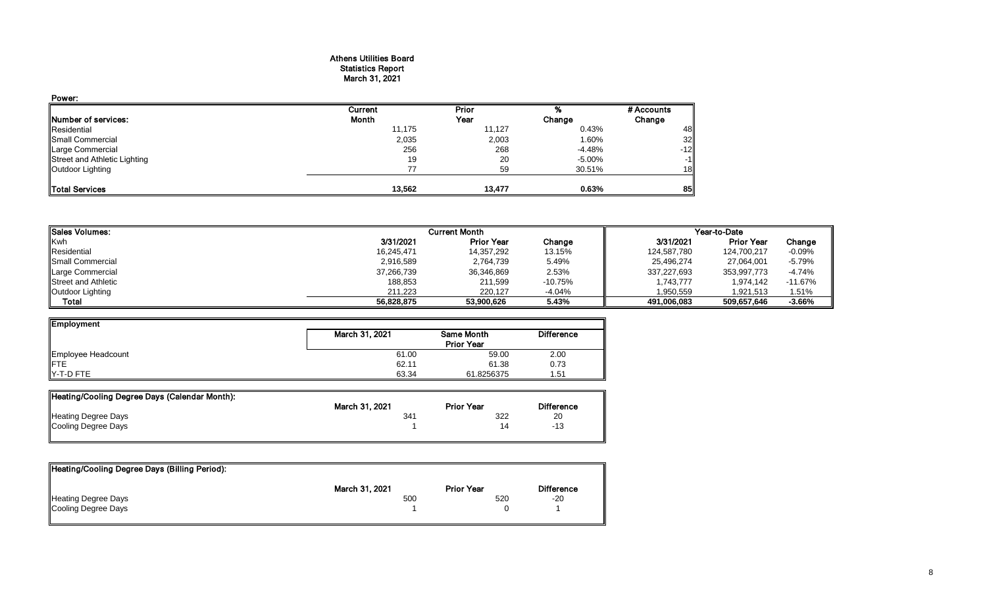#### Athens Utilities Board Statistics Report March 31, 2021

| Power:                       |         |        |        |            |
|------------------------------|---------|--------|--------|------------|
|                              | Current | Prior  |        | # Accounts |
| Number of services:          | Month   | Year   | Change | Change     |
| Residential                  | 11,175  | 11,127 | 0.43%  | 48         |
| Small Commercial             | 2,035   | 2,003  | 1.60%  | 32         |
| Large Commercial             | 256     | 268    | -4.48% | $-12$      |
| Street and Athletic Lighting | 19      | 20     | -5.00% | $-1$       |
| Outdoor Lighting             | 77      | 59     | 30.51% | 18         |
| Total Services               | 13,562  | 13,477 | 0.63%  | 85         |

| <b>I</b> ISales Volumes:   |            | <b>Current Month</b> |           |             | Year-to-Date      |           |
|----------------------------|------------|----------------------|-----------|-------------|-------------------|-----------|
| Kwh                        | 3/31/2021  | <b>Prior Year</b>    | Change    | 3/31/2021   | <b>Prior Year</b> | Change    |
| Residential                | 16,245,471 | 14,357,292           | 13.15%    | 124,587,780 | 124.700.217       | $-0.09%$  |
| <b>I</b> Small Commercial  | 2,916,589  | 2,764,739            | 5.49%     | 25.496.274  | 27,064,001        | $-5.79%$  |
| Large Commercial           | 37,266,739 | 36,346,869           | 2.53%     | 337,227,693 | 353,997,773       | $-4.74%$  |
| <b>Street and Athletic</b> | 188,853    | 211,599              | $-10.75%$ | 1,743,777   | 1,974,142         | $-11.67%$ |
| Outdoor Lighting           | 211.223    | 220.127              | -4.04%    | 1,950,559   | 1.921.513         | 1.51%     |
| Total                      | 56,828,875 | 53,900,626           | 5.43%     | 491.006.083 | 509,657,646       | -3.66%    |

| Employment         |                |                   |                   |
|--------------------|----------------|-------------------|-------------------|
|                    | March 31, 2021 | Same Month        | <b>Difference</b> |
|                    |                | <b>Prior Year</b> |                   |
| Employee Headcount | 61.00          | 59.00             | 2.00              |
| <b>IFTE</b>        | 62.11          | 61.38             | 0.73              |
| Y-T-D FTE          | 63.34          | 61.8256375        | 1.51              |

| Heating/Cooling Degree Days (Calendar Month): |                |                   |                   |
|-----------------------------------------------|----------------|-------------------|-------------------|
|                                               | March 31, 2021 | <b>Prior Year</b> | <b>Difference</b> |
| Heating Degree Days                           | 341            | 322               | 20                |
| Cooling Degree Days                           |                |                   | -13               |
|                                               |                |                   |                   |

| Heating/Cooling Degree Days (Billing Period): |                |                   |                   |
|-----------------------------------------------|----------------|-------------------|-------------------|
|                                               | March 31, 2021 | <b>Prior Year</b> | <b>Difference</b> |
| <b>Heating Degree Days</b>                    | 500            | 520               | $-20$             |
| Cooling Degree Days                           |                |                   |                   |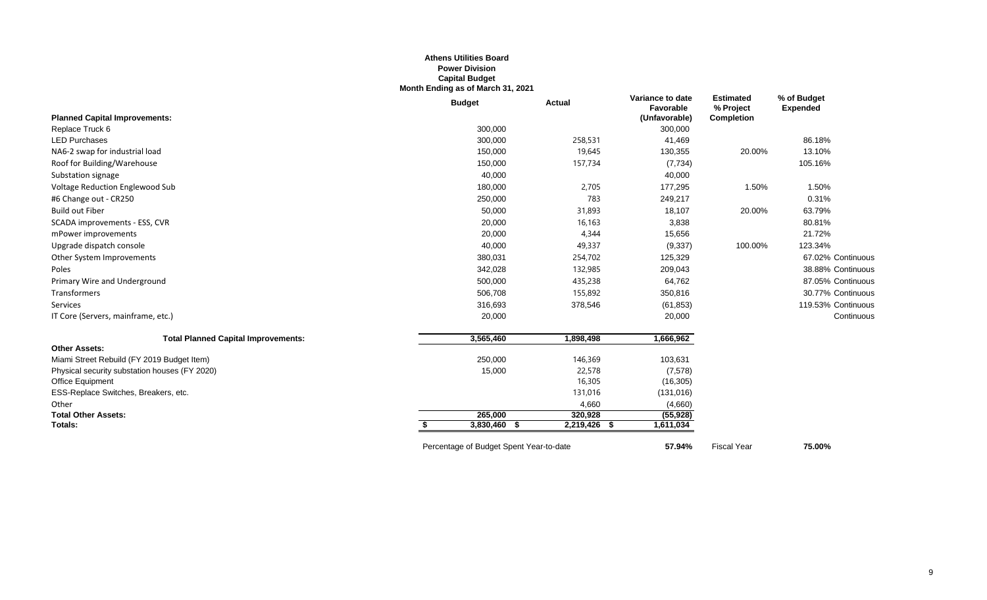#### **Athens Utilities Board Power Division Capital Budget Month Ending as of March 31, 2021**

|                                               | <b>Budget</b> | <b>Actual</b> | Variance to date<br>Favorable | <b>Estimated</b><br>% Project | % of Budget<br><b>Expended</b> |
|-----------------------------------------------|---------------|---------------|-------------------------------|-------------------------------|--------------------------------|
| <b>Planned Capital Improvements:</b>          |               |               | (Unfavorable)                 | <b>Completion</b>             |                                |
| Replace Truck 6                               | 300,000       |               | 300,000                       |                               |                                |
| <b>LED Purchases</b>                          | 300,000       | 258,531       | 41,469                        |                               | 86.18%                         |
| NA6-2 swap for industrial load                | 150,000       | 19,645        | 130,355                       | 20.00%                        | 13.10%                         |
| Roof for Building/Warehouse                   | 150,000       | 157,734       | (7, 734)                      |                               | 105.16%                        |
| Substation signage                            | 40,000        |               | 40,000                        |                               |                                |
| Voltage Reduction Englewood Sub               | 180,000       | 2,705         | 177,295                       | 1.50%                         | 1.50%                          |
| #6 Change out - CR250                         | 250,000       | 783           | 249,217                       |                               | 0.31%                          |
| <b>Build out Fiber</b>                        | 50,000        | 31,893        | 18,107                        | 20.00%                        | 63.79%                         |
| SCADA improvements - ESS, CVR                 | 20,000        | 16,163        | 3,838                         |                               | 80.81%                         |
| mPower improvements                           | 20,000        | 4,344         | 15,656                        |                               | 21.72%                         |
| Upgrade dispatch console                      | 40,000        | 49,337        | (9, 337)                      | 100.00%                       | 123.34%                        |
| Other System Improvements                     | 380,031       | 254,702       | 125,329                       |                               | 67.02% Continuous              |
| Poles                                         | 342,028       | 132,985       | 209,043                       |                               | 38.88% Continuous              |
| Primary Wire and Underground                  | 500,000       | 435,238       | 64,762                        |                               | 87.05% Continuous              |
| Transformers                                  | 506,708       | 155,892       | 350,816                       |                               | 30.77% Continuous              |
| Services                                      | 316,693       | 378,546       | (61, 853)                     |                               | 119.53% Continuous             |
| IT Core (Servers, mainframe, etc.)            | 20,000        |               | 20,000                        |                               | Continuous                     |
| <b>Total Planned Capital Improvements:</b>    | 3,565,460     | 1,898,498     | 1,666,962                     |                               |                                |
| <b>Other Assets:</b>                          |               |               |                               |                               |                                |
| Miami Street Rebuild (FY 2019 Budget Item)    | 250,000       | 146,369       | 103,631                       |                               |                                |
| Physical security substation houses (FY 2020) | 15,000        | 22,578        | (7,578)                       |                               |                                |
| Office Equipment                              |               | 16,305        | (16, 305)                     |                               |                                |
| ESS-Replace Switches, Breakers, etc.          |               | 131,016       | (131, 016)                    |                               |                                |
| Other                                         |               | 4,660         | (4,660)                       |                               |                                |
| <b>Total Other Assets:</b>                    | 265,000       | 320,928       | (55, 928)                     |                               |                                |
| Totals:                                       | 3,830,460 \$  | 2,219,426 \$  | 1,611,034                     |                               |                                |
|                                               |               |               |                               |                               |                                |

Percentage of Budget Spent Year-to-date **57.94%** Fiscal Year **75.00%**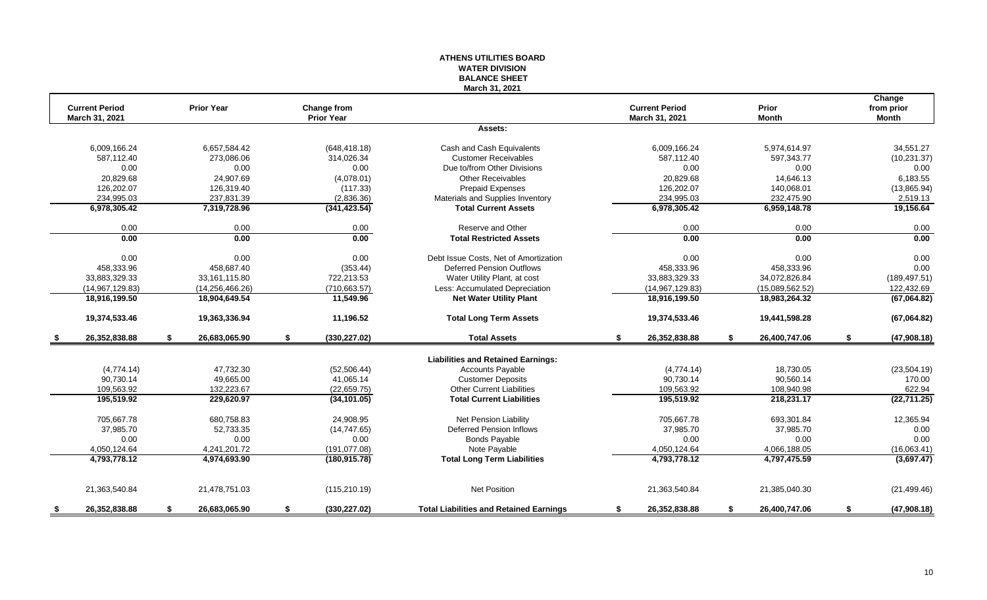## **WATER DIVISION BALANCE SHEET March 31, 2021 Change Current Period Prior Year Change from Current Period Prior from prior March 31, 2021 Prior Year March 31, 2021 Month Month Assets:** 6,009,166.24 6,657,584.42 (648,418.18) Cash and Cash Equivalents 6,009,166.24 5,974,614.97 34,551.27 587,112.40 273,086.06 314,026.34 Customer Receivables 587,112.40 597,343.77 (10,231.37) 0.00 0.00 0.00 Due to/from Other Divisions 0.00 0.00 0.00 20,829.68 24,907.69 (4,078.01) Other Receivables 20,829.68 14,646.13 6,183.55 126,202.07 126,319.40 (117.33) Prepaid Expenses 126,202.07 140,068.01 (13,865.94) 234,995.03 237,831.39 2519.13 (2,836.36) Materials and Supplies Inventory 234,995.03 232,475.90 2,519.13<br>2,519.13 6,978,305.42 7,319,728.96 (341,423.54) Total Current Assets 6,978,305.42 6,978,305.42 6,959,148.78 19,156.64 **6,978,305.42 7,319,728.96 (341,423.54) Total Current Assets 6,978,305.42 6,959,148.78 19,156.64** 0.00 0.00 0.00 Reserve and Other 0.00 0.00 0.00 **0.00 0.00 0.00 Total Restricted Assets 0.00 0.00 0.00** 0.00 0.00 0.00 0.00 0.00 Debt Issue Costs. Net of Amortization 0.00 0.00 0.00 0.00 0.00 0.00 0.00 458,333.96 458,687.40 (353.44) Deferred Pension Outflows 458,333.96 458,333.96 0.00 33,883,329.33 33,161,115.80 722,213.53 Water Utility Plant, at cost 33,883,329.33 34,072,826.84 (189,497.51) (14,967,129.83) (14,256,466.26) (710,663.57) Less: Accumulated Depreciation (14,967,129.83) (15,089,562.52) 122,432.69 **18,916,199.50 18,904,649.54 11,549.96 Net Water Utility Plant 18,916,199.50 18,983,264.32 (67,064.82) 19,374,533.46 19,363,336.94 11,196.52 Total Long Term Assets 19,374,533.46 19,441,598.28 (67,064.82) \$ 26,352,838.88 \$ 26,683,065.90 \$ (330,227.02) Total Assets \$ 26,352,838.88 \$ 26,400,747.06 \$ (47,908.18) Liabilities and Retained Earnings:** (4,774.14) 47,732.30 (52,506.44) Ccounts Payable (4,774.14) 18,730.05 (23,504.19) 90,730.14 49,665.00 41,065.14 Customer Deposits 90,730.14 90,560.14 170.00 109,563.92 132,223.67 (22,659.75) Other Current Liabilities 109,563.92 108,940.98 622.94 **195,519.92 229,620.97 (34,101.05) Total Current Liabilities 195,519.92 218,231.17 (22,711.25)** 705,667.78 680,758.83 24,908.95 Net Pension Liability 705,667.78 693,301.84 12,365.94 37,985.70 52,733.35 (14,747.65) Deferred Pension Inflows 37,985.70 37,985.70 0.00 0.00 0.00 0.00 Bonds Payable 0.00 0.00 0.00 4,050,124.64 4,241,201.72 (191,077.08) 4,050,124.64 4,066,188.05 (16,063.41) **4,793,778.12 4,974,693.90 (180,915.78) Total Long Term Liabilities 4,793,778.12 4,797,475.59 (3,697.47)** 21,363,540.84 21,478,751.03 (115,210.19) Net Position 21,363,540.84 21,385,040.30 (21,499.46) **\$ 26,352,838.88 \$ 26,683,065.90 \$ (330,227.02) Total Liabilities and Retained Earnings \$ 26,352,838.88 \$ 26,400,747.06 \$ (47,908.18)**

**ATHENS UTILITIES BOARD**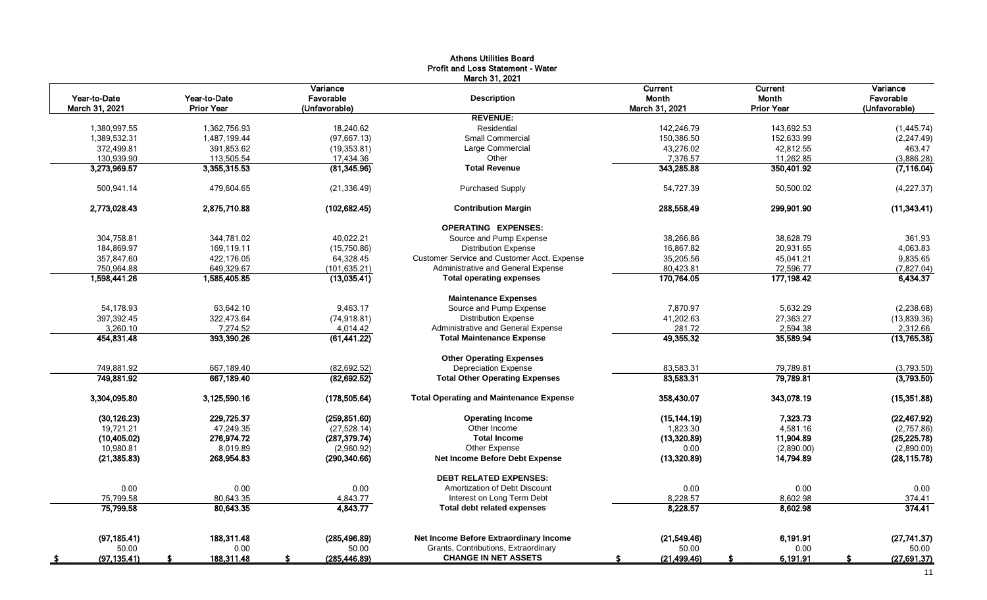|                                |                                   |                                        | Profit and Loss Statement - Water<br>March 31, 2021 |                                    |                                       |                                        |
|--------------------------------|-----------------------------------|----------------------------------------|-----------------------------------------------------|------------------------------------|---------------------------------------|----------------------------------------|
| Year-to-Date<br>March 31, 2021 | Year-to-Date<br><b>Prior Year</b> | Variance<br>Favorable<br>(Unfavorable) | <b>Description</b>                                  | Current<br>Month<br>March 31, 2021 | Current<br>Month<br><b>Prior Year</b> | Variance<br>Favorable<br>(Unfavorable) |
|                                |                                   |                                        | <b>REVENUE:</b>                                     |                                    |                                       |                                        |
| 1,380,997.55                   | 1,362,756.93                      | 18,240.62                              | Residential                                         | 142,246.79                         | 143,692.53                            | (1,445.74)                             |
| 1,389,532.31                   | 1,487,199.44                      | (97, 667.13)                           | <b>Small Commercial</b>                             | 150,386.50                         | 152,633.99                            | (2, 247.49)                            |
| 372,499.81                     | 391,853.62                        | (19, 353.81)                           | Large Commercial                                    | 43,276.02                          | 42,812.55                             | 463.47                                 |
| 130.939.90                     | 113,505.54                        | 17,434.36                              | Other                                               | 7,376.57                           | 11,262.85                             | (3,886.28)                             |
| 3,273,969.57                   | 3,355,315.53                      | (81, 345.96)                           | <b>Total Revenue</b>                                | 343,285.88                         | 350,401.92                            | (7, 116.04)                            |
| 500,941.14                     | 479,604.65                        | (21, 336.49)                           | <b>Purchased Supply</b>                             | 54,727.39                          | 50,500.02                             | (4,227.37)                             |
| 2,773,028.43                   | 2,875,710.88                      | (102, 682.45)                          | <b>Contribution Margin</b>                          | 288,558.49                         | 299,901.90                            | (11,343.41)                            |
|                                |                                   |                                        | <b>OPERATING EXPENSES:</b>                          |                                    |                                       |                                        |
| 304,758.81                     | 344,781.02                        | 40,022.21                              | Source and Pump Expense                             | 38,266.86                          | 38,628.79                             | 361.93                                 |
| 184,869.97                     | 169,119.11                        | (15,750.86)                            | <b>Distribution Expense</b>                         | 16,867.82                          | 20,931.65                             | 4,063.83                               |
| 357,847.60                     | 422,176.05                        | 64,328.45                              | Customer Service and Customer Acct. Expense         | 35,205.56                          | 45,041.21                             | 9,835.65                               |
| 750,964.88                     | 649,329.67                        | (101, 635.21)                          | Administrative and General Expense                  | 80,423.81                          | 72,596.77                             | (7,827.04)                             |
| 1,598,441.26                   | 1,585,405.85                      | (13,035.41)                            | <b>Total operating expenses</b>                     | 170,764.05                         | 177,198.42                            | 6,434.37                               |
|                                |                                   |                                        | <b>Maintenance Expenses</b>                         |                                    |                                       |                                        |
| 54,178.93                      | 63,642.10                         | 9,463.17                               | Source and Pump Expense                             | 7,870.97                           | 5,632.29                              | (2, 238.68)                            |
| 397,392.45                     | 322,473.64                        | (74, 918.81)                           | <b>Distribution Expense</b>                         | 41,202.63                          | 27,363.27                             | (13,839.36)                            |
| 3,260.10                       | 7,274.52                          | 4,014.42                               | Administrative and General Expense                  | 281.72                             | 2,594.38                              | 2,312.66                               |
| 454,831.48                     | 393,390.26                        | (61, 441.22)                           | <b>Total Maintenance Expense</b>                    | 49,355.32                          | 35,589.94                             | (13,765.38)                            |
|                                |                                   |                                        | <b>Other Operating Expenses</b>                     |                                    |                                       |                                        |
| 749,881.92                     | 667,189.40                        | (82, 692.52)                           | <b>Depreciation Expense</b>                         | 83,583.31                          | 79,789.81                             | (3,793.50)                             |
| 749,881.92                     | 667,189.40                        | (82, 692.52)                           | <b>Total Other Operating Expenses</b>               | 83,583.31                          | 79,789.81                             | (3,793.50)                             |
| 3,304,095.80                   | 3,125,590.16                      | (178, 505.64)                          | <b>Total Operating and Maintenance Expense</b>      | 358,430.07                         | 343,078.19                            | (15, 351.88)                           |
| (30, 126.23)                   | 229,725.37                        | (259, 851.60)                          | <b>Operating Income</b>                             | (15, 144.19)                       | 7,323.73                              | (22, 467.92)                           |
| 19,721.21                      | 47,249.35                         | (27,528.14)                            | Other Income                                        | 1,823.30                           | 4,581.16                              | (2,757.86)                             |
| (10, 405.02)                   | 276,974.72                        | (287, 379.74)                          | <b>Total Income</b>                                 | (13,320.89)                        | 11,904.89                             | (25, 225.78)                           |
| 10,980.81                      | 8,019.89                          | (2,960.92)                             | Other Expense                                       | 0.00                               | (2,890.00)                            | (2,890.00)                             |
| (21, 385.83)                   | 268,954.83                        | (290, 340.66)                          | Net Income Before Debt Expense                      | (13,320.89)                        | 14,794.89                             | (28, 115.78)                           |
|                                |                                   |                                        | <b>DEBT RELATED EXPENSES:</b>                       |                                    |                                       |                                        |
| 0.00                           | 0.00                              | 0.00                                   | Amortization of Debt Discount                       | 0.00                               | 0.00                                  | 0.00                                   |
| 75,799.58                      | 80,643.35                         | 4,843.77                               | Interest on Long Term Debt                          | 8,228.57                           | 8,602.98                              | 374.41                                 |
| 75,799.58                      | 80,643.35                         | 4,843.77                               | <b>Total debt related expenses</b>                  | 8,228.57                           | 8,602.98                              | 374.41                                 |
| (97, 185.41)                   | 188,311.48                        | (285, 496.89)                          | Net Income Before Extraordinary Income              | (21,549.46)                        | 6,191.91                              | (27, 741.37)                           |
| 50.00                          | 0.00                              | 50.00                                  | Grants, Contributions, Extraordinary                | 50.00                              | 0.00                                  | 50.00                                  |
| (97, 135.41)                   | 188,311.48<br>S                   | (285, 446.89)                          | <b>CHANGE IN NET ASSETS</b>                         | (21, 499.46)                       | 6,191.91                              | (27,691.37)                            |
|                                |                                   |                                        |                                                     |                                    |                                       | 11                                     |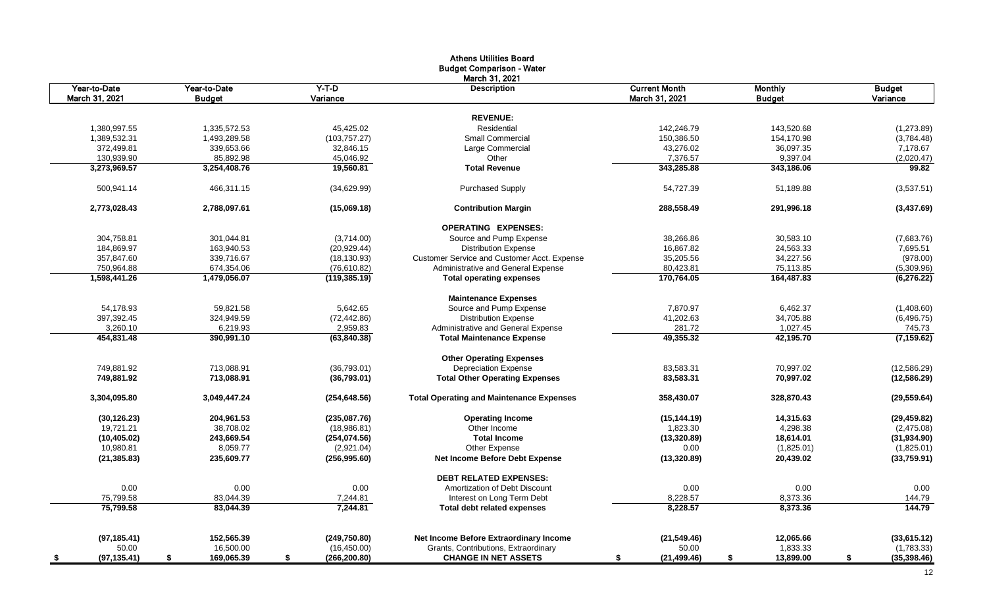|                      |                  |                     | <b>Athens Utilities Board</b>                   |                      |                 |                    |
|----------------------|------------------|---------------------|-------------------------------------------------|----------------------|-----------------|--------------------|
|                      |                  |                     | <b>Budget Comparison - Water</b>                |                      |                 |                    |
|                      |                  |                     | March 31, 2021                                  |                      |                 |                    |
| Year-to-Date         | Year-to-Date     | $Y-T-D$             | <b>Description</b>                              | <b>Current Month</b> | <b>Monthly</b>  | <b>Budget</b>      |
| March 31, 2021       | <b>Budget</b>    | Variance            |                                                 | March 31, 2021       | <b>Budget</b>   | Variance           |
|                      |                  |                     |                                                 |                      |                 |                    |
|                      |                  |                     | <b>REVENUE:</b>                                 |                      |                 |                    |
| 1,380,997.55         | 1,335,572.53     | 45,425.02           | Residential                                     | 142,246.79           | 143,520.68      | (1, 273.89)        |
| 1,389,532.31         | 1,493,289.58     | (103, 757.27)       | <b>Small Commercial</b>                         | 150,386.50           | 154,170.98      | (3,784.48)         |
| 372,499.81           | 339,653.66       | 32,846.15           | Large Commercial                                | 43,276.02            | 36,097.35       | 7,178.67           |
| 130,939.90           | 85,892.98        | 45,046.92           | Other                                           | 7,376.57             | 9,397.04        | (2,020.47)         |
| 3,273,969.57         | 3,254,408.76     | 19,560.81           | <b>Total Revenue</b>                            | 343,285.88           | 343,186.06      | 99.82              |
| 500,941.14           | 466,311.15       | (34,629.99)         | <b>Purchased Supply</b>                         | 54,727.39            | 51,189.88       | (3,537.51)         |
| 2,773,028.43         | 2,788,097.61     | (15,069.18)         | <b>Contribution Margin</b>                      | 288,558.49           | 291.996.18      | (3,437.69)         |
|                      |                  |                     | <b>OPERATING EXPENSES:</b>                      |                      |                 |                    |
| 304,758.81           | 301.044.81       | (3,714.00)          | Source and Pump Expense                         | 38,266.86            | 30,583.10       | (7,683.76)         |
| 184,869.97           | 163,940.53       | (20, 929.44)        | <b>Distribution Expense</b>                     | 16,867.82            | 24,563.33       | 7,695.51           |
| 357,847.60           | 339,716.67       | (18, 130.93)        | Customer Service and Customer Acct. Expense     | 35,205.56            | 34,227.56       | (978.00)           |
| 750,964.88           | 674,354.06       | (76,610.82)         | Administrative and General Expense              | 80,423.81            | 75,113.85       | (5,309.96)         |
| 1,598,441.26         | 1,479,056.07     | (119, 385.19)       | <b>Total operating expenses</b>                 | 170,764.05           | 164,487.83      | (6, 276.22)        |
|                      |                  |                     | <b>Maintenance Expenses</b>                     |                      |                 |                    |
| 54,178.93            | 59,821.58        | 5,642.65            | Source and Pump Expense                         | 7,870.97             | 6,462.37        | (1,408.60)         |
| 397,392.45           | 324,949.59       | (72, 442.86)        | <b>Distribution Expense</b>                     | 41,202.63            | 34,705.88       | (6,496.75)         |
| 3,260.10             | 6,219.93         | 2,959.83            | Administrative and General Expense              | 281.72               | 1,027.45        | 745.73             |
| 454.831.48           | 390.991.10       | (63,840.38)         | <b>Total Maintenance Expense</b>                | 49,355.32            | 42.195.70       | (7, 159.62)        |
|                      |                  |                     | <b>Other Operating Expenses</b>                 |                      |                 |                    |
| 749,881.92           | 713,088.91       | (36,793.01)         | <b>Depreciation Expense</b>                     | 83,583.31            | 70,997.02       | (12, 586.29)       |
| 749,881.92           | 713,088.91       | (36,793.01)         | <b>Total Other Operating Expenses</b>           | 83,583.31            | 70,997.02       | (12,586.29)        |
| 3,304,095.80         | 3,049,447.24     | (254, 648.56)       | <b>Total Operating and Maintenance Expenses</b> | 358,430.07           | 328,870.43      | (29, 559.64)       |
| (30, 126.23)         | 204,961.53       | (235,087.76)        | <b>Operating Income</b>                         | (15, 144.19)         | 14,315.63       | (29, 459.82)       |
| 19,721.21            | 38,708.02        | (18,986.81)         | Other Income                                    | 1,823.30             | 4,298.38        | (2,475.08)         |
| (10, 405.02)         | 243,669.54       | (254,074.56)        | <b>Total Income</b>                             | (13,320.89)          | 18,614.01       | (31, 934.90)       |
| 10,980.81            | 8,059.77         | (2,921.04)          | Other Expense                                   | 0.00                 | (1,825.01)      | (1,825.01)         |
| (21, 385.83)         | 235,609.77       | (256, 995.60)       | <b>Net Income Before Debt Expense</b>           | (13, 320.89)         | 20,439.02       | (33,759.91)        |
|                      |                  |                     | <b>DEBT RELATED EXPENSES:</b>                   |                      |                 |                    |
| 0.00                 | 0.00             | 0.00                | Amortization of Debt Discount                   | 0.00                 | 0.00            | 0.00               |
| 75,799.58            | 83,044.39        | 7,244.81            | Interest on Long Term Debt                      | 8,228.57             | 8,373.36        | 144.79             |
| 75,799.58            | 83.044.39        | 7.244.81            | <b>Total debt related expenses</b>              | 8,228.57             | 8,373.36        | 144.79             |
|                      |                  |                     |                                                 |                      |                 |                    |
| (97, 185.41)         | 152,565.39       | (249,750.80)        | Net Income Before Extraordinary Income          | (21, 549.46)         | 12,065.66       | (33,615.12)        |
| 50.00                | 16,500.00        | (16, 450.00)        | Grants, Contributions, Extraordinary            | 50.00                | 1,833.33        | (1,783.33)         |
| (97, 135.41)<br>- \$ | 169,065.39<br>\$ | \$<br>(266, 200.80) | <b>CHANGE IN NET ASSETS</b>                     | (21, 499.46)<br>\$   | 13,899.00<br>\$ | \$<br>(35, 398.46) |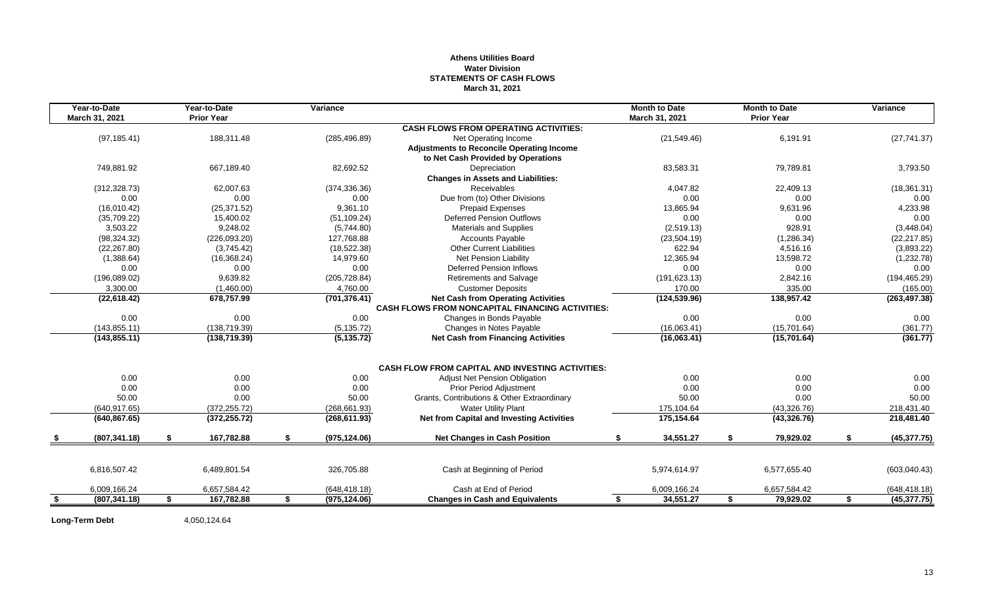## **Athens Utilities Board Water Division STATEMENTS OF CASH FLOWS March 31, 2021**

| Year-to-Date        | Year-to-Date      | Variance            |                                                         | <b>Month to Date</b> |    | <b>Month to Date</b> |    | Variance      |
|---------------------|-------------------|---------------------|---------------------------------------------------------|----------------------|----|----------------------|----|---------------|
| March 31, 2021      | <b>Prior Year</b> |                     |                                                         | March 31, 2021       |    | <b>Prior Year</b>    |    |               |
|                     |                   |                     | <b>CASH FLOWS FROM OPERATING ACTIVITIES:</b>            |                      |    |                      |    |               |
| (97, 185.41)        | 188,311.48        | (285, 496.89)       | Net Operating Income                                    | (21, 549.46)         |    | 6,191.91             |    | (27, 741.37)  |
|                     |                   |                     | <b>Adjustments to Reconcile Operating Income</b>        |                      |    |                      |    |               |
|                     |                   |                     | to Net Cash Provided by Operations                      |                      |    |                      |    |               |
| 749,881.92          | 667,189.40        | 82,692.52           | Depreciation                                            | 83,583.31            |    | 79,789.81            |    | 3,793.50      |
|                     |                   |                     | <b>Changes in Assets and Liabilities:</b>               |                      |    |                      |    |               |
| (312, 328.73)       | 62,007.63         | (374, 336.36)       | <b>Receivables</b>                                      | 4,047.82             |    | 22,409.13            |    | (18, 361.31)  |
| 0.00                | 0.00              | 0.00                | Due from (to) Other Divisions                           | 0.00                 |    | 0.00                 |    | 0.00          |
| (16,010.42)         | (25, 371.52)      | 9,361.10            | <b>Prepaid Expenses</b>                                 | 13.865.94            |    | 9,631.96             |    | 4,233.98      |
| (35,709.22)         | 15,400.02         | (51, 109.24)        | <b>Deferred Pension Outflows</b>                        | 0.00                 |    | 0.00                 |    | 0.00          |
| 3,503.22            | 9,248.02          | (5,744.80)          | <b>Materials and Supplies</b>                           | (2,519.13)           |    | 928.91               |    | (3,448.04)    |
| (98, 324.32)        | (226,093.20)      | 127,768.88          | <b>Accounts Payable</b>                                 | (23, 504.19)         |    | (1,286.34)           |    | (22, 217.85)  |
| (22, 267.80)        | (3,745.42)        | (18,522.38)         | <b>Other Current Liabilities</b>                        | 622.94               |    | 4,516.16             |    | (3,893.22)    |
| (1,388.64)          | (16, 368.24)      | 14,979.60           | <b>Net Pension Liability</b>                            | 12,365.94            |    | 13,598.72            |    | (1,232.78)    |
| 0.00                | 0.00              | 0.00                | <b>Deferred Pension Inflows</b>                         | 0.00                 |    | 0.00                 |    | 0.00          |
| (196,089.02)        | 9,639.82          | (205, 728.84)       | Retirements and Salvage                                 | (191, 623.13)        |    | 2,842.16             |    | (194, 465.29) |
| 3,300.00            | (1,460.00)        | 4,760.00            | <b>Customer Deposits</b>                                | 170.00               |    | 335.00               |    | (165.00)      |
| (22, 618.42)        | 678,757.99        | (701, 376.41)       | <b>Net Cash from Operating Activities</b>               | (124, 539.96)        |    | 138,957.42           |    | (263, 497.38) |
|                     |                   |                     | <b>CASH FLOWS FROM NONCAPITAL FINANCING ACTIVITIES:</b> |                      |    |                      |    |               |
| 0.00                | 0.00              | 0.00                | Changes in Bonds Payable                                | 0.00                 |    | 0.00                 |    | 0.00          |
| (143, 855.11)       | (138, 719.39)     | (5, 135.72)         | Changes in Notes Payable                                | (16,063.41)          |    | (15,701.64)          |    | (361.77)      |
| (143, 855.11)       | (138, 719.39)     | (5, 135.72)         | <b>Net Cash from Financing Activities</b>               | (16,063.41)          |    | (15,701.64)          |    | (361.77)      |
|                     |                   |                     | <b>CASH FLOW FROM CAPITAL AND INVESTING ACTIVITIES:</b> |                      |    |                      |    |               |
| 0.00                | 0.00              | 0.00                | Adjust Net Pension Obligation                           | 0.00                 |    | 0.00                 |    | 0.00          |
| 0.00                | 0.00              | 0.00                | <b>Prior Period Adiustment</b>                          | 0.00                 |    | 0.00                 |    | 0.00          |
| 50.00               | 0.00              | 50.00               | Grants, Contributions & Other Extraordinary             | 50.00                |    | 0.00                 |    | 50.00         |
| (640.917.65)        | (372, 255.72)     | (268, 661.93)       | <b>Water Utility Plant</b>                              | 175,104.64           |    | (43,326.76)          |    | 218,431.40    |
| (640, 867.65)       | (372, 255.72)     | (268, 611.93)       | <b>Net from Capital and Investing Activities</b>        | 175,154.64           |    | (43, 326.76)         |    | 218,481.40    |
|                     |                   |                     |                                                         |                      |    |                      |    |               |
| (807, 341.18)       | \$<br>167,782.88  | \$<br>(975, 124.06) | <b>Net Changes in Cash Position</b>                     | \$<br>34,551.27      | \$ | 79,929.02            | S. | (45, 377.75)  |
|                     |                   |                     |                                                         |                      |    |                      |    |               |
| 6,816,507.42        | 6,489,801.54      | 326,705.88          | Cash at Beginning of Period                             | 5,974,614.97         |    | 6,577,655.40         |    | (603,040.43)  |
| 6,009,166.24        | 6,657,584.42      | (648, 418.18)       | Cash at End of Period                                   | 6,009,166.24         |    | 6,657,584.42         |    | (648, 418.18) |
| \$<br>(807, 341.18) | \$<br>167,782.88  | \$<br>(975, 124.06) | <b>Changes in Cash and Equivalents</b>                  | \$<br>34,551.27      | S. | 79,929.02            | \$ | (45, 377.75)  |

Long-Term Debt 4,050,124.64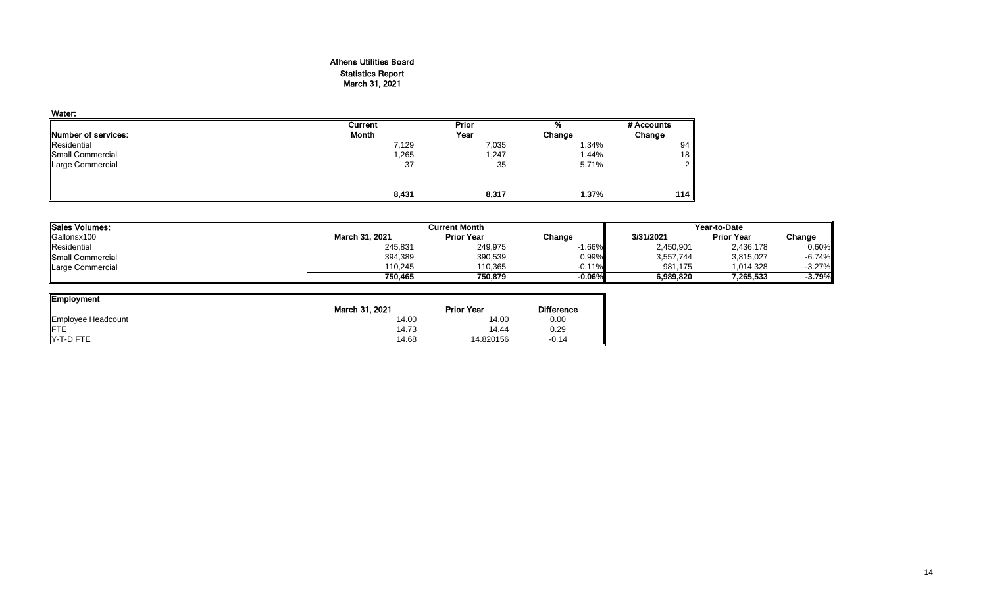## Athens Utilities Board Statistics Report March 31, 2021

| Water:                      |         |       |        |            |
|-----------------------------|---------|-------|--------|------------|
|                             | Current | Prior | %      | # Accounts |
| <b>INumber of services:</b> | Month   | Year  | Change | Change     |
| Residential                 | 7,129   | 7,035 | 1.34%  | 94         |
| Small Commercial            | 1,265   | 1,247 | 1.44%  | 18         |
| Large Commercial            | 37      | 35    | 5.71%  | ົ          |
|                             | 8,431   | 8,317 | 1.37%  | 114        |

| Sales Volumes:          |                | <b>Current Month</b> |           | Year-to-Date |                   |           |  |
|-------------------------|----------------|----------------------|-----------|--------------|-------------------|-----------|--|
| Gallonsx100             | March 31, 2021 | <b>Prior Year</b>    | Change    | 3/31/2021    | <b>Prior Year</b> | Change    |  |
| Residential             | 245,831        | 249,975              | $-1.66\%$ | 2,450,901    | 2,436,178         | 0.60%     |  |
| <b>Small Commercial</b> | 394,389        | 390,539              | 0.99%     | 3,557,744    | 3,815,027         | $-6.74%$  |  |
| Large Commercial        | 110.245        | 110,365              | $-0.11\%$ | 981.175      | 1,014,328         | $-3.27\%$ |  |
|                         | 750.465        | 750.879              | $-0.06\%$ | 6.989.820    | 7.265.533         | $-3.79%$  |  |

| <b>Employment</b>  |                |                   |                   |
|--------------------|----------------|-------------------|-------------------|
|                    | March 31, 2021 | <b>Prior Year</b> | <b>Difference</b> |
| Employee Headcount | 14.00          | 14.00             | 0.00              |
| <b>IFTE</b>        | 14.73          | 14.44             | 0.29              |
| IY-T-D FTE         | 14.68          | 14.820156         | $-0.14$           |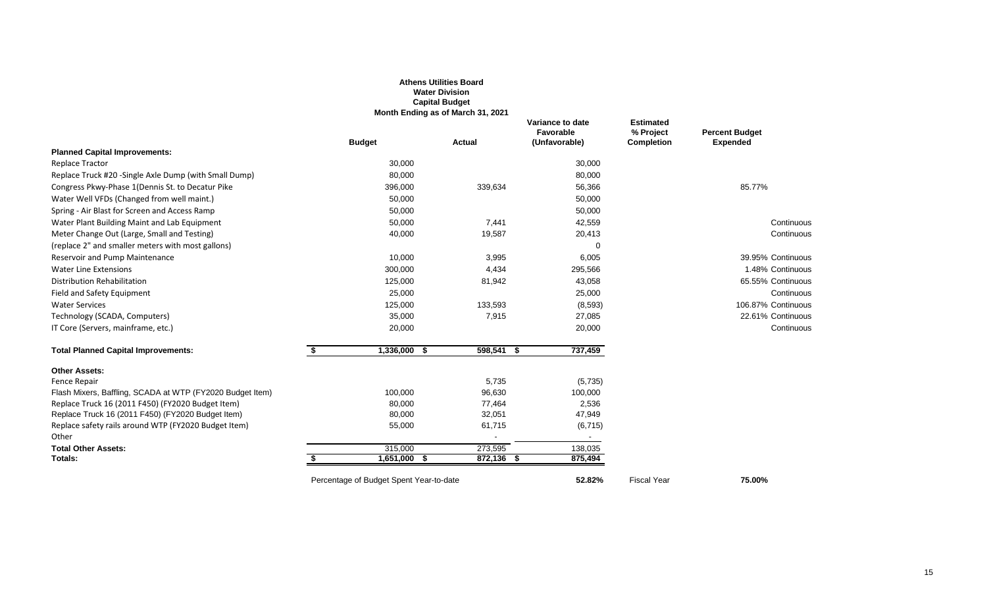|                                                               |                                         | <b>Athens Utilities Board</b><br><b>Water Division</b><br><b>Capital Budget</b><br>Month Ending as of March 31, 2021 |                                                |                                                    |                                          |
|---------------------------------------------------------------|-----------------------------------------|----------------------------------------------------------------------------------------------------------------------|------------------------------------------------|----------------------------------------------------|------------------------------------------|
|                                                               | <b>Budget</b>                           | <b>Actual</b>                                                                                                        | Variance to date<br>Favorable<br>(Unfavorable) | <b>Estimated</b><br>% Project<br><b>Completion</b> | <b>Percent Budget</b><br><b>Expended</b> |
| <b>Planned Capital Improvements:</b>                          |                                         |                                                                                                                      |                                                |                                                    |                                          |
| <b>Replace Tractor</b>                                        | 30,000                                  |                                                                                                                      | 30,000                                         |                                                    |                                          |
| Replace Truck #20 -Single Axle Dump (with Small Dump)         | 80,000                                  |                                                                                                                      | 80,000                                         |                                                    |                                          |
| Congress Pkwy-Phase 1(Dennis St. to Decatur Pike              | 396,000                                 | 339,634                                                                                                              | 56,366                                         |                                                    | 85.77%                                   |
| Water Well VFDs (Changed from well maint.)                    | 50,000                                  |                                                                                                                      | 50,000                                         |                                                    |                                          |
| Spring - Air Blast for Screen and Access Ramp                 | 50,000                                  |                                                                                                                      | 50,000                                         |                                                    |                                          |
| Water Plant Building Maint and Lab Equipment                  | 50,000                                  | 7,441                                                                                                                | 42,559                                         |                                                    | Continuous                               |
| Meter Change Out (Large, Small and Testing)                   | 40,000                                  | 19,587                                                                                                               | 20,413                                         |                                                    | Continuous                               |
| (replace 2" and smaller meters with most gallons)             |                                         |                                                                                                                      | $\Omega$                                       |                                                    |                                          |
| Reservoir and Pump Maintenance                                | 10,000                                  | 3,995                                                                                                                | 6,005                                          |                                                    | 39.95% Continuous                        |
| <b>Water Line Extensions</b>                                  | 300,000                                 | 4,434                                                                                                                | 295,566                                        |                                                    | 1.48% Continuous                         |
| Distribution Rehabilitation                                   | 125,000                                 | 81,942                                                                                                               | 43,058                                         |                                                    | 65.55% Continuous                        |
| Field and Safety Equipment                                    | 25,000                                  |                                                                                                                      | 25,000                                         |                                                    | Continuous                               |
| <b>Water Services</b>                                         | 125,000                                 | 133,593                                                                                                              | (8,593)                                        |                                                    | 106.87% Continuous                       |
| Technology (SCADA, Computers)                                 | 35,000                                  | 7,915                                                                                                                | 27,085                                         |                                                    | 22.61% Continuous                        |
| IT Core (Servers, mainframe, etc.)                            | 20,000                                  |                                                                                                                      | 20,000                                         |                                                    | Continuous                               |
| <b>Total Planned Capital Improvements:</b>                    | $\bullet$<br>$1,336,000$ \$             | $598,541$ \$                                                                                                         | 737,459                                        |                                                    |                                          |
| <b>Other Assets:</b>                                          |                                         |                                                                                                                      |                                                |                                                    |                                          |
| Fence Repair                                                  |                                         | 5,735                                                                                                                | (5,735)                                        |                                                    |                                          |
| Flash Mixers, Baffling, SCADA at WTP (FY2020 Budget Item)     | 100,000                                 | 96,630                                                                                                               | 100,000                                        |                                                    |                                          |
| Replace Truck 16 (2011 F450) (FY2020 Budget Item)             | 80,000                                  | 77,464                                                                                                               | 2,536                                          |                                                    |                                          |
| Replace Truck 16 (2011 F450) (FY2020 Budget Item)             | 80,000                                  | 32,051                                                                                                               | 47,949                                         |                                                    |                                          |
| Replace safety rails around WTP (FY2020 Budget Item)<br>Other | 55,000                                  | 61,715                                                                                                               | (6, 715)<br>$\sim$                             |                                                    |                                          |
| <b>Total Other Assets:</b>                                    | 315,000                                 | 273,595                                                                                                              | 138,035                                        |                                                    |                                          |
| <b>Totals:</b>                                                | $1,651,000$ \$                          | 872,136 \$                                                                                                           | 875,494                                        |                                                    |                                          |
|                                                               | Percentage of Budget Spent Year-to-date |                                                                                                                      | 52.82%                                         | <b>Fiscal Year</b>                                 | 75.00%                                   |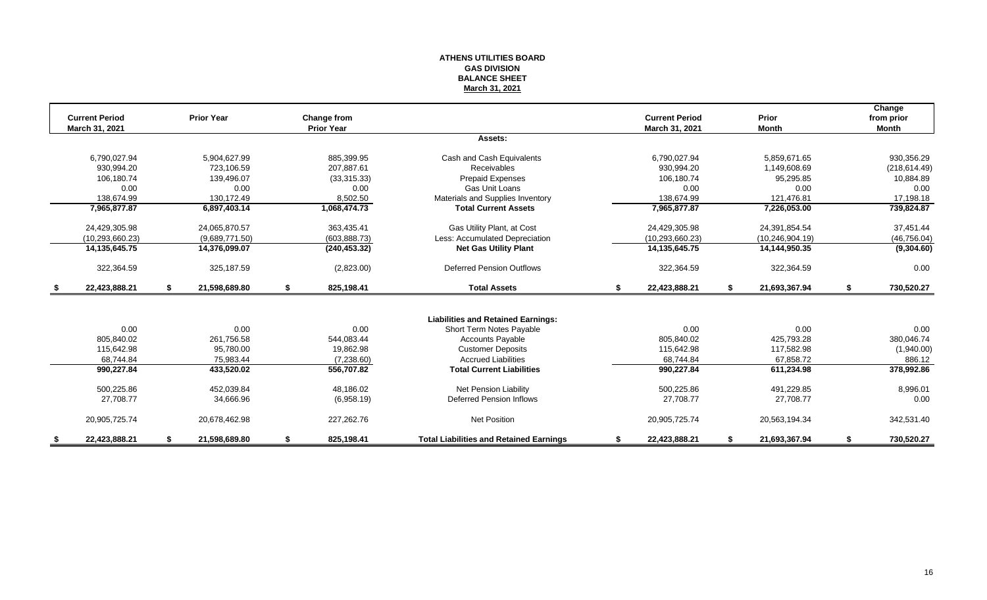#### **ATHENS UTILITIES BOARD GAS DIVISION BALANCE SHEET March 31, 2021**

|               | <b>Current Period</b><br><b>March 31, 2021</b> |    | <b>Prior Year</b> |    | Change from<br><b>Prior Year</b> |                                                |    | <b>Current Period</b><br>March 31, 2021 |    | Prior<br><b>Month</b> | Change<br>from prior<br><b>Month</b> |
|---------------|------------------------------------------------|----|-------------------|----|----------------------------------|------------------------------------------------|----|-----------------------------------------|----|-----------------------|--------------------------------------|
|               |                                                |    |                   |    |                                  | Assets:                                        |    |                                         |    |                       |                                      |
|               |                                                |    |                   |    |                                  |                                                |    |                                         |    |                       |                                      |
|               | 6,790,027.94                                   |    | 5,904,627.99      |    | 885,399.95                       | Cash and Cash Equivalents                      |    | 6,790,027.94                            |    | 5,859,671.65          | 930,356.29                           |
|               | 930.994.20                                     |    | 723.106.59        |    | 207.887.61                       | Receivables                                    |    | 930.994.20                              |    | 1,149,608.69          | (218, 614.49)                        |
|               | 106,180.74                                     |    | 139,496.07        |    | (33,315.33)                      | <b>Prepaid Expenses</b>                        |    | 106,180.74                              |    | 95,295.85             | 10,884.89                            |
|               | 0.00                                           |    | 0.00              |    | 0.00                             | Gas Unit Loans                                 |    | 0.00                                    |    | 0.00                  | 0.00                                 |
|               | 138,674.99                                     |    | 130,172.49        |    | 8,502.50                         | Materials and Supplies Inventory               |    | 138,674.99                              |    | 121,476.81            | 17,198.18                            |
|               | 7,965,877.87                                   |    | 6,897,403.14      |    | 1,068,474.73                     | <b>Total Current Assets</b>                    |    | 7,965,877.87                            |    | 7,226,053.00          | 739,824.87                           |
|               | 24,429,305.98                                  |    | 24,065,870.57     |    | 363,435.41                       | Gas Utility Plant, at Cost                     |    | 24,429,305.98                           |    | 24,391,854.54         | 37,451.44                            |
|               | (10.293.660.23)                                |    | (9,689,771.50)    |    | (603, 888.73)                    | Less: Accumulated Depreciation                 |    | (10, 293, 660.23)                       |    | (10, 246, 904.19)     | (46, 756.04)                         |
|               | 14,135,645.75                                  |    | 14,376,099.07     |    | (240, 453.32)                    | <b>Net Gas Utility Plant</b>                   |    | 14,135,645.75                           |    | 14,144,950.35         | (9,304.60)                           |
|               | 322,364.59                                     |    | 325,187.59        |    | (2,823.00)                       | <b>Deferred Pension Outflows</b>               |    | 322,364.59                              |    | 322,364.59            | 0.00                                 |
| \$            | 22,423,888.21                                  | S. | 21,598,689.80     | \$ | 825,198.41                       | <b>Total Assets</b>                            | s. | 22,423,888.21                           | S. | 21,693,367.94         | \$<br>730,520.27                     |
|               |                                                |    |                   |    |                                  |                                                |    |                                         |    |                       |                                      |
|               |                                                |    |                   |    |                                  | <b>Liabilities and Retained Earnings:</b>      |    |                                         |    |                       |                                      |
|               | 0.00                                           |    | 0.00              |    | 0.00                             | Short Term Notes Payable                       |    | 0.00                                    |    | 0.00                  | 0.00                                 |
|               | 805.840.02                                     |    | 261,756.58        |    | 544,083.44                       | <b>Accounts Payable</b>                        |    | 805,840.02                              |    | 425,793.28            | 380,046.74                           |
|               | 115.642.98                                     |    | 95.780.00         |    | 19.862.98                        | <b>Customer Deposits</b>                       |    | 115,642.98                              |    | 117,582.98            | (1,940.00)                           |
|               | 68,744.84                                      |    | 75,983.44         |    | (7,238.60)                       | <b>Accrued Liabilities</b>                     |    | 68,744.84                               |    | 67,858.72             | 886.12                               |
|               | 990,227.84                                     |    | 433,520.02        |    | 556,707.82                       | <b>Total Current Liabilities</b>               |    | 990,227.84                              |    | 611,234.98            | 378,992.86                           |
|               | 500,225.86                                     |    | 452.039.84        |    | 48,186.02                        | <b>Net Pension Liability</b>                   |    | 500,225.86                              |    | 491,229.85            | 8,996.01                             |
|               | 27.708.77                                      |    | 34,666.96         |    | (6,958.19)                       | Deferred Pension Inflows                       |    | 27,708.77                               |    | 27,708.77             | 0.00                                 |
|               | 20,905,725.74                                  |    | 20,678,462.98     |    | 227,262.76                       | <b>Net Position</b>                            |    | 20,905,725.74                           |    | 20,563,194.34         | 342,531.40                           |
| $\frac{1}{2}$ | 22.423.888.21                                  |    | 21,598,689.80     | S  | 825,198.41                       | <b>Total Liabilities and Retained Earnings</b> | S  | 22,423,888.21                           |    | 21,693,367.94         | 730,520.27                           |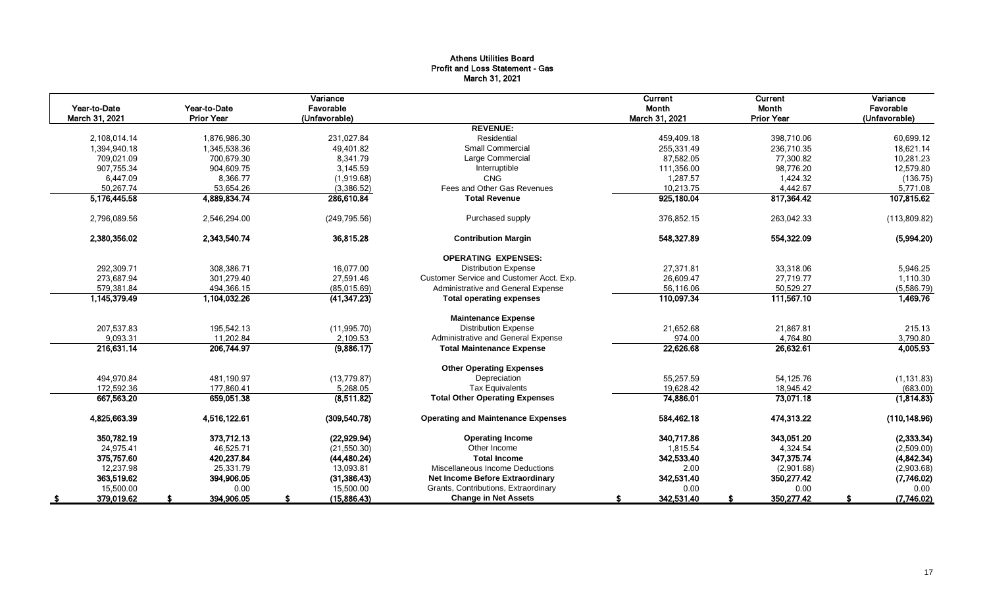## Athens Utilities Board Profit and Loss Statement - Gas March 31, 2021

|                |                   | Variance      |                                           | Current        | Current           | Variance      |
|----------------|-------------------|---------------|-------------------------------------------|----------------|-------------------|---------------|
| Year-to-Date   | Year-to-Date      | Favorable     |                                           | Month          | Month             | Favorable     |
| March 31, 2021 | <b>Prior Year</b> | (Unfavorable) |                                           | March 31, 2021 | <b>Prior Year</b> | (Unfavorable) |
|                |                   |               | <b>REVENUE:</b>                           |                |                   |               |
| 2,108,014.14   | 1,876,986.30      | 231,027.84    | Residential                               | 459,409.18     | 398,710.06        | 60,699.12     |
| 1,394,940.18   | 1,345,538.36      | 49,401.82     | <b>Small Commercial</b>                   | 255,331.49     | 236,710.35        | 18,621.14     |
| 709,021.09     | 700,679.30        | 8,341.79      | Large Commercial                          | 87,582.05      | 77,300.82         | 10,281.23     |
| 907,755.34     | 904,609.75        | 3.145.59      | Interruptible                             | 111,356.00     | 98,776.20         | 12,579.80     |
| 6,447.09       | 8,366.77          | (1,919.68)    | CNG                                       | 1,287.57       | 1,424.32          | (136.75)      |
| 50,267.74      | 53,654.26         | (3,386.52)    | Fees and Other Gas Revenues               | 10,213.75      | 4,442.67          | 5,771.08      |
| 5,176,445.58   | 4,889,834.74      | 286,610.84    | <b>Total Revenue</b>                      | 925,180.04     | 817,364.42        | 107,815.62    |
| 2,796,089.56   | 2,546,294.00      | (249, 795.56) | Purchased supply                          | 376,852.15     | 263,042.33        | (113,809.82)  |
| 2.380.356.02   | 2,343,540.74      | 36,815.28     | <b>Contribution Margin</b>                | 548.327.89     | 554,322.09        | (5,994.20)    |
|                |                   |               | <b>OPERATING EXPENSES:</b>                |                |                   |               |
| 292,309.71     | 308,386.71        | 16,077.00     | <b>Distribution Expense</b>               | 27,371.81      | 33,318.06         | 5,946.25      |
| 273.687.94     | 301.279.40        | 27,591.46     | Customer Service and Customer Acct. Exp.  | 26,609.47      | 27,719.77         | 1,110.30      |
| 579,381.84     | 494,366.15        | (85,015.69)   | Administrative and General Expense        | 56,116.06      | 50,529.27         | (5,586.79)    |
| 1,145,379.49   | 1,104,032.26      | (41, 347.23)  | <b>Total operating expenses</b>           | 110,097.34     | 111,567.10        | 1,469.76      |
|                |                   |               | <b>Maintenance Expense</b>                |                |                   |               |
| 207,537.83     | 195,542.13        | (11,995.70)   | <b>Distribution Expense</b>               | 21,652.68      | 21,867.81         | 215.13        |
| 9,093.31       | 11,202.84         | 2,109.53      | Administrative and General Expense        | 974.00         | 4,764.80          | 3,790.80      |
| 216,631.14     | 206,744.97        | (9,886.17)    | <b>Total Maintenance Expense</b>          | 22,626.68      | 26,632.61         | 4,005.93      |
|                |                   |               | <b>Other Operating Expenses</b>           |                |                   |               |
| 494,970.84     | 481,190.97        | (13, 779.87)  | Depreciation                              | 55,257.59      | 54,125.76         | (1, 131.83)   |
| 172,592.36     | 177.860.41        | 5,268.05      | <b>Tax Equivalents</b>                    | 19.628.42      | 18.945.42         | (683.00)      |
| 667,563.20     | 659,051.38        | (8,511.82)    | <b>Total Other Operating Expenses</b>     | 74,886.01      | 73,071.18         | (1,814.83)    |
| 4,825,663.39   | 4,516,122.61      | (309, 540.78) | <b>Operating and Maintenance Expenses</b> | 584,462.18     | 474,313.22        | (110, 148.96) |
| 350,782.19     | 373,712.13        | (22, 929.94)  | <b>Operating Income</b>                   | 340,717.86     | 343,051.20        | (2,333.34)    |
| 24,975.41      | 46,525.71         | (21,550.30)   | Other Income                              | 1,815.54       | 4,324.54          | (2,509.00)    |
| 375,757.60     | 420,237.84        | (44, 480.24)  | <b>Total Income</b>                       | 342,533.40     | 347,375.74        | (4,842.34)    |
| 12,237.98      | 25,331.79         | 13,093.81     | Miscellaneous Income Deductions           | 2.00           | (2,901.68)        | (2,903.68)    |
| 363,519.62     | 394,906.05        | (31, 386.43)  | Net Income Before Extraordinary           | 342,531.40     | 350,277.42        | (7,746.02)    |
| 15,500.00      | 0.00              | 15,500.00     | Grants, Contributions, Extraordinary      | 0.00           | 0.00              | 0.00          |
| 379,019.62     | 394,906.05        | (15,886.43)   | <b>Change in Net Assets</b>               | 342,531.40     | 350,277.42        | (7,746.02)    |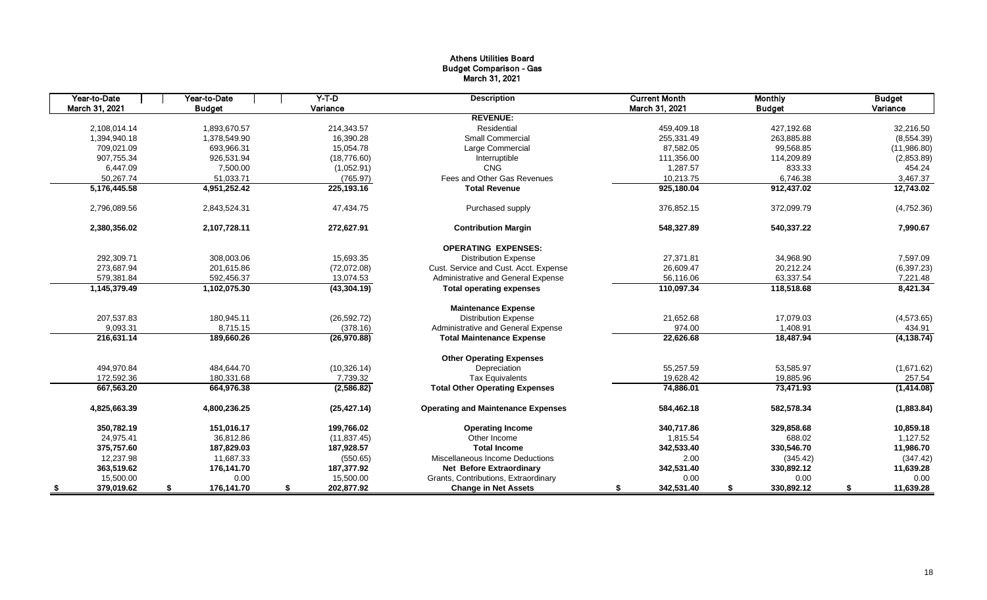## Athens Utilities Board Budget Comparison - Gas March 31, 2021

| Year-to-Date      | Year-to-Date     | $Y-T$ -D         | <b>Description</b>                        | <b>Current Month</b> | <b>Monthly</b>   | <b>Budget</b>   |
|-------------------|------------------|------------------|-------------------------------------------|----------------------|------------------|-----------------|
| March 31, 2021    | <b>Budget</b>    | Variance         |                                           | March 31, 2021       | <b>Budget</b>    | Variance        |
|                   |                  |                  | <b>REVENUE:</b>                           |                      |                  |                 |
| 2.108.014.14      | 1.893.670.57     | 214,343.57       | Residential                               | 459,409.18           | 427,192.68       | 32,216.50       |
| 1,394,940.18      | 1,378,549.90     | 16,390.28        | <b>Small Commercial</b>                   | 255,331.49           | 263,885.88       | (8,554.39)      |
| 709.021.09        | 693.966.31       | 15.054.78        | Large Commercial                          | 87,582.05            | 99,568.85        | (11,986.80)     |
| 907,755.34        | 926,531.94       | (18, 776.60)     | Interruptible                             | 111,356.00           | 114,209.89       | (2,853.89)      |
| 6,447.09          | 7,500.00         | (1,052.91)       | CNG                                       | 1,287.57             | 833.33           | 454.24          |
| 50,267.74         | 51,033.71        | (765.97)         | Fees and Other Gas Revenues               | 10,213.75            | 6,746.38         | 3,467.37        |
| 5,176,445.58      | 4,951,252.42     | 225,193.16       | <b>Total Revenue</b>                      | 925,180.04           | 912,437.02       | 12,743.02       |
| 2,796,089.56      | 2,843,524.31     | 47,434.75        | Purchased supply                          | 376,852.15           | 372,099.79       | (4,752.36)      |
| 2,380,356.02      | 2,107,728.11     | 272,627.91       | <b>Contribution Margin</b>                | 548,327.89           | 540,337.22       | 7,990.67        |
|                   |                  |                  | <b>OPERATING EXPENSES:</b>                |                      |                  |                 |
| 292,309.71        | 308,003.06       | 15,693.35        | <b>Distribution Expense</b>               | 27,371.81            | 34,968.90        | 7,597.09        |
| 273,687.94        | 201.615.86       | (72,072.08)      | Cust. Service and Cust. Acct. Expense     | 26,609.47            | 20,212.24        | (6,397.23)      |
| 579,381.84        | 592,456.37       | 13,074.53        | Administrative and General Expense        | 56,116.06            | 63,337.54        | 7,221.48        |
| 1,145,379.49      | 1,102,075.30     | (43, 304.19)     | <b>Total operating expenses</b>           | 110,097.34           | 118,518.68       | 8,421.34        |
|                   |                  |                  | <b>Maintenance Expense</b>                |                      |                  |                 |
| 207,537.83        | 180,945.11       | (26, 592.72)     | <b>Distribution Expense</b>               | 21,652.68            | 17,079.03        | (4,573.65)      |
| 9,093.31          | 8.715.15         | (378.16)         | Administrative and General Expense        | 974.00               | 1,408.91         | 434.91          |
| 216,631.14        | 189,660.26       | (26, 970.88)     | <b>Total Maintenance Expense</b>          | 22,626.68            | 18,487.94        | (4, 138.74)     |
|                   |                  |                  | <b>Other Operating Expenses</b>           |                      |                  |                 |
| 494,970.84        | 484.644.70       | (10, 326.14)     | Depreciation                              | 55,257.59            | 53,585.97        | (1,671.62)      |
| 172,592.36        | 180,331.68       | 7,739.32         | <b>Tax Equivalents</b>                    | 19,628.42            | 19,885.96        | 257.54          |
| 667,563.20        | 664,976.38       | (2,586.82)       | <b>Total Other Operating Expenses</b>     | 74,886.01            | 73,471.93        | (1,414.08)      |
| 4,825,663.39      | 4,800,236.25     | (25, 427.14)     | <b>Operating and Maintenance Expenses</b> | 584,462.18           | 582,578.34       | (1,883.84)      |
| 350.782.19        | 151.016.17       | 199.766.02       | <b>Operating Income</b>                   | 340.717.86           | 329,858.68       | 10,859.18       |
| 24,975.41         | 36,812.86        | (11, 837.45)     | Other Income                              | 1,815.54             | 688.02           | 1,127.52        |
| 375,757.60        | 187,829.03       | 187,928.57       | <b>Total Income</b>                       | 342,533.40           | 330,546.70       | 11,986.70       |
| 12,237.98         | 11,687.33        | (550.65)         | Miscellaneous Income Deductions           | 2.00                 | (345.42)         | (347.42)        |
| 363,519.62        | 176,141.70       | 187,377.92       | <b>Net Before Extraordinary</b>           | 342,531.40           | 330,892.12       | 11,639.28       |
| 15,500.00         | 0.00             | 15,500.00        | Grants, Contributions, Extraordinary      | 0.00                 | 0.00             | 0.00            |
| 379,019.62<br>- 5 | 176,141.70<br>\$ | 202,877.92<br>\$ | <b>Change in Net Assets</b>               | 342,531.40<br>S      | 330,892.12<br>\$ | 11,639.28<br>\$ |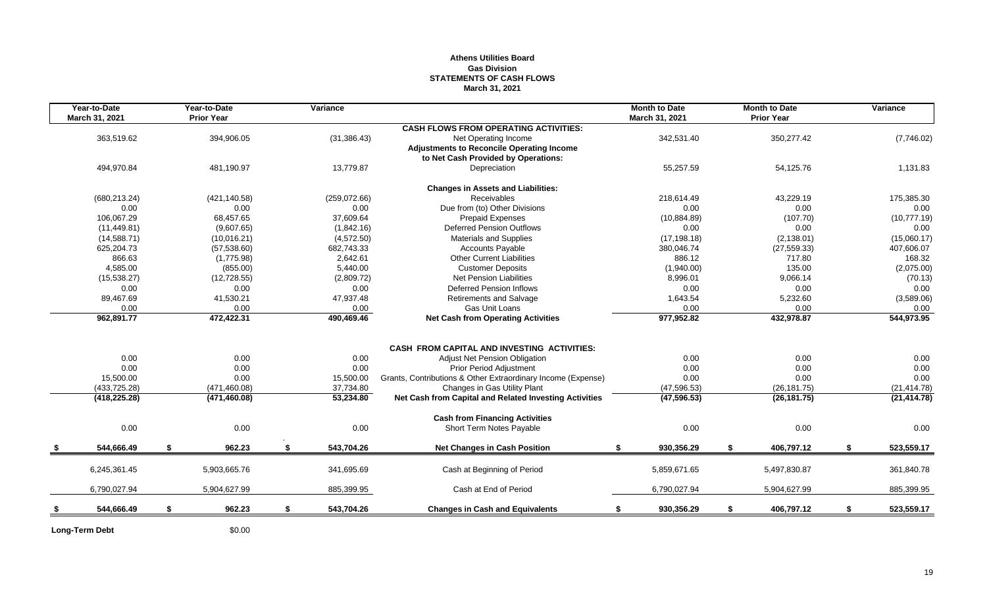### **Athens Utilities Board Gas Division STATEMENTS OF CASH FLOWS March 31, 2021**

| 363,519.62<br>494,970.84<br>(680, 213.24)<br>0.00<br>106.067.29<br>(11, 449.81)<br>(14,588.71)<br>625,204.73<br>866.63<br>4,585.00 |                                                                                    | 394,906.05<br>481,190.97<br>(421, 140.58)<br>0.00<br>68,457.65<br>(9,607.65)<br>(10,016.21)<br>(57, 538.60) |                                                                                        | (31, 386.43)<br>13,779.87<br>(259,072.66)<br>0.00<br>37,609.64<br>(1,842.16) | <b>CASH FLOWS FROM OPERATING ACTIVITIES:</b><br>Net Operating Income<br><b>Adjustments to Reconcile Operating Income</b><br>to Net Cash Provided by Operations:<br>Depreciation<br><b>Changes in Assets and Liabilities:</b><br>Receivables<br>Due from (to) Other Divisions<br><b>Prepaid Expenses</b> | 342,531.40<br>55,257.59<br>218.614.49<br>0.00                                                                                                                  |                                                            | 350,277.42<br>54,125.76<br>43,229.19<br>0.00 |                                                                            | (7,746.02)<br>1,131.83<br>175,385.30<br>0.00 |
|------------------------------------------------------------------------------------------------------------------------------------|------------------------------------------------------------------------------------|-------------------------------------------------------------------------------------------------------------|----------------------------------------------------------------------------------------|------------------------------------------------------------------------------|---------------------------------------------------------------------------------------------------------------------------------------------------------------------------------------------------------------------------------------------------------------------------------------------------------|----------------------------------------------------------------------------------------------------------------------------------------------------------------|------------------------------------------------------------|----------------------------------------------|----------------------------------------------------------------------------|----------------------------------------------|
|                                                                                                                                    |                                                                                    |                                                                                                             |                                                                                        |                                                                              |                                                                                                                                                                                                                                                                                                         |                                                                                                                                                                |                                                            |                                              |                                                                            |                                              |
|                                                                                                                                    |                                                                                    |                                                                                                             |                                                                                        |                                                                              |                                                                                                                                                                                                                                                                                                         |                                                                                                                                                                |                                                            |                                              |                                                                            |                                              |
|                                                                                                                                    |                                                                                    |                                                                                                             |                                                                                        |                                                                              |                                                                                                                                                                                                                                                                                                         |                                                                                                                                                                |                                                            |                                              |                                                                            |                                              |
|                                                                                                                                    |                                                                                    |                                                                                                             |                                                                                        |                                                                              |                                                                                                                                                                                                                                                                                                         |                                                                                                                                                                |                                                            |                                              |                                                                            |                                              |
|                                                                                                                                    |                                                                                    |                                                                                                             |                                                                                        |                                                                              |                                                                                                                                                                                                                                                                                                         |                                                                                                                                                                |                                                            |                                              |                                                                            |                                              |
|                                                                                                                                    |                                                                                    |                                                                                                             |                                                                                        |                                                                              |                                                                                                                                                                                                                                                                                                         |                                                                                                                                                                |                                                            |                                              |                                                                            |                                              |
|                                                                                                                                    |                                                                                    |                                                                                                             |                                                                                        |                                                                              |                                                                                                                                                                                                                                                                                                         |                                                                                                                                                                |                                                            |                                              |                                                                            |                                              |
|                                                                                                                                    |                                                                                    |                                                                                                             |                                                                                        |                                                                              |                                                                                                                                                                                                                                                                                                         |                                                                                                                                                                |                                                            |                                              |                                                                            |                                              |
|                                                                                                                                    |                                                                                    |                                                                                                             |                                                                                        |                                                                              |                                                                                                                                                                                                                                                                                                         | (10, 884.89)                                                                                                                                                   |                                                            | (107.70)                                     |                                                                            | (10,777.19)                                  |
|                                                                                                                                    |                                                                                    |                                                                                                             |                                                                                        |                                                                              | <b>Deferred Pension Outflows</b>                                                                                                                                                                                                                                                                        | 0.00                                                                                                                                                           |                                                            | 0.00                                         |                                                                            | 0.00                                         |
|                                                                                                                                    |                                                                                    |                                                                                                             |                                                                                        | (4,572.50)                                                                   | Materials and Supplies                                                                                                                                                                                                                                                                                  | (17, 198.18)                                                                                                                                                   |                                                            | (2, 138.01)                                  |                                                                            | (15,060.17)                                  |
|                                                                                                                                    |                                                                                    |                                                                                                             |                                                                                        | 682,743.33                                                                   | <b>Accounts Payable</b>                                                                                                                                                                                                                                                                                 | 380,046.74                                                                                                                                                     |                                                            | (27, 559.33)                                 |                                                                            | 407,606.07                                   |
|                                                                                                                                    |                                                                                    | (1,775.98)                                                                                                  |                                                                                        | 2,642.61                                                                     | <b>Other Current Liabilities</b>                                                                                                                                                                                                                                                                        | 886.12                                                                                                                                                         |                                                            | 717.80                                       |                                                                            | 168.32                                       |
|                                                                                                                                    |                                                                                    |                                                                                                             |                                                                                        | 5,440.00                                                                     | <b>Customer Deposits</b>                                                                                                                                                                                                                                                                                |                                                                                                                                                                |                                                            |                                              |                                                                            | (2,075.00)                                   |
|                                                                                                                                    |                                                                                    |                                                                                                             |                                                                                        |                                                                              | <b>Net Pension Liabilities</b>                                                                                                                                                                                                                                                                          | 8,996.01                                                                                                                                                       |                                                            | 9,066.14                                     |                                                                            | (70.13)                                      |
| 0.00                                                                                                                               |                                                                                    | 0.00                                                                                                        |                                                                                        | 0.00                                                                         | <b>Deferred Pension Inflows</b>                                                                                                                                                                                                                                                                         | 0.00                                                                                                                                                           |                                                            | 0.00                                         |                                                                            | 0.00                                         |
|                                                                                                                                    |                                                                                    |                                                                                                             |                                                                                        | 47,937.48                                                                    |                                                                                                                                                                                                                                                                                                         | 1,643.54                                                                                                                                                       |                                                            |                                              |                                                                            | (3,589.06)                                   |
|                                                                                                                                    |                                                                                    |                                                                                                             |                                                                                        |                                                                              |                                                                                                                                                                                                                                                                                                         |                                                                                                                                                                |                                                            |                                              |                                                                            | 0.00                                         |
| 962,891.77                                                                                                                         |                                                                                    | 472,422.31                                                                                                  |                                                                                        | 490,469.46                                                                   | <b>Net Cash from Operating Activities</b>                                                                                                                                                                                                                                                               | 977,952.82                                                                                                                                                     |                                                            | 432,978.87                                   |                                                                            | 544,973.95                                   |
|                                                                                                                                    |                                                                                    |                                                                                                             |                                                                                        |                                                                              |                                                                                                                                                                                                                                                                                                         |                                                                                                                                                                |                                                            |                                              |                                                                            |                                              |
|                                                                                                                                    |                                                                                    |                                                                                                             |                                                                                        |                                                                              |                                                                                                                                                                                                                                                                                                         |                                                                                                                                                                |                                                            |                                              |                                                                            |                                              |
|                                                                                                                                    |                                                                                    |                                                                                                             |                                                                                        |                                                                              | <b>Adjust Net Pension Obligation</b>                                                                                                                                                                                                                                                                    |                                                                                                                                                                |                                                            |                                              |                                                                            | 0.00                                         |
|                                                                                                                                    |                                                                                    | 0.00                                                                                                        |                                                                                        | 0.00                                                                         | <b>Prior Period Adjustment</b>                                                                                                                                                                                                                                                                          | 0.00                                                                                                                                                           |                                                            |                                              |                                                                            | 0.00                                         |
| 15,500.00                                                                                                                          |                                                                                    | 0.00                                                                                                        |                                                                                        | 15,500.00                                                                    | Grants, Contributions & Other Extraordinary Income (Expense)                                                                                                                                                                                                                                            | 0.00                                                                                                                                                           |                                                            | 0.00                                         |                                                                            | 0.00                                         |
|                                                                                                                                    |                                                                                    |                                                                                                             |                                                                                        |                                                                              |                                                                                                                                                                                                                                                                                                         |                                                                                                                                                                |                                                            |                                              |                                                                            | (21, 414.78)                                 |
| (418, 225.28)                                                                                                                      |                                                                                    | (471, 460.08)                                                                                               |                                                                                        | 53,234.80                                                                    | Net Cash from Capital and Related Investing Activities                                                                                                                                                                                                                                                  | (47, 596.53)                                                                                                                                                   |                                                            | (26, 181.75)                                 |                                                                            | (21, 414.78)                                 |
|                                                                                                                                    |                                                                                    |                                                                                                             |                                                                                        |                                                                              | <b>Cash from Financing Activities</b>                                                                                                                                                                                                                                                                   |                                                                                                                                                                |                                                            |                                              |                                                                            |                                              |
| 0.00                                                                                                                               |                                                                                    | 0.00                                                                                                        |                                                                                        | 0.00                                                                         | Short Term Notes Payable                                                                                                                                                                                                                                                                                | 0.00                                                                                                                                                           |                                                            | 0.00                                         |                                                                            | 0.00                                         |
| 544,666.49                                                                                                                         | S                                                                                  | 962.23                                                                                                      | -S.                                                                                    | 543,704.26                                                                   | <b>Net Changes in Cash Position</b>                                                                                                                                                                                                                                                                     | 930,356.29<br>\$                                                                                                                                               | \$                                                         | 406,797.12                                   | \$                                                                         | 523,559.17                                   |
|                                                                                                                                    |                                                                                    |                                                                                                             |                                                                                        |                                                                              |                                                                                                                                                                                                                                                                                                         |                                                                                                                                                                |                                                            |                                              |                                                                            | 361,840.78                                   |
|                                                                                                                                    |                                                                                    |                                                                                                             |                                                                                        |                                                                              |                                                                                                                                                                                                                                                                                                         |                                                                                                                                                                |                                                            |                                              |                                                                            |                                              |
| 6,790,027.94                                                                                                                       |                                                                                    | 5,904,627.99                                                                                                |                                                                                        | 885,399.95                                                                   | Cash at End of Period                                                                                                                                                                                                                                                                                   | 6,790,027.94                                                                                                                                                   |                                                            | 5,904,627.99                                 |                                                                            | 885,399.95                                   |
| 544,666.49                                                                                                                         | \$                                                                                 | 962.23                                                                                                      | \$                                                                                     | 543,704.26                                                                   | <b>Changes in Cash and Equivalents</b>                                                                                                                                                                                                                                                                  | 930,356.29<br>\$                                                                                                                                               | \$                                                         | 406,797.12                                   | \$                                                                         | 523,559.17                                   |
|                                                                                                                                    | (15, 538.27)<br>89,467.69<br>0.00<br>0.00<br>0.00<br>(433, 725.28)<br>6,245,361.45 |                                                                                                             | (855.00)<br>(12, 728.55)<br>41,530.21<br>0.00<br>0.00<br>(471, 460.08)<br>5,903,665.76 |                                                                              | (2,809.72)<br>0.00<br>0.00<br>37,734.80<br>341,695.69                                                                                                                                                                                                                                                   | Retirements and Salvage<br>Gas Unit Loans<br><b>CASH FROM CAPITAL AND INVESTING ACTIVITIES:</b><br>Changes in Gas Utility Plant<br>Cash at Beginning of Period | (1,940.00)<br>0.00<br>0.00<br>(47, 596.53)<br>5,859,671.65 |                                              | 135.00<br>5,232.60<br>0.00<br>0.00<br>0.00<br>(26, 181.75)<br>5,497,830.87 |                                              |

Long-Term Debt \$0.00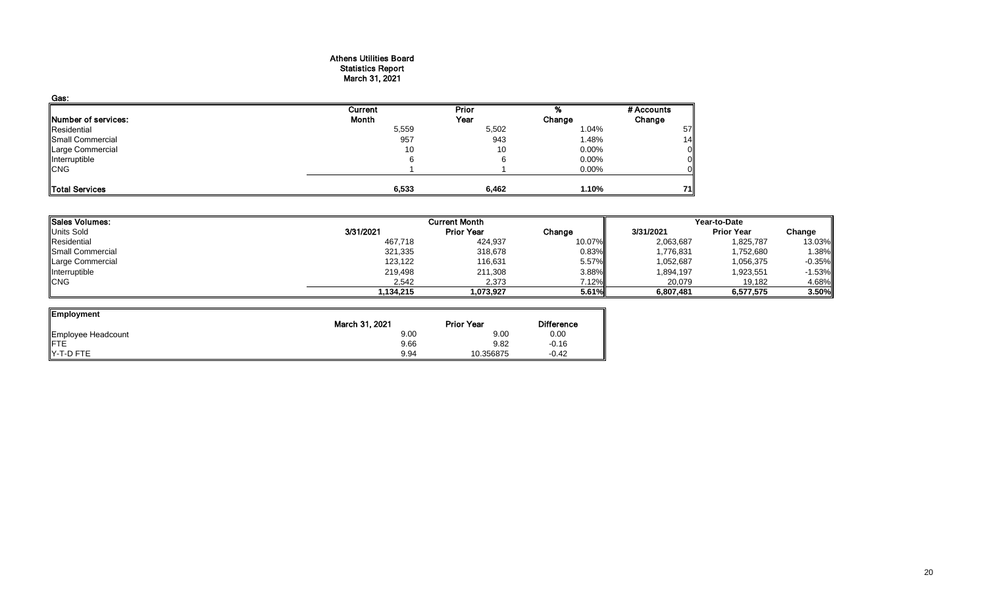#### Athens Utilities Board Statistics Report March 31, 2021

| Gas:                       |         |              |          |            |
|----------------------------|---------|--------------|----------|------------|
|                            | Current | <b>Prior</b> |          | # Accounts |
| <b>Number of services:</b> | Month   | Year         | Change   | Change     |
| Residential                | 5,559   | 5,502        | 1.04%    | 57         |
| Small Commercial           | 957     | 943          | 1.48%    | 14         |
| Large Commercial           | 10      | 10           | 0.00%    | 0          |
| Interruptible              | 6       |              | 0.00%    |            |
| <b>CNG</b>                 |         |              | $0.00\%$ |            |
| Total Services             | 6,533   | 6,462        | 1.10%    | 71         |

| <b>ISales Volumes:</b> |           | <b>Current Month</b> |        | Year-to-Date |                   |          |  |
|------------------------|-----------|----------------------|--------|--------------|-------------------|----------|--|
| <b>Units Sold</b>      | 3/31/2021 | <b>Prior Year</b>    | Change | 3/31/2021    | <b>Prior Year</b> | Change   |  |
| Residential            | 467,718   | 424,937              | 10.07% | 2,063,687    | 1,825,787         | 13.03%   |  |
| Small Commercial       | 321,335   | 318,678              | 0.83%  | 1,776,831    | 1,752,680         | 1.38%    |  |
| Large Commercial       | 123,122   | 116,631              | 5.57%  | 1,052,687    | 1,056,375         | $-0.35%$ |  |
| Interruptible          | 219,498   | 211,308              | 3.88%  | 1,894,197    | 1,923,551         | $-1.53%$ |  |
| <b>CNG</b>             | 2,542     | 2,373                | 7.12%  | 20,079       | 19,182            | 4.68%    |  |
|                        | 1,134,215 | 1,073,927            | 5.61%  | 6,807,481    | 6,577,575         | 3.50%    |  |

ᆜ

| Employment         |                |                   |                   |
|--------------------|----------------|-------------------|-------------------|
|                    | March 31, 2021 | <b>Prior Year</b> | <b>Difference</b> |
| Employee Headcount | 9.00           | 9.00              | 0.00              |
| <b>IFTE</b>        | 9.66           | 9.82              | $-0.16$           |
| Y-T-D FTE          | 9.94           | 10.356875         | $-0.42$           |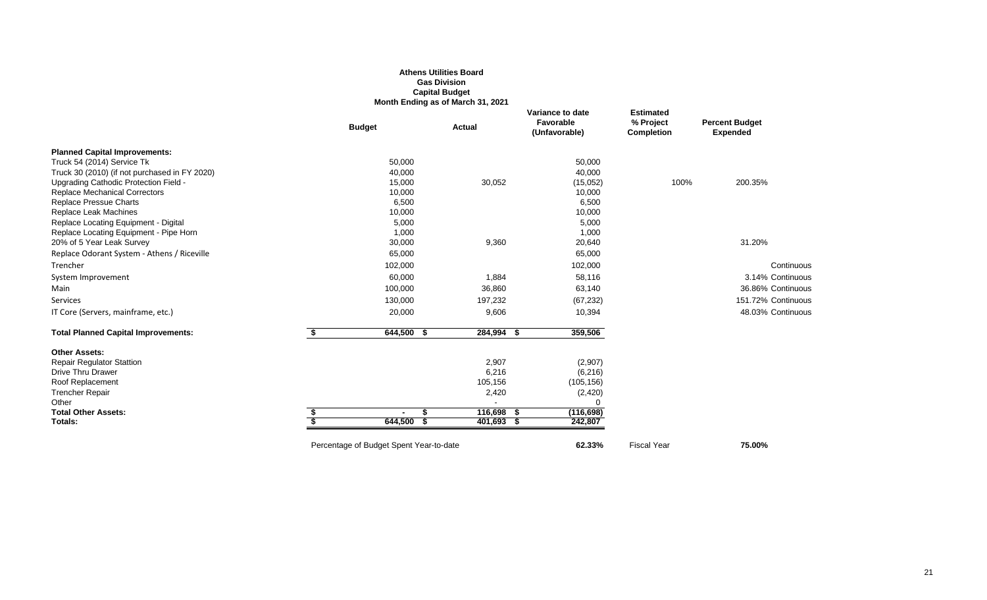#### **Athens Utilities Board Gas Division Capital Budget Month Ending as of March 31, 2021**

|                                               | <b>Budget</b>                           | <b>Actual</b> | Variance to date<br>Favorable<br>(Unfavorable) | <b>Estimated</b><br>% Project<br><b>Completion</b> | <b>Percent Budget</b><br><b>Expended</b> |
|-----------------------------------------------|-----------------------------------------|---------------|------------------------------------------------|----------------------------------------------------|------------------------------------------|
| <b>Planned Capital Improvements:</b>          |                                         |               |                                                |                                                    |                                          |
| Truck 54 (2014) Service Tk                    | 50,000                                  |               | 50,000                                         |                                                    |                                          |
| Truck 30 (2010) (if not purchased in FY 2020) | 40,000                                  |               | 40,000                                         |                                                    |                                          |
| Upgrading Cathodic Protection Field -         | 15,000                                  | 30,052        | (15,052)                                       | 100%                                               | 200.35%                                  |
| <b>Replace Mechanical Correctors</b>          | 10,000                                  |               | 10,000                                         |                                                    |                                          |
| Replace Pressue Charts                        | 6,500                                   |               | 6,500                                          |                                                    |                                          |
| Replace Leak Machines                         | 10,000                                  |               | 10,000                                         |                                                    |                                          |
| Replace Locating Equipment - Digital          | 5,000                                   |               | 5,000                                          |                                                    |                                          |
| Replace Locating Equipment - Pipe Horn        | 1,000                                   |               | 1,000                                          |                                                    |                                          |
| 20% of 5 Year Leak Survey                     | 30,000                                  | 9,360         | 20,640                                         |                                                    | 31.20%                                   |
| Replace Odorant System - Athens / Riceville   | 65,000                                  |               | 65,000                                         |                                                    |                                          |
| Trencher                                      | 102,000                                 |               | 102,000                                        |                                                    | Continuous                               |
| System Improvement                            | 60,000                                  | 1,884         | 58,116                                         |                                                    | 3.14% Continuous                         |
| Main                                          | 100,000                                 | 36,860        | 63,140                                         |                                                    | 36.86% Continuous                        |
| Services                                      | 130,000                                 | 197,232       | (67, 232)                                      |                                                    | 151.72% Continuous                       |
| IT Core (Servers, mainframe, etc.)            | 20,000                                  | 9,606         | 10,394                                         |                                                    | 48.03% Continuous                        |
| <b>Total Planned Capital Improvements:</b>    | 644,500<br>- 56                         | 284,994 \$    | 359,506                                        |                                                    |                                          |
| <b>Other Assets:</b>                          |                                         |               |                                                |                                                    |                                          |
| <b>Repair Regulator Stattion</b>              |                                         | 2,907         | (2,907)                                        |                                                    |                                          |
| <b>Drive Thru Drawer</b>                      |                                         | 6,216         | (6,216)                                        |                                                    |                                          |
| Roof Replacement                              |                                         | 105,156       | (105, 156)                                     |                                                    |                                          |
| <b>Trencher Repair</b>                        |                                         | 2,420         | (2,420)                                        |                                                    |                                          |
| Other                                         |                                         |               | ∩                                              |                                                    |                                          |
| <b>Total Other Assets:</b>                    | £.<br>$\blacksquare$                    | 116,698 \$    | (116, 698)                                     |                                                    |                                          |
| Totals:                                       | 644,500                                 | 401,693 \$    | 242,807                                        |                                                    |                                          |
|                                               | Percentage of Budget Spent Year-to-date |               | 62.33%                                         | <b>Fiscal Year</b>                                 | 75.00%                                   |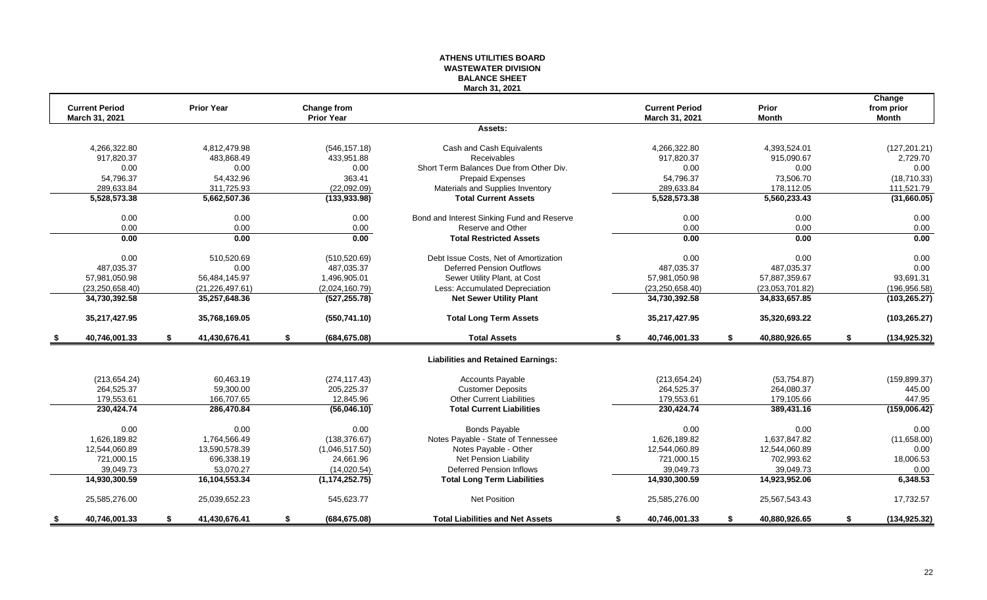#### **ATHENS UTILITIES BOARD WASTEWATER DIVISION BALANCE SHEET March 31, 2021**

| <b>Current Period</b> |    | <b>Prior Year</b> | Change from         |                                            | <b>Current Period</b> |    | Prior           | Change<br>from prior |
|-----------------------|----|-------------------|---------------------|--------------------------------------------|-----------------------|----|-----------------|----------------------|
| March 31, 2021        |    |                   | <b>Prior Year</b>   |                                            | March 31, 2021        |    | <b>Month</b>    | <b>Month</b>         |
|                       |    |                   |                     | Assets:                                    |                       |    |                 |                      |
| 4,266,322.80          |    | 4.812.479.98      | (546, 157.18)       | Cash and Cash Equivalents                  | 4,266,322.80          |    | 4,393,524.01    | (127, 201.21)        |
| 917,820.37            |    | 483,868.49        | 433,951.88          | <b>Receivables</b>                         | 917,820.37            |    | 915,090.67      | 2,729.70             |
| 0.00                  |    | 0.00              | 0.00                | Short Term Balances Due from Other Div.    | 0.00                  |    | 0.00            | 0.00                 |
| 54,796.37             |    | 54,432.96         | 363.41              | Prepaid Expenses                           | 54,796.37             |    | 73,506.70       | (18,710.33)          |
| 289,633.84            |    | 311,725.93        | (22,092.09)         | Materials and Supplies Inventory           | 289,633.84            |    | 178,112.05      | 111,521.79           |
| 5,528,573.38          |    | 5,662,507.36      | (133, 933.98)       | <b>Total Current Assets</b>                | 5,528,573.38          |    | 5,560,233.43    | (31,660.05)          |
| 0.00                  |    | 0.00              | 0.00                | Bond and Interest Sinking Fund and Reserve | 0.00                  |    | 0.00            | 0.00                 |
| 0.00                  |    | 0.00              | 0.00                | Reserve and Other                          | 0.00                  |    | 0.00            | 0.00                 |
| 0.00                  |    | 0.00              | 0.00                | <b>Total Restricted Assets</b>             | 0.00                  |    | 0.00            | 0.00                 |
| 0.00                  |    | 510,520.69        | (510, 520.69)       | Debt Issue Costs, Net of Amortization      | 0.00                  |    | 0.00            | 0.00                 |
| 487,035.37            |    | 0.00              | 487,035.37          | <b>Deferred Pension Outflows</b>           | 487,035.37            |    | 487,035.37      | 0.00                 |
| 57,981,050.98         |    | 56,484,145.97     | 1,496,905.01        | Sewer Utility Plant, at Cost               | 57,981,050.98         |    | 57,887,359.67   | 93,691.31            |
| (23, 250, 658.40)     |    | (21, 226, 497.61) | (2,024,160.79)      | Less: Accumulated Depreciation             | (23, 250, 658.40)     |    | (23,053,701.82) | (196, 956.58)        |
| 34,730,392.58         |    | 35,257,648.36     | (527, 255.78)       | <b>Net Sewer Utility Plant</b>             | 34,730,392.58         |    | 34,833,657.85   | (103, 265.27)        |
| 35,217,427.95         |    | 35,768,169.05     | (550, 741.10)       | <b>Total Long Term Assets</b>              | 35,217,427.95         |    | 35,320,693.22   | (103, 265.27)        |
| 40,746,001.33         | S. | 41,430,676.41     | \$<br>(684, 675.08) | <b>Total Assets</b>                        | \$<br>40,746,001.33   | S. | 40,880,926.65   | \$<br>(134, 925.32)  |
|                       |    |                   |                     | <b>Liabilities and Retained Earnings:</b>  |                       |    |                 |                      |
| (213, 654.24)         |    | 60.463.19         | (274, 117.43)       | <b>Accounts Payable</b>                    | (213, 654.24)         |    | (53, 754.87)    | (159, 899.37)        |
| 264,525.37            |    | 59,300.00         | 205,225.37          | <b>Customer Deposits</b>                   | 264,525.37            |    | 264,080.37      | 445.00               |
| 179,553.61            |    | 166,707.65        | 12,845.96           | <b>Other Current Liabilities</b>           | 179,553.61            |    | 179,105.66      | 447.95               |
| 230,424.74            |    | 286,470.84        | (56,046.10)         | <b>Total Current Liabilities</b>           | 230,424.74            |    | 389,431.16      | (159,006.42)         |
| 0.00                  |    | 0.00              | 0.00                | <b>Bonds Payable</b>                       | 0.00                  |    | 0.00            | 0.00                 |
| 1,626,189.82          |    | 1,764,566.49      | (138, 376.67)       | Notes Payable - State of Tennessee         | 1,626,189.82          |    | 1,637,847.82    | (11,658.00)          |
| 12,544,060.89         |    | 13,590,578.39     | (1,046,517.50)      | Notes Payable - Other                      | 12,544,060.89         |    | 12,544,060.89   | 0.00                 |
| 721,000.15            |    | 696,338.19        | 24,661.96           | Net Pension Liability                      | 721,000.15            |    | 702,993.62      | 18,006.53            |
| 39,049.73             |    | 53,070.27         | (14,020.54)         | <b>Deferred Pension Inflows</b>            | 39,049.73             |    | 39,049.73       | 0.00                 |
| 14,930,300.59         |    | 16,104,553.34     | (1, 174, 252.75)    | <b>Total Long Term Liabilities</b>         | 14,930,300.59         |    | 14,923,952.06   | 6,348.53             |
| 25,585,276.00         |    | 25,039,652.23     | 545,623.77          | <b>Net Position</b>                        | 25,585,276.00         |    | 25,567,543.43   | 17,732.57            |
| 40,746,001.33         | S. | 41,430,676.41     | \$<br>(684, 675.08) | <b>Total Liabilities and Net Assets</b>    | \$<br>40,746,001.33   | S. | 40,880,926.65   | \$<br>(134, 925.32)  |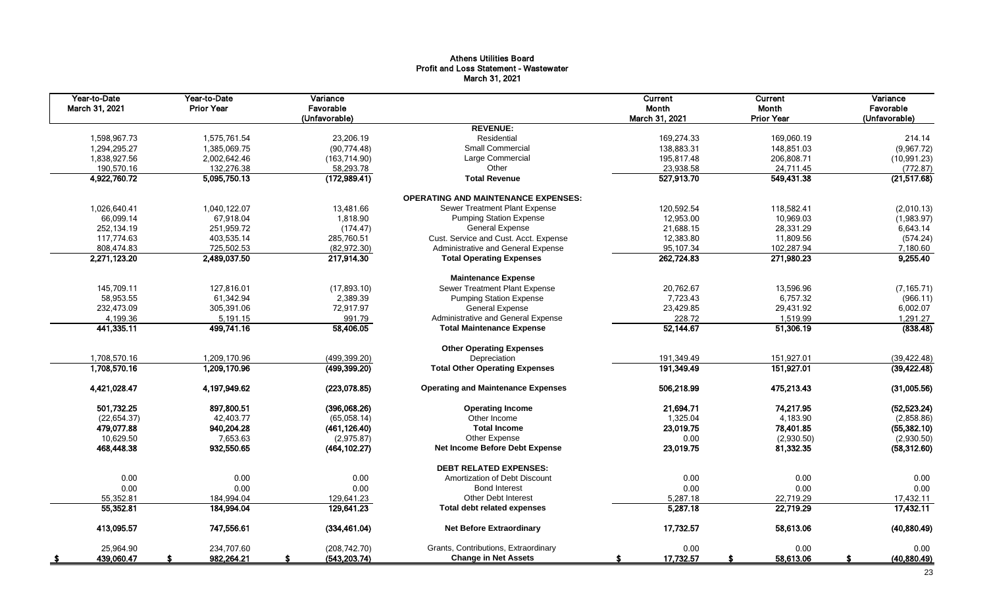## Athens Utilities Board Profit and Loss Statement - Wastewater March 31, 2021

| Year-to-Date<br>March 31, 2021 | Year-to-Date<br><b>Prior Year</b> | Variance<br>Favorable<br>(Unfavorable) |                                            | Current<br>Month<br>March 31, 2021 | Current<br>Month<br><b>Prior Year</b> | Variance<br>Favorable<br>(Unfavorable) |
|--------------------------------|-----------------------------------|----------------------------------------|--------------------------------------------|------------------------------------|---------------------------------------|----------------------------------------|
|                                |                                   |                                        | <b>REVENUE:</b>                            |                                    |                                       |                                        |
| 1,598,967.73                   | 1,575,761.54                      | 23,206.19                              | Residential                                | 169,274.33                         | 169,060.19                            | 214.14                                 |
| 1,294,295.27                   | 1,385,069.75                      | (90, 774.48)                           | <b>Small Commercial</b>                    | 138,883.31                         | 148,851.03                            | (9,967.72)                             |
| 1,838,927.56                   | 2,002,642.46                      | (163, 714.90)                          | Large Commercial                           | 195,817.48                         | 206,808.71                            | (10, 991.23)                           |
| 190,570.16                     | 132,276.38                        | 58,293.78                              | Other                                      | 23,938.58                          | 24,711.45                             | (772.87)                               |
| 4,922,760.72                   | 5,095,750.13                      | (172,989.41)                           | <b>Total Revenue</b>                       | 527,913.70                         | 549,431.38                            | (21, 517.68)                           |
|                                |                                   |                                        | <b>OPERATING AND MAINTENANCE EXPENSES:</b> |                                    |                                       |                                        |
| 1,026,640.41                   | 1,040,122.07                      | 13,481.66                              | Sewer Treatment Plant Expense              | 120,592.54                         | 118,582.41                            | (2,010.13)                             |
| 66,099.14                      | 67,918.04                         | 1,818.90                               | <b>Pumping Station Expense</b>             | 12,953.00                          | 10,969.03                             | (1,983.97)                             |
| 252,134.19                     | 251,959.72                        | (174.47)                               | <b>General Expense</b>                     | 21,688.15                          | 28,331.29                             | 6,643.14                               |
| 117,774.63                     | 403,535.14                        | 285,760.51                             | Cust. Service and Cust. Acct. Expense      | 12,383.80                          | 11,809.56                             | (574.24)                               |
| 808,474.83                     | 725,502.53                        | (82,972.30)                            | Administrative and General Expense         | 95,107.34                          | 102,287.94                            | 7,180.60                               |
| 2,271,123.20                   | 2,489,037.50                      | 217,914.30                             | <b>Total Operating Expenses</b>            | 262,724.83                         | 271,980.23                            | 9,255.40                               |
|                                |                                   |                                        | <b>Maintenance Expense</b>                 |                                    |                                       |                                        |
| 145,709.11                     | 127,816.01                        | (17,893.10)                            | Sewer Treatment Plant Expense              | 20,762.67                          | 13,596.96                             | (7, 165.71)                            |
| 58,953.55                      | 61,342.94                         | 2,389.39                               | <b>Pumping Station Expense</b>             | 7,723.43                           | 6,757.32                              | (966.11)                               |
| 232,473.09                     | 305,391.06                        | 72,917.97                              | <b>General Expense</b>                     | 23,429.85                          | 29,431.92                             | 6,002.07                               |
| 4,199.36                       | 5,191.15                          | 991.79                                 | Administrative and General Expense         | 228.72                             | 1,519.99                              | 1,291.27                               |
| 441,335.11                     | 499,741.16                        | 58,406.05                              | <b>Total Maintenance Expense</b>           | 52,144.67                          | 51,306.19                             | (838.48)                               |
|                                |                                   |                                        | <b>Other Operating Expenses</b>            |                                    |                                       |                                        |
| 1,708,570.16                   | 1,209,170.96                      | (499, 399.20)                          | Depreciation                               | 191,349.49                         | 151,927.01                            | (39, 422.48)                           |
| 1,708,570.16                   | 1,209,170.96                      | (499, 399.20)                          | <b>Total Other Operating Expenses</b>      | 191,349.49                         | 151,927.01                            | (39, 422.48)                           |
| 4,421,028.47                   | 4,197,949.62                      | (223,078.85)                           | <b>Operating and Maintenance Expenses</b>  | 506,218.99                         | 475,213.43                            | (31,005.56)                            |
| 501,732.25                     | 897,800.51                        | (396,068.26)                           | <b>Operating Income</b>                    | 21,694.71                          | 74,217.95                             | (52, 523.24)                           |
| (22, 654.37)                   | 42,403.77                         | (65,058.14)                            | Other Income                               | 1,325.04                           | 4,183.90                              | (2,858.86)                             |
| 479,077.88                     | 940,204.28                        | (461, 126.40)                          | <b>Total Income</b>                        | 23,019.75                          | 78,401.85                             | (55, 382.10)                           |
| 10,629.50                      | 7,653.63                          | (2,975.87)                             | Other Expense                              | 0.00                               | (2,930.50)                            | (2,930.50)                             |
| 468,448.38                     | 932,550.65                        | (464, 102.27)                          | <b>Net Income Before Debt Expense</b>      | 23,019.75                          | 81,332.35                             | (58, 312.60)                           |
|                                |                                   |                                        | <b>DEBT RELATED EXPENSES:</b>              |                                    |                                       |                                        |
| 0.00                           | 0.00                              | 0.00                                   | Amortization of Debt Discount              | 0.00                               | 0.00                                  | 0.00                                   |
| 0.00                           | 0.00                              | 0.00                                   | <b>Bond Interest</b>                       | 0.00                               | 0.00                                  | 0.00                                   |
| 55,352.81                      | 184.994.04                        | 129,641.23                             | <b>Other Debt Interest</b>                 | 5,287.18                           | 22,719.29                             | 17,432.11                              |
| 55,352.81                      | 184,994.04                        | 129,641.23                             | <b>Total debt related expenses</b>         | 5,287.18                           | 22,719.29                             | 17,432.11                              |
| 413,095.57                     | 747,556.61                        | (334, 461.04)                          | <b>Net Before Extraordinary</b>            | 17,732.57                          | 58,613.06                             | (40,880.49)                            |
| 25,964.90                      | 234,707.60                        | (208, 742.70)                          | Grants, Contributions, Extraordinary       | 0.00                               | 0.00                                  | 0.00                                   |
| 439,060.47<br>\$               | 982,264.21                        | (543, 203.74)                          | <b>Change in Net Assets</b>                | 17,732.57<br>S                     | 58,613.06                             | (40, 880.49)<br>S.                     |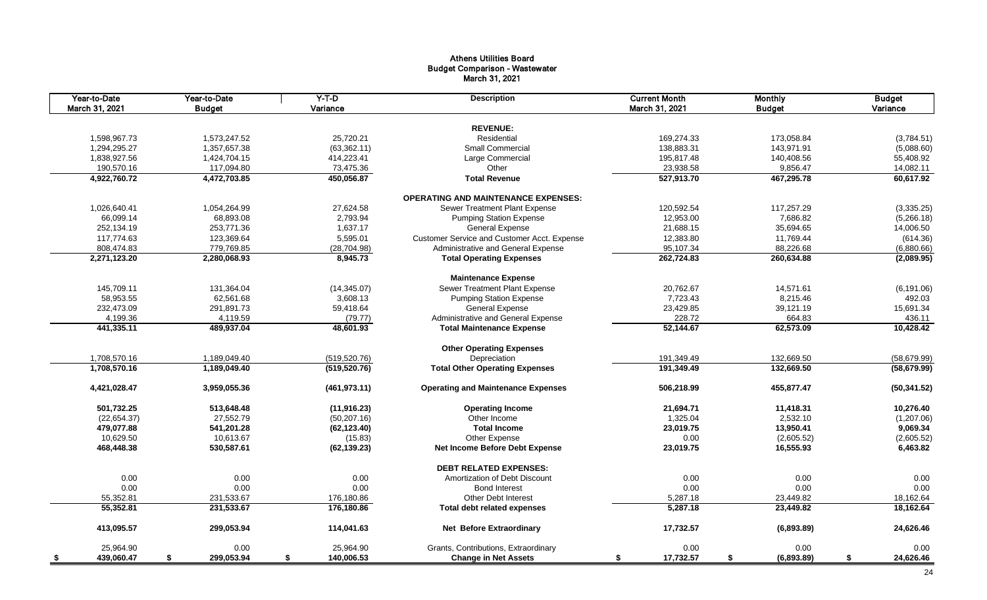## Athens Utilities Board Budget Comparison - Wastewater March 31, 2021

| Year-to-Date<br>March 31, 2021 | Year-to-Date<br><b>Budget</b> | $Y-T-D$<br>Variance | <b>Description</b>                          | <b>Current Month</b><br>March 31, 2021 | <b>Monthly</b><br><b>Budget</b> | <b>Budget</b><br>Variance |
|--------------------------------|-------------------------------|---------------------|---------------------------------------------|----------------------------------------|---------------------------------|---------------------------|
|                                |                               |                     |                                             |                                        |                                 |                           |
|                                |                               |                     | <b>REVENUE:</b>                             |                                        |                                 |                           |
| 1,598,967.73                   | 1,573,247.52                  | 25,720.21           | Residential                                 | 169,274.33                             | 173,058.84                      | (3,784.51)                |
| 1,294,295.27                   | 1,357,657.38                  | (63, 362.11)        | Small Commercial                            | 138,883.31                             | 143,971.91                      | (5,088.60)                |
| 1,838,927.56                   | 1,424,704.15                  | 414,223.41          | Large Commercial                            | 195,817.48                             | 140,408.56                      | 55,408.92                 |
| 190,570.16                     | 117,094.80                    | 73,475.36           | Other                                       | 23,938.58                              | 9,856.47                        | 14,082.11                 |
| 4,922,760.72                   | 4,472,703.85                  | 450,056.87          | <b>Total Revenue</b>                        | 527,913.70                             | 467,295.78                      | 60,617.92                 |
|                                |                               |                     | <b>OPERATING AND MAINTENANCE EXPENSES:</b>  |                                        |                                 |                           |
| 1,026,640.41                   | 1,054,264.99                  | 27,624.58           | Sewer Treatment Plant Expense               | 120,592.54                             | 117,257.29                      | (3,335.25)                |
| 66,099.14                      | 68,893.08                     | 2,793.94            | <b>Pumping Station Expense</b>              | 12,953.00                              | 7,686.82                        | (5,266.18)                |
| 252,134.19                     | 253,771.36                    | 1,637.17            | General Expense                             | 21,688.15                              | 35,694.65                       | 14,006.50                 |
| 117,774.63                     | 123,369.64                    | 5,595.01            | Customer Service and Customer Acct. Expense | 12,383.80                              | 11,769.44                       | (614.36)                  |
| 808,474.83                     | 779,769.85                    | (28, 704.98)        | Administrative and General Expense          | 95,107.34                              | 88,226.68                       | (6,880.66)                |
| 2,271,123.20                   | 2,280,068.93                  | 8,945.73            | <b>Total Operating Expenses</b>             | 262,724.83                             | 260,634.88                      | (2,089.95)                |
|                                |                               |                     | <b>Maintenance Expense</b>                  |                                        |                                 |                           |
| 145.709.11                     | 131,364.04                    | (14, 345.07)        | Sewer Treatment Plant Expense               | 20,762.67                              | 14.571.61                       | (6, 191.06)               |
| 58,953.55                      | 62,561.68                     | 3.608.13            | <b>Pumping Station Expense</b>              | 7,723.43                               | 8,215.46                        | 492.03                    |
| 232,473.09                     | 291,891.73                    | 59,418.64           | <b>General Expense</b>                      | 23,429.85                              | 39,121.19                       | 15,691.34                 |
| 4,199.36                       | 4,119.59                      | (79.77)             | Administrative and General Expense          | 228.72                                 | 664.83                          | 436.11                    |
| 441,335.11                     | 489,937.04                    | 48,601.93           | <b>Total Maintenance Expense</b>            | 52,144.67                              | 62,573.09                       | 10,428.42                 |
|                                |                               |                     |                                             |                                        |                                 |                           |
|                                |                               |                     | <b>Other Operating Expenses</b>             |                                        |                                 |                           |
| 1,708,570.16                   | 1,189,049.40                  | (519, 520.76)       | Depreciation                                | 191,349.49                             | 132,669.50                      | (58, 679.99)              |
| 1,708,570.16                   | 1,189,049.40                  | (519, 520.76)       | <b>Total Other Operating Expenses</b>       | 191,349.49                             | 132,669.50                      | (58, 679.99)              |
| 4,421,028.47                   | 3,959,055.36                  | (461, 973.11)       | <b>Operating and Maintenance Expenses</b>   | 506,218.99                             | 455,877.47                      | (50, 341.52)              |
| 501,732.25                     | 513,648.48                    | (11, 916.23)        | <b>Operating Income</b>                     | 21,694.71                              | 11,418.31                       | 10,276.40                 |
| (22, 654.37)                   | 27,552.79                     | (50, 207.16)        | Other Income                                | 1,325.04                               | 2,532.10                        | (1,207.06)                |
| 479,077.88                     | 541,201.28                    | (62, 123.40)        | <b>Total Income</b>                         | 23,019.75                              | 13,950.41                       | 9,069.34                  |
| 10,629.50                      | 10,613.67                     | (15.83)             | Other Expense                               | 0.00                                   | (2,605.52)                      | (2,605.52)                |
| 468,448.38                     | 530,587.61                    | (62, 139.23)        | Net Income Before Debt Expense              | 23,019.75                              | 16,555.93                       | 6,463.82                  |
|                                |                               |                     | <b>DEBT RELATED EXPENSES:</b>               |                                        |                                 |                           |
| 0.00                           | 0.00                          | 0.00                | Amortization of Debt Discount               | 0.00                                   | 0.00                            | 0.00                      |
| 0.00                           | 0.00                          | 0.00                | <b>Bond Interest</b>                        | 0.00                                   | 0.00                            | 0.00                      |
| 55,352.81                      | 231,533.67                    | 176,180.86          | <b>Other Debt Interest</b>                  | 5,287.18                               | 23,449.82                       | 18,162.64                 |
| 55,352.81                      | 231,533.67                    | 176,180.86          | <b>Total debt related expenses</b>          | 5,287.18                               | 23,449.82                       | 18,162.64                 |
| 413,095.57                     | 299,053.94                    | 114,041.63          | <b>Net Before Extraordinary</b>             | 17,732.57                              | (6,893.89)                      | 24,626.46                 |
| 25,964.90                      | 0.00                          | 25,964.90           | Grants, Contributions, Extraordinary        | 0.00                                   | 0.00                            | 0.00                      |
| 439,060.47<br>- \$             | \$<br>299,053.94              | \$<br>140,006.53    | <b>Change in Net Assets</b>                 | 17,732.57<br>\$                        | \$<br>(6,893.89)                | \$<br>24,626.46           |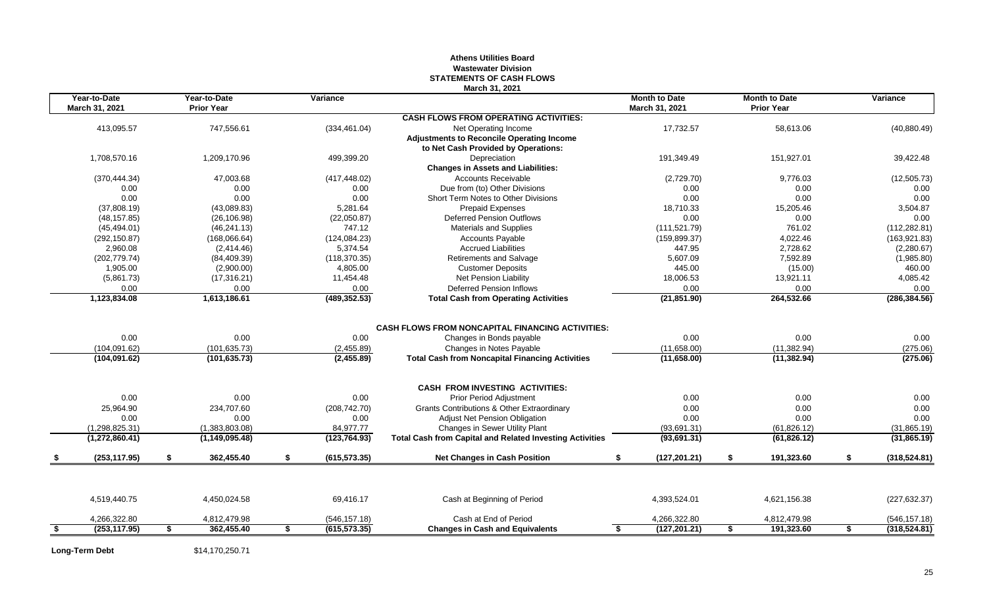#### **Athens Utilities Board Wastewater Division STATEMENTS OF CASH FLOWS March 31, 2021**

|      | Year-to-Date<br>March 31, 2021 | Year-to-Date<br><b>Prior Year</b> | Variance            |                                                                 | <b>Month to Date</b><br>March 31, 2021 | <b>Month to Date</b><br><b>Prior Year</b> | Variance            |
|------|--------------------------------|-----------------------------------|---------------------|-----------------------------------------------------------------|----------------------------------------|-------------------------------------------|---------------------|
|      |                                |                                   |                     | <b>CASH FLOWS FROM OPERATING ACTIVITIES:</b>                    |                                        |                                           |                     |
|      | 413,095.57                     | 747,556.61                        | (334, 461.04)       | Net Operating Income                                            | 17,732.57                              | 58,613.06                                 | (40, 880.49)        |
|      |                                |                                   |                     | <b>Adjustments to Reconcile Operating Income</b>                |                                        |                                           |                     |
|      |                                |                                   |                     | to Net Cash Provided by Operations:                             |                                        |                                           |                     |
|      | 1,708,570.16                   | 1,209,170.96                      | 499,399.20          | Depreciation                                                    | 191,349.49                             | 151,927.01                                | 39,422.48           |
|      |                                |                                   |                     | <b>Changes in Assets and Liabilities:</b>                       |                                        |                                           |                     |
|      | (370, 444.34)                  | 47,003.68                         | (417, 448.02)       | <b>Accounts Receivable</b>                                      | (2,729.70)                             | 9,776.03                                  | (12, 505.73)        |
|      | 0.00                           | 0.00                              | 0.00                | Due from (to) Other Divisions                                   | 0.00                                   | 0.00                                      | 0.00                |
|      | 0.00                           | 0.00                              | 0.00                | Short Term Notes to Other Divisions                             | 0.00                                   | 0.00                                      | 0.00                |
|      | (37,808.19)                    | (43,089.83)                       | 5,281.64            | <b>Prepaid Expenses</b>                                         | 18,710.33                              | 15,205.46                                 | 3,504.87            |
|      | (48, 157.85)                   | (26, 106.98)                      | (22,050.87)         | <b>Deferred Pension Outflows</b>                                | 0.00                                   | 0.00                                      | 0.00                |
|      | (45, 494.01)                   | (46, 241.13)                      | 747.12              | <b>Materials and Supplies</b>                                   | (111, 521.79)                          | 761.02                                    | (112, 282.81)       |
|      | (292, 150.87)                  | (168,066.64)                      | (124, 084.23)       | <b>Accounts Payable</b>                                         | (159, 899.37)                          | 4,022.46                                  | (163, 921.83)       |
|      | 2,960.08                       | (2,414.46)                        | 5,374.54            | <b>Accrued Liabilities</b>                                      | 447.95                                 | 2,728.62                                  | (2,280.67)          |
|      | (202, 779.74)                  | (84, 409.39)                      | (118, 370.35)       | Retirements and Salvage                                         | 5,607.09                               | 7,592.89                                  | (1,985.80)          |
|      | 1.905.00                       | (2,900.00)                        | 4,805.00            | <b>Customer Deposits</b>                                        | 445.00                                 | (15.00)                                   | 460.00              |
|      | (5,861.73)                     | (17, 316.21)                      | 11,454.48           | Net Pension Liability                                           | 18,006.53                              | 13,921.11                                 | 4,085.42            |
|      | 0.00                           | 0.00                              | 0.00                | <b>Deferred Pension Inflows</b>                                 | 0.00                                   | 0.00                                      | 0.00                |
|      | 1,123,834.08                   | 1,613,186.61                      | (489, 352.53)       | <b>Total Cash from Operating Activities</b>                     | (21, 851.90)                           | 264,532.66                                | (286, 384.56)       |
|      |                                |                                   |                     |                                                                 |                                        |                                           |                     |
|      |                                |                                   |                     | <b>CASH FLOWS FROM NONCAPITAL FINANCING ACTIVITIES:</b>         |                                        |                                           |                     |
|      | 0.00                           | 0.00                              | 0.00                | Changes in Bonds payable                                        | 0.00                                   | 0.00                                      | 0.00                |
|      | (104, 091.62)                  | (101, 635.73)                     | (2,455.89)          | Changes in Notes Payable                                        | (11,658.00)                            | (11, 382.94)                              | (275.06)            |
|      | (104, 091.62)                  | (101, 635.73)                     | (2,455.89)          | <b>Total Cash from Noncapital Financing Activities</b>          | (11,658.00)                            | (11, 382.94)                              | (275.06)            |
|      |                                |                                   |                     |                                                                 |                                        |                                           |                     |
|      | 0.00                           | 0.00                              | 0.00                | <b>CASH FROM INVESTING ACTIVITIES:</b>                          | 0.00                                   | 0.00                                      |                     |
|      |                                |                                   |                     | <b>Prior Period Adjustment</b>                                  |                                        |                                           | 0.00                |
|      | 25.964.90                      | 234.707.60                        | (208, 742.70)       | <b>Grants Contributions &amp; Other Extraordinary</b>           | 0.00                                   | 0.00                                      | 0.00                |
|      | 0.00                           | 0.00                              | 0.00                | Adjust Net Pension Obligation                                   | 0.00                                   | 0.00                                      | 0.00                |
|      | (1, 298, 825.31)               | (1,383,803.08)                    | 84,977.77           | Changes in Sewer Utility Plant                                  | (93, 691.31)                           | (61, 826.12)                              | (31, 865.19)        |
|      | (1,272,860.41)                 | (1, 149, 095.48)                  | (123, 764.93)       | <b>Total Cash from Capital and Related Investing Activities</b> | (93, 691.31)                           | (61, 826.12)                              | (31, 865.19)        |
|      | (253, 117.95)                  | \$<br>362,455.40                  | \$<br>(615, 573.35) | <b>Net Changes in Cash Position</b>                             | S.<br>(127, 201.21)                    | \$<br>191,323.60                          | \$<br>(318, 524.81) |
|      |                                |                                   |                     |                                                                 |                                        |                                           |                     |
|      | 4,519,440.75                   | 4,450,024.58                      | 69,416.17           | Cash at Beginning of Period                                     | 4,393,524.01                           | 4,621,156.38                              | (227, 632.37)       |
|      | 4,266,322.80                   | 4,812,479.98                      | (546, 157.18)       | Cash at End of Period                                           | 4,266,322.80                           | 4,812,479.98                              | (546, 157.18)       |
| - \$ | (253, 117.95)                  | \$<br>362,455.40                  | \$<br>(615, 573.35) | <b>Changes in Cash and Equivalents</b>                          | (127, 201.21)<br>\$                    | \$<br>191,323.60                          | \$<br>(318, 524.81) |
|      |                                |                                   |                     |                                                                 |                                        |                                           |                     |

**Long-Term Debt** \$14,170,250.71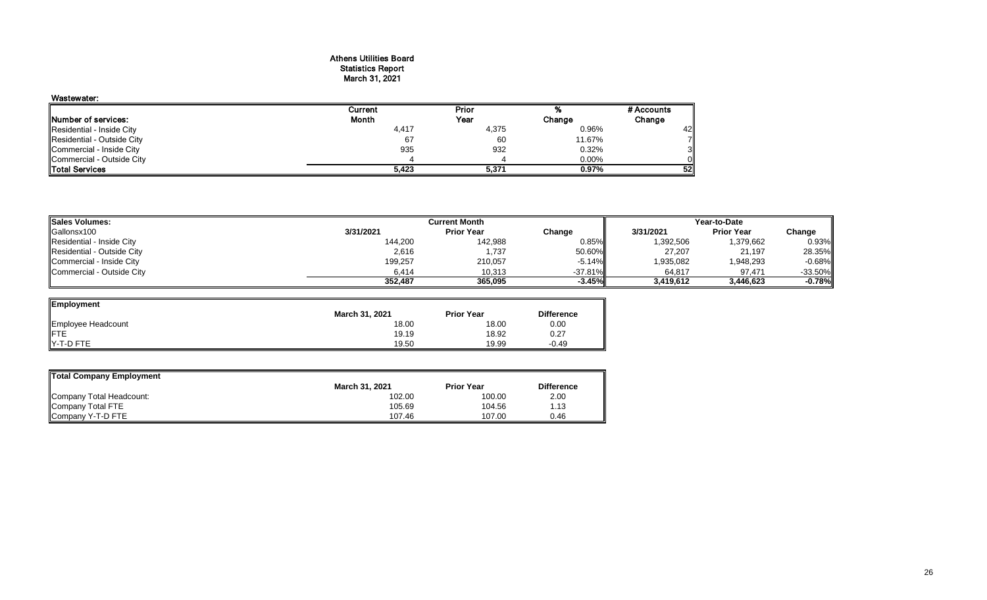#### Athens Utilities Board Statistics Report March 31, 2021

## Wastewater:

|                            | Current | Prior |        | # Accounts |
|----------------------------|---------|-------|--------|------------|
| Number of services:        | Month   | Year  | Change | Change     |
| Residential - Inside City  | 4,417   | 4,375 | 0.96%  | 42         |
| Residential - Outside City | 67      | 60    | 11.67% | 7∥         |
| Commercial - Inside City   | 935     | 932   | 0.32%  | 3II        |
| Commercial - Outside City  |         |       | 0.00%  | Οl         |
| <b>ITotal Services</b>     | 5,423   | 5,371 | 0.97%  | 52         |

| <b>Sales Volumes:</b>      |           | Year-to-Date      |            |           |                   |           |
|----------------------------|-----------|-------------------|------------|-----------|-------------------|-----------|
| Gallonsx100                | 3/31/2021 | <b>Prior Year</b> | Change     | 3/31/2021 | <b>Prior Year</b> | Change    |
| Residential - Inside City  | 144,200   | 142,988           | $0.85\%$   | 1,392,506 | 1,379,662         | 0.93%     |
| Residential - Outside City | 2,616     | 1.737             | 50.60%II   | 27,207    | 21,197            | 28.35%    |
| Commercial - Inside City   | 199,257   | 210,057           | $-5.14%$   | 1,935,082 | 1,948,293         | $-0.68%$  |
| Commercial - Outside City  | 6.414     | 10,313            | $-37.81\%$ | 64,817    | 97.471            | $-33.50%$ |
|                            | 352.487   | 365.095           | $-3.45\%$  | 3,419,612 | 3.446.623         | $-0.78%$  |

| <b>Employment</b>  |                |                   |                   |
|--------------------|----------------|-------------------|-------------------|
|                    | March 31, 2021 | <b>Prior Year</b> | <b>Difference</b> |
| Employee Headcount | 18.00          | 18.00             | 0.00              |
| FTE                | 19.19          | 18.92             | 0.27              |
| Y-T-D FTE          | 19.50          | 19.99             | $-0.49$           |

| Total Company Employment |                       |                   |                   |
|--------------------------|-----------------------|-------------------|-------------------|
|                          | <b>March 31, 2021</b> | <b>Prior Year</b> | <b>Difference</b> |
| Company Total Headcount: | 102.00                | 100.00            | 2.00              |
| Company Total FTE        | 105.69                | 104.56            | 1.13              |
| Company Y-T-D FTE        | 107.46                | 107.00            | 0.46              |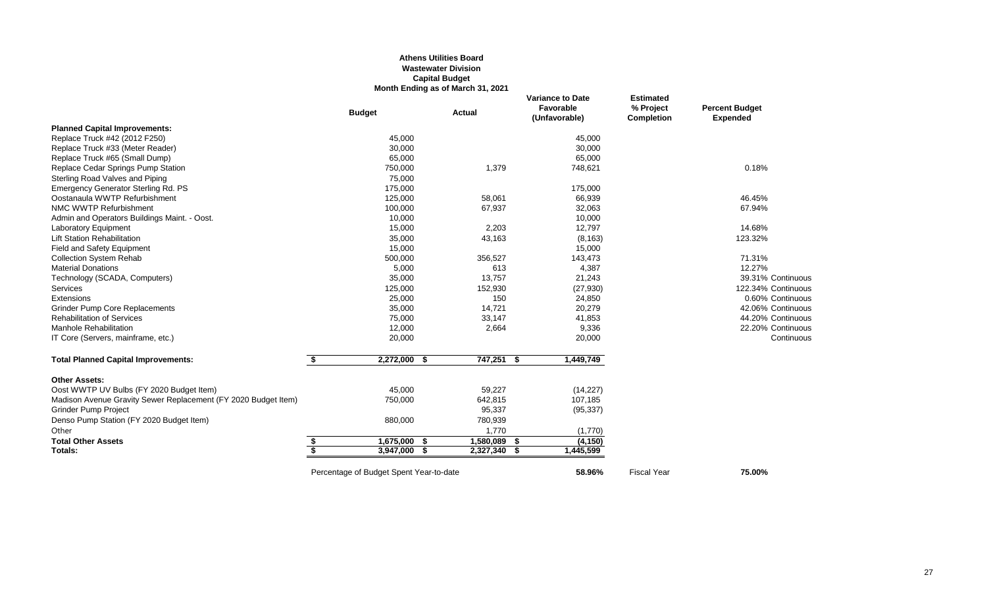### **Athens Utilities Board Wastewater Division Capital Budget Month Ending as of March 31, 2021**

|                                                                |                         | <b>Budget</b>                           | <b>Actual</b> |            | <b>Variance to Date</b><br>Favorable<br>(Unfavorable) |           | <b>Estimated</b><br>% Project<br><b>Completion</b> | <b>Percent Budget</b><br><b>Expended</b> |
|----------------------------------------------------------------|-------------------------|-----------------------------------------|---------------|------------|-------------------------------------------------------|-----------|----------------------------------------------------|------------------------------------------|
| <b>Planned Capital Improvements:</b>                           |                         |                                         |               |            |                                                       |           |                                                    |                                          |
| Replace Truck #42 (2012 F250)                                  |                         | 45,000                                  |               |            |                                                       | 45,000    |                                                    |                                          |
| Replace Truck #33 (Meter Reader)                               |                         | 30,000                                  |               |            |                                                       | 30,000    |                                                    |                                          |
| Replace Truck #65 (Small Dump)                                 |                         | 65,000                                  |               |            |                                                       | 65,000    |                                                    |                                          |
| Replace Cedar Springs Pump Station                             |                         | 750,000                                 |               | 1,379      |                                                       | 748,621   |                                                    | 0.18%                                    |
| Sterling Road Valves and Piping                                |                         | 75,000                                  |               |            |                                                       |           |                                                    |                                          |
| Emergency Generator Sterling Rd. PS                            |                         | 175,000                                 |               |            |                                                       | 175,000   |                                                    |                                          |
| Oostanaula WWTP Refurbishment                                  |                         | 125,000                                 |               | 58,061     |                                                       | 66,939    |                                                    | 46.45%                                   |
| NMC WWTP Refurbishment                                         |                         | 100,000                                 |               | 67,937     |                                                       | 32,063    |                                                    | 67.94%                                   |
| Admin and Operators Buildings Maint. - Oost.                   |                         | 10,000                                  |               |            |                                                       | 10,000    |                                                    |                                          |
| <b>Laboratory Equipment</b>                                    |                         | 15,000                                  |               | 2,203      |                                                       | 12,797    |                                                    | 14.68%                                   |
| <b>Lift Station Rehabilitation</b>                             |                         | 35,000                                  |               | 43,163     |                                                       | (8, 163)  |                                                    | 123.32%                                  |
| Field and Safety Equipment                                     |                         | 15,000                                  |               |            |                                                       | 15,000    |                                                    |                                          |
| <b>Collection System Rehab</b>                                 |                         | 500,000                                 |               | 356,527    |                                                       | 143,473   |                                                    | 71.31%                                   |
| <b>Material Donations</b>                                      |                         | 5,000                                   |               | 613        |                                                       | 4,387     |                                                    | 12.27%                                   |
| Technology (SCADA, Computers)                                  |                         | 35,000                                  |               | 13,757     |                                                       | 21,243    |                                                    | 39.31% Continuous                        |
| <b>Services</b>                                                |                         | 125,000                                 |               | 152,930    |                                                       | (27, 930) |                                                    | 122.34% Continuous                       |
| Extensions                                                     |                         | 25,000                                  |               | 150        |                                                       | 24,850    |                                                    | 0.60% Continuous                         |
| <b>Grinder Pump Core Replacements</b>                          |                         | 35,000                                  |               | 14,721     |                                                       | 20,279    |                                                    | 42.06% Continuous                        |
| <b>Rehabilitation of Services</b>                              |                         | 75,000                                  |               | 33,147     |                                                       | 41,853    |                                                    | 44.20% Continuous                        |
| <b>Manhole Rehabilitation</b>                                  |                         | 12,000                                  |               | 2,664      |                                                       | 9,336     |                                                    | 22.20% Continuous                        |
| IT Core (Servers, mainframe, etc.)                             |                         | 20,000                                  |               |            |                                                       | 20,000    |                                                    | Continuous                               |
| <b>Total Planned Capital Improvements:</b>                     | \$                      | 2,272,000 \$                            |               | 747,251 \$ |                                                       | 1,449,749 |                                                    |                                          |
| <b>Other Assets:</b>                                           |                         |                                         |               |            |                                                       |           |                                                    |                                          |
| Oost WWTP UV Bulbs (FY 2020 Budget Item)                       |                         | 45,000                                  |               | 59,227     |                                                       | (14, 227) |                                                    |                                          |
| Madison Avenue Gravity Sewer Replacement (FY 2020 Budget Item) |                         | 750,000                                 |               | 642,815    |                                                       | 107,185   |                                                    |                                          |
| <b>Grinder Pump Project</b>                                    |                         |                                         |               | 95,337     |                                                       | (95, 337) |                                                    |                                          |
| Denso Pump Station (FY 2020 Budget Item)                       |                         | 880,000                                 |               | 780,939    |                                                       |           |                                                    |                                          |
| Other                                                          |                         |                                         |               | 1,770      |                                                       | (1,770)   |                                                    |                                          |
| <b>Total Other Assets</b>                                      | \$                      | 1,675,000 \$                            |               | 1,580,089  | - \$                                                  | (4, 150)  |                                                    |                                          |
| Totals:                                                        | $\overline{\mathbf{s}}$ | 3,947,000                               | Ŝ.            | 2,327,340  | S.                                                    | 1,445,599 |                                                    |                                          |
|                                                                |                         | Percentage of Budget Spent Year-to-date |               |            |                                                       | 58.96%    | <b>Fiscal Year</b>                                 | 75.00%                                   |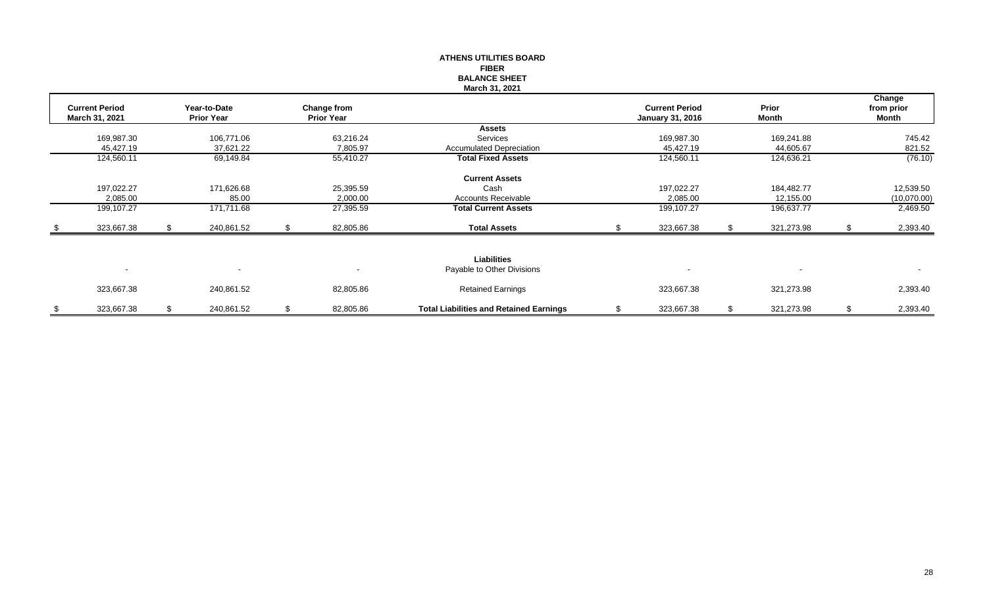|                       |    |                   |    |                    | <b>ATHENS UTILITIES BOARD</b>                  |                         |                  |                |
|-----------------------|----|-------------------|----|--------------------|------------------------------------------------|-------------------------|------------------|----------------|
|                       |    |                   |    |                    | <b>FIBER</b>                                   |                         |                  |                |
|                       |    |                   |    |                    | <b>BALANCE SHEET</b>                           |                         |                  |                |
|                       |    |                   |    |                    | March 31, 2021                                 |                         |                  |                |
|                       |    |                   |    |                    |                                                |                         |                  | Change         |
| <b>Current Period</b> |    | Year-to-Date      |    | <b>Change from</b> |                                                | <b>Current Period</b>   | Prior            | from prior     |
| March 31, 2021        |    | <b>Prior Year</b> |    | <b>Prior Year</b>  |                                                | <b>January 31, 2016</b> | Month            | Month          |
|                       |    |                   |    |                    | Assets                                         |                         |                  |                |
| 169,987.30            |    | 106,771.06        |    | 63,216.24          | Services                                       | 169,987.30              | 169,241.88       | 745.42         |
| 45,427.19             |    | 37,621.22         |    | 7,805.97           | <b>Accumulated Depreciation</b>                | 45,427.19               | 44,605.67        | 821.52         |
| 124,560.11            |    | 69,149.84         |    | 55,410.27          | <b>Total Fixed Assets</b>                      | 124,560.11              | 124,636.21       | (76.10)        |
|                       |    |                   |    |                    | <b>Current Assets</b>                          |                         |                  |                |
| 197,022.27            |    | 171,626.68        |    | 25,395.59          | Cash                                           | 197,022.27              | 184,482.77       | 12,539.50      |
| 2,085.00              |    | 85.00             |    | 2,000.00           | <b>Accounts Receivable</b>                     | 2,085.00                | 12,155.00        | (10,070.00)    |
| 199,107.27            |    | 171,711.68        |    | 27,395.59          | <b>Total Current Assets</b>                    | 199,107.27              | 196,637.77       | 2,469.50       |
| 323,667.38            | S. | 240,861.52        | S. | 82,805.86          | <b>Total Assets</b>                            | 323,667.38              | 321,273.98       | 2,393.40       |
|                       |    |                   |    |                    |                                                |                         |                  |                |
|                       |    |                   |    |                    | <b>Liabilities</b>                             |                         |                  |                |
| $\blacksquare$        |    |                   |    |                    | Payable to Other Divisions                     |                         |                  | $\sim$         |
| 323,667.38            |    | 240,861.52        |    | 82,805.86          | <b>Retained Earnings</b>                       | 323,667.38              | 321,273.98       | 2,393.40       |
| \$<br>323,667.38      | \$ | 240,861.52        | \$ | 82,805.86          | <b>Total Liabilities and Retained Earnings</b> | \$<br>323,667.38        | \$<br>321,273.98 | \$<br>2,393.40 |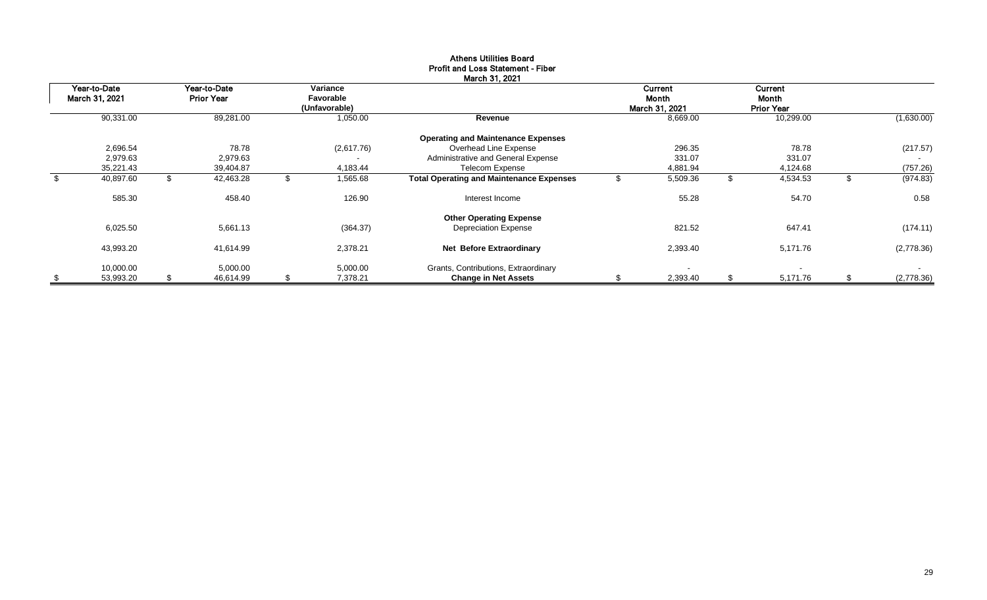|                                |                                   |    |                                        | March 31, 2021                                  |    |                                    |                                       |                  |
|--------------------------------|-----------------------------------|----|----------------------------------------|-------------------------------------------------|----|------------------------------------|---------------------------------------|------------------|
| Year-to-Date<br>March 31, 2021 | Year-to-Date<br><b>Prior Year</b> |    | Variance<br>Favorable<br>(Unfavorable) |                                                 |    | Current<br>Month<br>March 31, 2021 | Current<br>Month<br><b>Prior Year</b> |                  |
| 90,331.00                      | 89,281.00                         |    | 1,050.00                               | Revenue                                         |    | 8,669.00                           | 10,299.00                             | (1,630.00)       |
|                                |                                   |    |                                        | <b>Operating and Maintenance Expenses</b>       |    |                                    |                                       |                  |
| 2,696.54                       | 78.78                             |    | (2,617.76)                             | Overhead Line Expense                           |    | 296.35                             | 78.78                                 | (217.57)         |
| 2,979.63                       | 2,979.63                          |    | $\blacksquare$                         | Administrative and General Expense              |    | 331.07                             | 331.07                                |                  |
| 35,221.43                      | 39,404.87                         |    | 4,183.44                               | <b>Telecom Expense</b>                          |    | 4,881.94                           | 4,124.68                              | (757.26)         |
| \$<br>40,897.60                | \$<br>42,463.28                   | ъ  | 1,565.68                               | <b>Total Operating and Maintenance Expenses</b> |    | 5,509.36                           | \$<br>4,534.53                        | (974.83)         |
| 585.30                         | 458.40                            |    | 126.90                                 | Interest Income                                 |    | 55.28                              | 54.70                                 | 0.58             |
|                                |                                   |    |                                        | <b>Other Operating Expense</b>                  |    |                                    |                                       |                  |
| 6,025.50                       | 5,661.13                          |    | (364.37)                               | <b>Depreciation Expense</b>                     |    | 821.52                             | 647.41                                | (174.11)         |
| 43,993.20                      | 41,614.99                         |    | 2,378.21                               | Net Before Extraordinary                        |    | 2,393.40                           | 5,171.76                              | (2,778.36)       |
| 10,000.00                      | 5,000.00                          |    | 5,000.00                               | Grants, Contributions, Extraordinary            |    |                                    | $\blacksquare$                        | $\sim$           |
| \$<br>53,993.20                | \$<br>46,614.99                   | \$ | 7,378.21                               | <b>Change in Net Assets</b>                     | S. | 2,393.40                           | \$<br>5,171.76                        | \$<br>(2,778.36) |

#### Athens Utilities Board Profit and Loss Statement - Fiber March 31, 2021